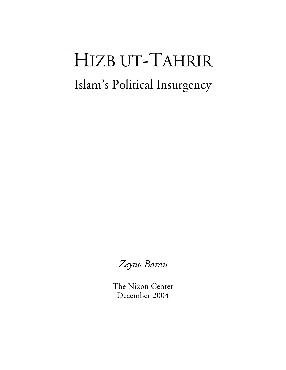# HIZB UT-TAHRIR

## Islam's Political Insurgency

*Zeyno Baran*

The Nixon Center December 2004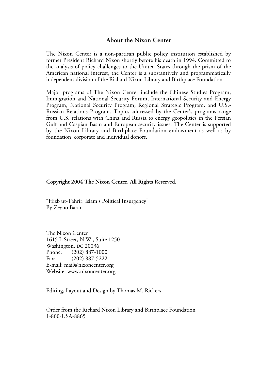#### **About the Nixon Center**

The Nixon Center is a non-partisan public policy institution established by former President Richard Nixon shortly before his death in 1994. Committed to the analysis of policy challenges to the United States through the prism of the American national interest, the Center is a substantively and programmatically independent division of the Richard Nixon Library and Birthplace Foundation.

Major programs of The Nixon Center include the Chinese Studies Program, Immigration and National Security Forum, International Security and Energy Program, National Security Program, Regional Strategic Program, and U.S.- Russian Relations Program. Topics addressed by the Center's programs range from U.S. relations with China and Russia to energy geopolitics in the Persian Gulf and Caspian Basin and European security issues. The Center is supported by the Nixon Library and Birthplace Foundation endowment as well as by foundation, corporate and individual donors.

#### **Copyright 2004 The Nixon Center. All Rights Reserved.**

"Hizb ut-Tahrir: Islam's Political Insurgency" By Zeyno Baran

The Nixon Center 1615 L Street, N.W., Suite 1250 Washington, DC 20036 Phone: (202) 887-1000 Fax: (202) 887-5222 E-mail: mail@nixoncenter.org Website: www.nixoncenter.org

Editing, Layout and Design by Thomas M. Rickers

Order from the Richard Nixon Library and Birthplace Foundation 1-800-USA-8865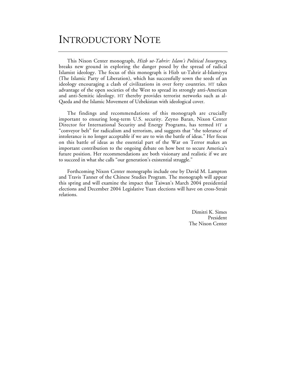### INTRODUCTORY NOTE

This Nixon Center monograph, *Hizb ut-Tahrir: Islam's Political Insurgency*, breaks new ground in exploring the danger posed by the spread of radical Islamist ideology. The focus of this monograph is Hizb ut-Tahrir al-Islamiyya (The Islamic Party of Liberation), which has successfully sown the seeds of an ideology encouraging a clash of civilizations in over forty countries. HT takes advantage of the open societies of the West to spread its strongly anti-American and anti-Semitic ideology. HT thereby provides terrorist networks such as al-Qaeda and the Islamic Movement of Uzbekistan with ideological cover.

The findings and recommendations of this monograph are crucially important to ensuring long-term U.S. security. Zeyno Baran, Nixon Center Director for International Security and Energy Programs, has termed HT a "conveyor belt" for radicalism and terrorism, and suggests that "the tolerance of intolerance is no longer acceptable if we are to win the battle of ideas." Her focus on this battle of ideas as the essential part of the War on Terror makes an important contribution to the ongoing debate on how best to secure America's future position. Her recommendations are both visionary and realistic if we are to succeed in what she calls "our generation's existential struggle."

Forthcoming Nixon Center monographs include one by David M. Lampton and Travis Tanner of the Chinese Studies Program. The monograph will appear this spring and will examine the impact that Taiwan's March 2004 presidential elections and December 2004 Legislative Yuan elections will have on cross-Strait relations.

> Dimitri K. Simes President The Nixon Center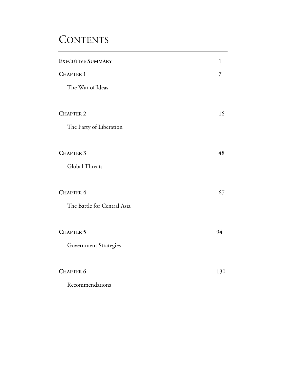## **CONTENTS**

| <b>EXECUTIVE SUMMARY</b>    | 1   |
|-----------------------------|-----|
| <b>CHAPTER 1</b>            | 7   |
| The War of Ideas            |     |
| <b>CHAPTER 2</b>            | 16  |
| The Party of Liberation     |     |
| <b>CHAPTER 3</b>            | 48  |
| Global Threats              |     |
| <b>CHAPTER 4</b>            | 67  |
| The Battle for Central Asia |     |
| <b>CHAPTER 5</b>            | 94  |
| Government Strategies       |     |
| <b>CHAPTER 6</b>            | 130 |
| Recommendations             |     |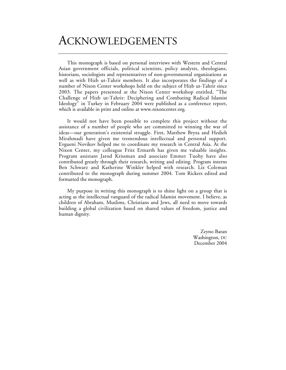## ACKNOWLEDGEMENTS

This monograph is based on personal interviews with Western and Central Asian government officials, political scientists, policy analysts, theologians, historians, sociologists and representatives of non-governmental organizations as well as with Hizb ut-Tahrir members. It also incorporates the findings of a number of Nixon Center workshops held on the subject of Hizb ut-Tahrir since 2003. The papers presented at the Nixon Center workshop entitled, "The Challenge of Hizb ut-Tahrir: Deciphering and Combating Radical Islamist Ideology" in Turkey in February 2004 were published as a conference report, which is available in print and online at www.nixoncenter.org.

It would not have been possible to complete this project without the assistance of a number of people who are committed to winning the war of ideas—our generation's existential struggle. First, Matthew Bryza and Hedieh Mirahmadi have given me tremendous intellectual and personal support. Evgueni Novikov helped me to coordinate my research in Central Asia. At the Nixon Center, my colleague Fritz Ermarth has given me valuable insights. Program assistant Jarod Krissman and associate Emmet Tuohy have also contributed greatly through their research, writing and editing. Program interns Ben Schwarz and Katherine Winkler helped with research. Liz Coleman contributed to the monograph during summer 2004. Tom Rickers edited and formatted the monograph.

My purpose in writing this monograph is to shine light on a group that is acting as the intellectual vanguard of the radical Islamist movement. I believe, as children of Abraham, Muslims, Christians and Jews, all need to move towards building a global civilization based on shared values of freedom, justice and human dignity.

> Zeyno Baran Washington, DC December 2004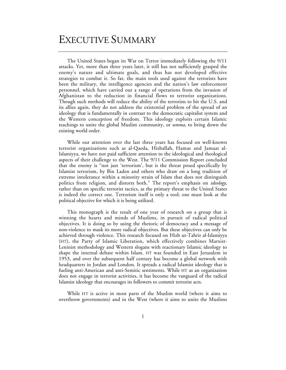### EXECUTIVE SUMMARY

The United States began its War on Terror immediately following the 9/11 attacks. Yet, more than three years later, it still has not sufficiently grasped the enemy's nature and ultimate goals, and thus has not developed effective strategies to combat it. So far, the main tools used against the terrorists have been the military, the intelligence agencies and the nation's law enforcement personnel, which have carried out a range of operations from the invasion of Afghanistan to the reduction in financial flows to terrorist organizations. Though such methods will reduce the ability of the terrorists to hit the U.S. and its allies again, they do not address the existential problem of the spread of an ideology that is fundamentally in contrast to the democratic capitalist system and the Western conception of freedom. This ideology exploits certain Islamic teachings to unite the global Muslim community, or *umma*, to bring down the existing world order.

While our attention over the last three years has focused on well-known terrorist organizations such as al-Qaeda, Hizballah, Hamas and Jamaat al-Islamiyya, we have not paid sufficient attention to the ideological and theological aspects of their challenge to the West. The 9/11 Commission Report concluded that the enemy is "not just 'terrorism', but is the threat posed specifically by Islamist terrorism, by Bin Laden and others who draw on a long tradition of extreme intolerance within a minority strain of Islam that does not distinguish politics from religion, and distorts both." The report's emphasis on *ideology*, rather than on specific terrorist tactics, as the primary threat to the United States is indeed the correct one. Terrorism itself is only a tool; one must look at the political objective for which it is being utilized.

This monograph is the result of one year of research on a group that is winning the hearts and minds of Muslims, in pursuit of radical political objectives. It is doing so by using the rhetoric of democracy and a message of non-violence to mask its more radical objectives. But these objectives can only be achieved through violence. This research focused on Hizb ut-Tahrir al-Islamiyya (HT), the Party of Islamic Liberation, which effectively combines Marxist-Leninist methodology and Western slogans with reactionary Islamic ideology to shape the internal debate within Islam. HT was founded in East Jerusalem in 1953, and over the subsequent half century has become a global network with headquarters in Jordan and London. It spreads a radical Islamist ideology that is fueling anti-American and anti-Semitic sentiments. While HT as an organization does not engage in terrorist activities, it has become the vanguard of the radical Islamist ideology that encourages its followers to commit terrorist acts.

While HT is active in most parts of the Muslim world (where it aims to overthrow governments) and in the West (where it aims to unite the Muslims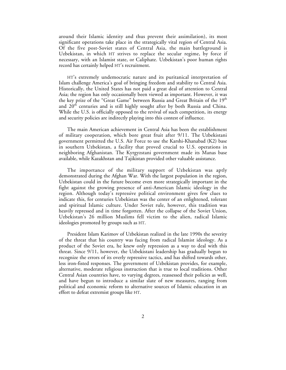around their Islamic identity and thus prevent their assimilation), its most significant operations take place in the strategically vital region of Central Asia. Of the five post-Soviet states of Central Asia, the main battleground is Uzbekistan, in which HT strives to replace the secular regime, by force if necessary, with an Islamist state, or Caliphate. Uzbekistan's poor human rights record has certainly helped HT's recruitment.

HT's extremely undemocratic nature and its puritanical interpretation of Islam challenge America's goal of bringing freedom and stability to Central Asia. Historically, the United States has not paid a great deal of attention to Central Asia; the region has only occasionally been viewed as important. However, it was the key prize of the "Great Game" between Russia and Great Britain of the 19<sup>th</sup> and  $20<sup>th</sup>$  centuries and is still highly sought after by both Russia and China. While the U.S. is officially opposed to the revival of such competition, its energy and security policies are indirectly playing into this contest of influence.

The main American achievement in Central Asia has been the establishment of military cooperation, which bore great fruit after 9/11. The Uzbekistani government permitted the U.S. Air Force to use the Karshi-Khanabad (K2) base in southern Uzbekistan, a facility that proved crucial to U.S. operations in neighboring Afghanistan. The Kyrgyzstani government made its Manas base available, while Kazakhstan and Tajikistan provided other valuable assistance.

The importance of the military support of Uzbekistan was aptly demonstrated during the Afghan War. With the largest population in the region, Uzbekistan could in the future become even more strategically important in the fight against the growing presence of anti-American Islamic ideology in the region. Although today's repressive political environment gives few clues to indicate this, for centuries Uzbekistan was the center of an enlightened, tolerant and spiritual Islamic culture. Under Soviet rule, however, this tradition was heavily repressed and in time forgotten. After the collapse of the Soviet Union, Uzbekistan's 26 million Muslims fell victim to the alien, radical Islamic ideologies promoted by groups such as HT.

President Islam Karimov of Uzbekistan realized in the late 1990s the severity of the threat that his country was facing from radical Islamist ideology. As a product of the Soviet era, he knew only repression as a way to deal with this threat. Since 9/11, however, the Uzbekistani leadership has gradually begun to recognize the errors of its overly repressive tactics, and has shifted towards other, less iron-fisted responses. The government of Uzbekistan provides, for example, alternative, moderate religious instruction that is true to local traditions. Other Central Asian countries have, to varying degrees, reassessed their policies as well, and have begun to introduce a similar slate of new measures, ranging from political and economic reform to alternative sources of Islamic education in an effort to defeat extremist groups like HT.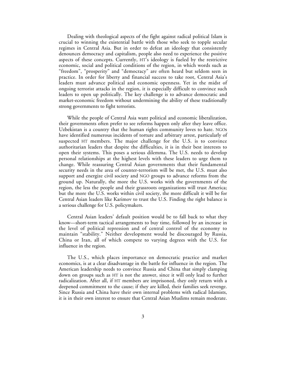Dealing with theological aspects of the fight against radical political Islam is crucial to winning the existential battle with those who seek to topple secular regimes in Central Asia. But in order to defeat an ideology that consistently denounces democracy and capitalism, people also need to experience the positive aspects of these concepts. Currently, HT's ideology is fueled by the restrictive economic, social and political conditions of the region, in which words such as "freedom", "prosperity" and "democracy" are often heard but seldom seen in practice. In order for liberty and financial success to take root, Central Asia's leaders must advance political and economic openness. Yet in the midst of ongoing terrorist attacks in the region, it is especially difficult to convince such leaders to open up politically. The key challenge is to advance democratic and market-economic freedom without undermining the ability of these traditionally strong governments to fight terrorists.

While the people of Central Asia want political and economic liberalization, their governments often prefer to see reforms happen only after they leave office. Uzbekistan is a country that the human rights community loves to hate. NGOs have identified numerous incidents of torture and arbitrary arrest, particularly of suspected HT members. The major challenge for the U.S. is to convince authoritarian leaders that despite the difficulties, it is in their best interests to open their systems. This poses a serious dilemma. The U.S. needs to develop personal relationships at the highest levels with these leaders to urge them to change. While reassuring Central Asian governments that their fundamental security needs in the area of counter-terrorism will be met, the U.S. must also support and energize civil society and NGO groups to advance reforms from the ground up. Naturally, the more the U.S. works with the governments of the region, the less the people and their grassroots organizations will trust America; but the more the U.S. works within civil society, the more difficult it will be for Central Asian leaders like Karimov to trust the U.S. Finding the right balance is a serious challenge for U.S. policymakers.

Central Asian leaders' default position would be to fall back to what they know—short-term tactical arrangements to buy time, followed by an increase in the level of political repression and of central control of the economy to maintain "stability." Neither development would be discouraged by Russia, China or Iran, all of which compete to varying degrees with the U.S. for influence in the region.

The U.S., which places importance on democratic practice and market economics, is at a clear disadvantage in the battle for influence in the region. The American leadership needs to convince Russia and China that simply clamping down on groups such as HT is not the answer, since it will only lead to further radicalization. After all, if HT members are imprisoned, they only return with a deepened commitment to the cause; if they are killed, their families seek revenge. Since Russia and China have their own internal problems with radical Islamists, it is in their own interest to ensure that Central Asian Muslims remain moderate.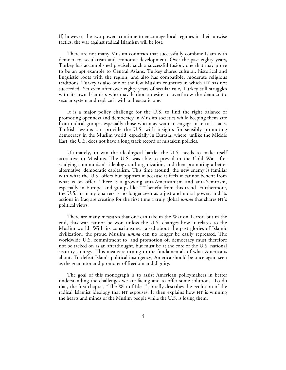If, however, the two powers continue to encourage local regimes in their unwise tactics, the war against radical Islamism will be lost.

There are not many Muslim countries that successfully combine Islam with democracy, secularism and economic development. Over the past eighty years, Turkey has accomplished precisely such a successful fusion, one that may prove to be an apt example to Central Asians. Turkey shares cultural, historical and linguistic roots with the region, and also has compatible, moderate religious traditions. Turkey is also one of the few Muslim countries in which HT has not succeeded. Yet even after over eighty years of secular rule, Turkey still struggles with its own Islamists who may harbor a desire to overthrow the democratic secular system and replace it with a theocratic one.

It is a major policy challenge for the U.S. to find the right balance of promoting openness and democracy in Muslim societies while keeping them safe from radical groups, especially those who may want to engage in terrorist acts. Turkish lessons can provide the U.S. with insights for sensibly promoting democracy in the Muslim world, especially in Eurasia, where, unlike the Middle East, the U.S. does not have a long track record of mistaken policies.

Ultimately, to win the ideological battle, the U.S. needs to make itself attractive to Muslims. The U.S. was able to prevail in the Cold War after studying communism's ideology and organization, and then promoting a better alternative, democratic capitalism. This time around, the new enemy is familiar with what the U.S. offers but opposes it because it feels it cannot benefit from what is on offer. There is a growing anti-Americanism and anti-Semitism, especially in Europe, and groups like HT benefit from this trend. Furthermore, the U.S. in many quarters is no longer seen as a just and moral power, and its actions in Iraq are creating for the first time a truly global *umma* that shares HT's political views.

There are many measures that one can take in the War on Terror, but in the end, this war cannot be won unless the U.S. changes how it relates to the Muslim world. With its consciousness raised about the past glories of Islamic civilization, the proud Muslim *umma* can no longer be easily repressed. The worldwide U.S. commitment to, and promotion of, democracy must therefore not be tacked on as an afterthought, but must be at the core of the U.S. national security strategy. This means returning to the fundamentals of what America is about. To defeat Islam's political insurgency, America should be once again seen as the guarantor and promoter of freedom and dignity.

The goal of this monograph is to assist American policymakers in better understanding the challenges we are facing and to offer some solutions. To do that, the first chapter, "The War of Ideas", briefly describes the evolution of the radical Islamist ideology that HT espouses. It then explains how HT is winning the hearts and minds of the Muslim people while the U.S. is losing them.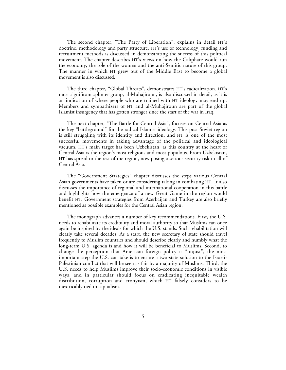The second chapter, "The Party of Liberation", explains in detail HT's doctrine, methodology and party structure. HT's use of technology, funding and recruitment methods is discussed in demonstrating the success of this political movement. The chapter describes HT's views on how the Caliphate would run the economy, the role of the women and the anti-Semitic nature of this group. The manner in which HT grew out of the Middle East to become a global movement is also discussed.

The third chapter, "Global Threats", demonstrates HT's radicalization. HT's most significant splinter group, al-Muhajiroun, is also discussed in detail, as it is an indication of where people who are trained with HT ideology may end up. Members and sympathizers of HT and al-Muhajiroun are part of the global Islamist insurgency that has gotten stronger since the start of the war in Iraq.

The next chapter, "The Battle for Central Asia", focuses on Central Asia as the key "battleground" for the radical Islamist ideology. This post-Soviet region is still struggling with its identity and direction, and HT is one of the most successful movements in taking advantage of the political and ideological vacuum. HT's main target has been Uzbekistan, as this country at the heart of Central Asia is the region's most religious and most populous. From Uzbekistan, HT has spread to the rest of the region, now posing a serious security risk in all of Central Asia.

The "Government Strategies" chapter discusses the steps various Central Asian governments have taken or are considering taking in combating HT. It also discusses the importance of regional and international cooperation in this battle and highlights how the emergence of a new Great Game in the region would benefit HT. Government strategies from Azerbaijan and Turkey are also briefly mentioned as possible examples for the Central Asian region.

The monograph advances a number of key recommendations. First, the U.S. needs to rehabilitate its credibility and moral authority so that Muslims can once again be inspired by the ideals for which the U.S. stands. Such rehabilitation will clearly take several decades. As a start, the new secretary of state should travel frequently to Muslim countries and should describe clearly and humbly what the long-term U.S. agenda is and how it will be beneficial to Muslims. Second, to change the perception that American foreign policy is "unjust", the most important step the U.S. can take is to ensure a two-state solution to the Israeli-Palestinian conflict that will be seen as fair by a majority of Muslims. Third, the U.S. needs to help Muslims improve their socio-economic conditions in visible ways, and in particular should focus on eradicating inequitable wealth distribution, corruption and cronyism, which HT falsely considers to be inextricably tied to capitalism.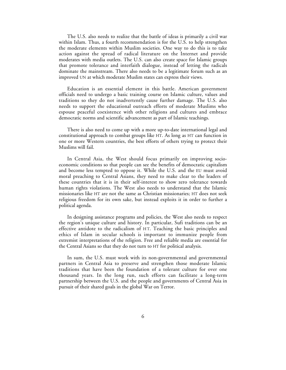The U.S. also needs to realize that the battle of ideas is primarily a civil war within Islam. Thus, a fourth recommendation is for the U.S. to help strengthen the moderate elements within Muslim societies. One way to do this is to take action against the spread of radical literature on the Internet and provide moderates with media outlets. The U.S. can also create space for Islamic groups that promote tolerance and interfaith dialogue, instead of letting the radicals dominate the mainstream. There also needs to be a legitimate forum such as an improved UN at which moderate Muslim states can express their views.

Education is an essential element in this battle. American government officials need to undergo a basic training course on Islamic culture, values and traditions so they do not inadvertently cause further damage. The U.S. also needs to support the educational outreach efforts of moderate Muslims who espouse peaceful coexistence with other religions and cultures and embrace democratic norms and scientific advancement as part of Islamic teachings.

There is also need to come up with a more up-to-date international legal and constitutional approach to combat groups like HT. As long as HT can function in one or more Western countries, the best efforts of others trying to protect their Muslims will fail.

In Central Asia, the West should focus primarily on improving socioeconomic conditions so that people can see the benefits of democratic capitalism and become less tempted to oppose it. While the U.S. and the EU must avoid moral preaching to Central Asians, they need to make clear to the leaders of these countries that it is in their self-interest to show zero tolerance towards human rights violations. The West also needs to understand that the Islamic missionaries like HT are not the same as Christian missionaries; HT does not seek religious freedom for its own sake, but instead exploits it in order to further a political agenda.

In designing assistance programs and policies, the West also needs to respect the region's unique culture and history. In particular, Sufi traditions can be an effective antidote to the radicalism of HT. Teaching the basic principles and ethics of Islam in secular schools is important to immunize people from extremist interpretations of the religion. Free and reliable media are essential for the Central Asians so that they do not turn to HT for political analysis.

In sum, the U.S. must work with its non-governmental and governmental partners in Central Asia to preserve and strengthen those moderate Islamic traditions that have been the foundation of a tolerant culture for over one thousand years. In the long run, such efforts can facilitate a long-term partnership between the U.S. and the people and governments of Central Asia in pursuit of their shared goals in the global War on Terror.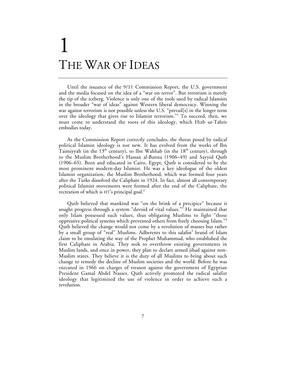## 1 THE WAR OF IDEAS

Until the issuance of the 9/11 Commission Report, the U.S. government and the media focused on the idea of a "war on terror". But terrorism is merely the tip of the iceberg. Violence is only one of the tools used by radical Islamists in the broader "war of ideas" against Western liberal democracy. Winning the war against terrorism is not possible unless the U.S. "prevail[s] in the longer term over the ideology that gives rise to Islamist terrorism."1 To succeed, then, we must come to understand the roots of this ideology, which Hizb ut-Tahrir embodies today.

As the Commission Report correctly concludes, the threat posed by radical political Islamist ideology is not new. It has evolved from the works of Ibn Taimiyyah (in the 13<sup>th</sup> century), to Ibn Wahhab (in the 18<sup>th</sup> century), through to the Muslim Brotherhood's Hassan al-Banna (1906–49) and Sayyid Qutb (1906–65). Born and educated in Cairo, Egypt, Qutb is considered to be the most prominent modern-day Islamist. He was a key ideologue of the oldest Islamist organization, the Muslim Brotherhood, which was formed four years after the Turks dissolved the Caliphate in 1924. In fact, almost all contemporary political Islamist movements were formed after the end of the Caliphate, the recreation of which is  $HT's$  principal goal.<sup>2</sup>

Qutb believed that mankind was "on the brink of a precipice" because it sought progress through a system "devoid of vital values."<sup>3</sup> He maintained that only Islam possessed such values, thus obligating Muslims to fight "those oppressive political systems which prevented others from freely choosing Islam."<sup>4</sup> Qutb believed the change would not come by a revolution of masses but rather by a small group of "real" Muslims. Adherents to this salafist<sup>5</sup> brand of Islam claim to be emulating the way of the Prophet Muhammad, who established the first Caliphate in Arabia. They seek to overthrow existing governments in Muslim lands, and once in power, they plan to declare armed jihad against non-Muslim states. They believe it is the duty of all Muslims to bring about such change to remedy the decline of Muslim societies and the world. Before he was executed in 1966 on charges of treason against the government of Egyptian President Gamal Abdel Nasser, Qutb actively promoted the radical salafist ideology that legitimized the use of violence in order to achieve such a revolution.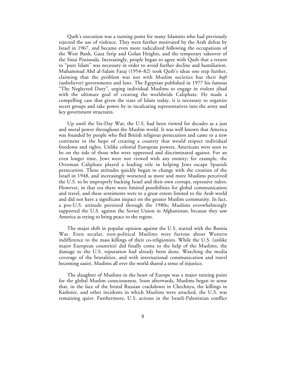Qutb's execution was a turning point for many Islamists who had previously rejected the use of violence. They were further motivated by the Arab defeat by Israel in 1967, and became even more radicalized following the occupations of the West Bank, Gaza Strip and Golan Heights, and the temporary takeover of the Sinai Peninsula. Increasingly, people began to agree with Qutb that a return to "pure Islam" was necessary in order to avoid further decline and humiliation. Muhammad Abd al-Salam Faraj (1954–82) took Qutb's ideas one step further, claiming that the problem was not with Muslim societies but their *kufr* (unbeliever) governments and laws. The Egyptian published in 1977 his famous "The Neglected Duty", urging individual Muslims to engage in violent jihad with the ultimate goal of creating the worldwide Caliphate. He made a compelling case that given the state of Islam today, it is necessary to organize secret groups and take power by in inculcating representatives into the army and key government structures.

Up until the Six-Day War, the U.S. had been viewed for decades as a just and moral power throughout the Muslim world. It was well known that America was founded by people who fled British religious persecution and came to a new continent in the hope of creating a country that would respect individual freedoms and rights. Unlike colonial European powers, Americans were seen to be on the side of those who were oppressed and discriminated against. For an even longer time, Jews were not viewed with any enmity; for example, the Ottoman Caliphate played a leading role in helping Jews escape Spanish persecution. These attitudes quickly began to change with the creation of the Israel in 1948, and increasingly worsened as more and more Muslims perceived the U.S. to be improperly backing Israel and their own corrupt, repressive rulers. However, in that era there were limited possibilities for global communication and travel, and these sentiments were to a great extent limited to the Arab world and did not have a significant impact on the greater Muslim community. In fact, a pro-U.S. attitude persisted through the 1980s; Muslims overwhelmingly supported the U.S. against the Soviet Union in Afghanistan, because they saw America as trying to bring peace to the region.

The major shift in popular opinion against the U.S. started with the Bosnia War. Even secular, non-political Muslims were furious about Western indifference to the mass killings of their co-religionists. While the U.S. (unlike major European countries) did finally come to the help of the Muslims, the damage to the U.S. reputation had already been done. Watching the media coverage of the brutalities, and with international communication and travel becoming easier, Muslims all over the world shared a sense of injustice.

The slaughter of Muslims in the heart of Europe was a major turning point for the global Muslim consciousness. Soon afterwards, Muslims began to sense that, in the face of the brutal Russian crackdown in Chechnya, the killings in Kashmir, and other incidents in which Muslims were attacked, the U.S. was remaining quiet. Furthermore, U.S. actions in the Israeli-Palestinian conflict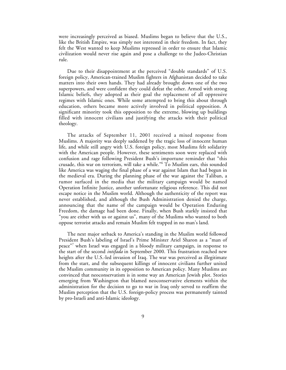were increasingly perceived as biased. Muslims began to believe that the U.S., like the British Empire, was simply not interested in their freedom. In fact, they felt the West wanted to keep Muslims repressed in order to ensure that Islamic civilization would never rise again and pose a challenge to the Judeo-Christian rule.

Due to their disappointment at the perceived "double standards" of U.S. foreign policy, American-trained Muslim fighters in Afghanistan decided to take matters into their own hands. They had already brought down one of the two superpowers, and were confident they could defeat the other. Armed with strong Islamic beliefs, they adopted as their goal the replacement of all oppressive regimes with Islamic ones. While some attempted to bring this about through education, others became more actively involved in political opposition. A significant minority took this opposition to the extreme, blowing up buildings filled with innocent civilians and justifying the attacks with their political theology.

The attacks of September 11, 2001 received a mixed response from Muslims. A majority was deeply saddened by the tragic loss of innocent human life, and while still angry with U.S. foreign policy, most Muslims felt solidarity with the American people. However, these sentiments soon were replaced with confusion and rage following President Bush's importune reminder that "this crusade, this war on terrorism, will take a while."6 To Muslim ears, this sounded like America was waging the final phase of a war against Islam that had begun in the medieval era. During the planning phase of the war against the Taliban, a rumor surfaced in the media that the military campaign would be named Operation Infinite Justice, another unfortunate religious reference. This did not escape notice in the Muslim world. Although the authenticity of the report was never established, and although the Bush Administration denied the charge, announcing that the name of the campaign would be Operation Enduring Freedom, the damage had been done. Finally, when Bush starkly insisted that "you are either with us or against us", many of the Muslims who wanted to both oppose terrorist attacks and remain Muslim felt trapped in no man's land.

The next major setback to America's standing in the Muslim world followed President Bush's labeling of Israel's Prime Minister Ariel Sharon as a "man of peace"<sup>7</sup> when Israel was engaged in a bloody military campaign, in response to the start of the second *intifada* in September 2000. This frustration reached new heights after the U.S.-led invasion of Iraq. The war was perceived as illegitimate from the start, and the subsequent killings of innocent civilians further united the Muslim community in its opposition to American policy. Many Muslims are convinced that neoconservatism is in some way an American Jewish plot. Stories emerging from Washington that blamed neoconservative elements within the administration for the decision to go to war in Iraq only served to reaffirm the Muslim perception that the U.S. foreign-policy process was permanently tainted by pro-Israeli and anti-Islamic ideology.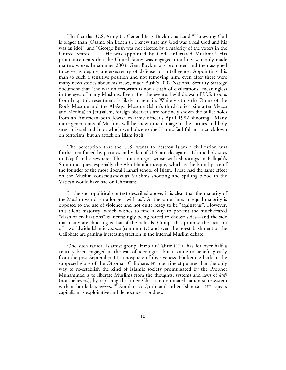The fact that U.S. Army Lt. General Jerry Boykin, had said "I knew my God is bigger than [Osama bin Laden's]. I knew that my God was a real God and his was an idol", and "George Bush was not elected by a majority of the voters in the United States. . . . He was appointed by God" infuriated Muslims.<sup>8</sup> His pronouncements that the United States was engaged in a holy war only made matters worse. In summer 2003, Gen. Boykin was promoted and then assigned to serve as deputy undersecretary of defense for intelligence. Appointing this man to such a sensitive position and not removing him, even after there were many news stories about his views, made Bush's 2002 National Security Strategy document that "the war on terrorism is not a clash of civilizations" meaningless in the eyes of many Muslims. Even after the eventual withdrawal of U.S. troops from Iraq, this resentment is likely to remain. While visiting the Dome of the Rock Mosque and the Al-Aqsa Mosque (Islam's third-holiest site after Mecca and Medina) in Jerusalem, foreign observer's are routinely shown the bullet holes from an American-born Jewish ex-army officer's April 1982 shooting.<sup>9</sup> Many more generations of Muslims will be shown the damage to the shrines and holy sites in Israel and Iraq, which symbolize to the Islamic faithful not a crackdown on terrorism, but an attack on Islam itself.

The perception that the U.S. wants to destroy Islamic civilization was further reinforced by pictures and video of U.S. attacks against Islamic holy sites in Najaf and elsewhere. The situation got worse with shootings in Fallujah's Sunni mosques, especially the Abu Hanifa mosque, which is the burial place of the founder of the most liberal Hanafi school of Islam. These had the same effect on the Muslim consciousness as Muslims shooting and spilling blood in the Vatican would have had on Christians.

In the socio-political context described above, it is clear that the majority of the Muslim world is no longer "with us". At the same time, an equal majority is opposed to the use of violence and not quite ready to be "against us". However, this silent majority, which wishes to find a way to prevent the much-feared "clash of civilizations" is increasingly being forced to choose sides—and the side that many are choosing is that of the radicals. Groups that promise the creation of a worldwide Islamic *umma* (community) and even the re-establishment of the Caliphate are gaining increasing traction in the internal Muslim debate.

One such radical Islamist group, Hizb ut-Tahrir (HT), has for over half a century been engaged in the war of ideologies, but it came to benefit greatly from the post-September 11 atmosphere of divisiveness. Harkening back to the supposed glory of the Ottoman Caliphate, HT doctrine stipulates that the only way to re-establish the kind of Islamic society promulgated by the Prophet Muhammad is to liberate Muslims from the thoughts, systems and laws of *kufr* (non-believers), by replacing the Judeo-Christian dominated nation-state system with a borderless *umma*. <sup>10</sup> Similar to Qutb and other Islamists, HT rejects capitalism as exploitative and democracy as godless.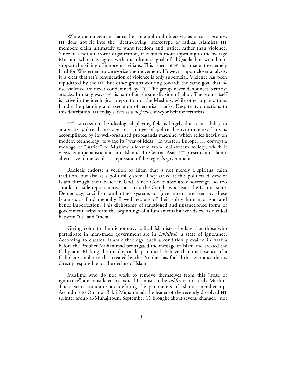While the movement shares the same political objectives as terrorist groups, HT does not fit into the "death-loving" stereotype of radical Islamists. HT members claim ultimately to want freedom and justice, rather than violence. Since it is not a terrorist organization, it is much more appealing to the average Muslim, who may agree with the ultimate goal of al-Qaeda but would not support the killing of innocent civilians. This aspect of HT has made it extremely hard for Westerners to categorize the movement. However, upon closer analysis, it is clear that HT's renunciation of violence is only superficial. Violence has been repudiated by the HT, but other groups working towards the same goal that *do* use violence are never condemned by HT. The group never denounces terrorist attacks. In many ways, HT is part of an elegant division of labor. The group itself is active in the ideological preparation of the Muslims, while other organizations handle the planning and execution of terrorist attacks. Despite its objections to this description, HT today serves as a *de facto* conveyor belt for terrorists.<sup>11</sup>

HT's success on the ideological playing field is largely due to its ability to adapt its political message to a range of political environments. This is accomplished by its well-organized propaganda machine, which relies heavily on modern technology, to wage its "war of ideas". In western Europe, HT conveys a message of "justice" to Muslims alienated from mainstream society, which it views as imperialistic and anti-Islamic. In Central Asia, HT presents an Islamic alternative to the secularist repression of the region's governments.

Radicals endorse a version of Islam that is not merely a spiritual faith tradition, but also as a political system. They arrive at this politicized view of Islam through their belief in God. Since God is absolutely sovereign, so too should his sole representative on earth, the Caliph, who leads the Islamic state. Democracy, socialism and other systems of government are seen by these Islamists as fundamentally flawed because of their solely human origin, and hence imperfection. This dichotomy of sanctioned and unsanctioned forms of government helps form the beginnings of a fundamentalist worldview as divided between "us" and "them".

Giving color to the dichotomy, radical Islamists stipulate that those who participate in man-made government are in *jahilliyah*, a state of ignorance. According to classical Islamic theology, such a condition prevailed in Arabia before the Prophet Muhammad propagated the message of Islam and created the Caliphate. Making the theological leap, radicals believe that the absence of a Caliphate similar to that created by the Prophet has fueled the ignorance that is directly responsible for the decline of Islam.

Muslims who do not work to remove themselves from this "state of ignorance" are considered by radical Islamists to be *takfir,* or not truly Muslim. These strict standards are defining the parameters of Islamic membership. According to Omar al-Bakri Muhammad, the leader of the recently dissolved HT splinter group al-Muhajiroun, September 11 brought about several changes, "not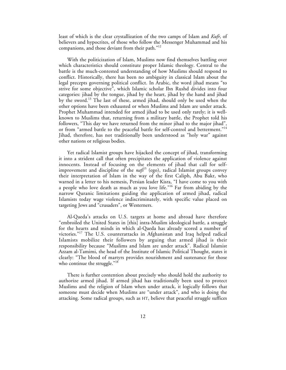least of which is the clear crystallization of the two camps of Islam and *Kufr*, of believers and hypocrites, of those who follow the Messenger Muhammad and his companions, and those deviant from their path."<sup>12</sup>

With the politicization of Islam, Muslims now find themselves battling over which characteristics should constitute proper Islamic theology. Central to the battle is the much-contested understanding of how Muslims should respond to conflict. Historically, there has been no ambiguity in classical Islam about the legal precepts governing political conflict. In Arabic, the word jihad means "to strive for some objective", which Islamic scholar Ibn Rushd divides into four categories: jihad by the tongue, jihad by the heart, jihad by the hand and jihad by the sword.13 The last of these, armed jihad, should only be used when the other options have been exhausted or when Muslims and Islam are under attack. Prophet Muhammad intended for armed jihad to be used only rarely; it is wellknown to Muslims that, returning from a military battle, the Prophet told his followers, "This day we have returned from the minor jihad to the major jihad", or from "armed battle to the peaceful battle for self-control and betterment."<sup>14</sup> Jihad, therefore, has not traditionally been understood as "holy war" against other nations or religious bodies.

Yet radical Islamist groups have hijacked the concept of jihad, transforming it into a strident call that often precipitates the application of violence against innocents. Instead of focusing on the elements of jihad that call for selfimprovement and discipline of the *nafs*<sup>15</sup> (ego), radical Islamist groups convey their interpretation of Islam in the way of the first Caliph, Abu Bakr, who warned in a letter to his nemesis, Persian leader Kisra, "I have come to you with a people who love death as much as you love life."16 Far from abiding by the narrow Quranic limitations guiding the application of armed jihad, radical Islamists today wage violence indiscriminately, with specific value placed on targeting Jews and "crusaders", or Westerners.

Al-Qaeda's attacks on U.S. targets at home and abroad have therefore "embroiled the United States in [this] intra-Muslim ideological battle, a struggle for the hearts and minds in which al-Qaeda has already scored a number of victories."<sup>17</sup> The U.S. counterattacks in Afghanistan and Iraq helped radical Islamists mobilize their followers by arguing that armed jihad is their responsibility because "Muslims and Islam are under attack". Radical Islamist Azzam al-Tamimi, the head of the Institute of Islamic Political Thought, states it clearly: "The blood of martyrs provides nourishment and sustenance for those who continue the struggle."<sup>18</sup>

There is further contention about precisely who should hold the authority to authorize armed jihad. If armed jihad has traditionally been used to protect Muslims and the religion of Islam when under attack, it logically follows that someone must decide when Muslims are "under attack", and who is doing the attacking. Some radical groups, such as HT, believe that peaceful struggle suffices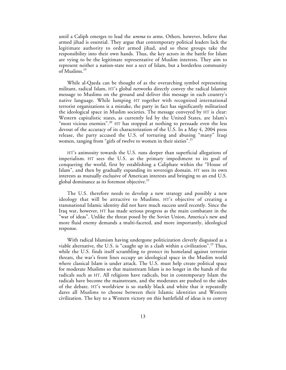until a Caliph emerges to lead the *umma* to arms. Others, however, believe that armed jihad is essential. They argue that contemporary political leaders lack the legitimate authority to order armed jihad, and so these groups take the responsibility into their own hands. Thus, the key actors in the battle for Islam are vying to be the legitimate representative of Muslim interests. They aim to represent neither a nation-state nor a sect of Islam, but a borderless community of Muslims.<sup>19</sup>

While al-Qaeda can be thought of as the overarching symbol representing militant, radical Islam, HT's global networks directly convey the radical Islamist message to Muslims on the ground and deliver this message in each country's native language. While lumping HT together with recognized international terrorist organizations is a mistake, the party in fact has significantly militarized the ideological space in Muslim societies. The message conveyed by HT is clear: Western capitalistic states, as currently led by the United States, are Islam's "most vicious enemies".<sup>20</sup> HT has stopped at nothing to persuade even the less devout of the accuracy of its characterization of the U.S. In a May 4, 2004 press release, the party accused the U.S. of torturing and abusing "many" Iraqi women, ranging from "girls of twelve to women in their sixties".<sup>21</sup>

HT's animosity towards the U.S. runs deeper than superficial allegations of imperialism. HT sees the U.S. as the primary impediment to its goal of conquering the world, first by establishing a Caliphate within the "House of Islam", and then by gradually expanding its sovereign domain. HT sees its own interests as mutually exclusive of American interests and bringing to an end U.S. global dominance as its foremost objective.<sup>22</sup>

The U.S. therefore needs to develop a new strategy and possibly a new ideology that will be attractive to Muslims. HT's objective of creating a transnational Islamic identity did not have much success until recently. Since the Iraq war, however, HT has made serious progress as the main combatant in the "war of ideas". Unlike the threat posed by the Soviet Union, America's new and more fluid enemy demands a multi-faceted, and more importantly, ideological response.

With radical Islamism having undergone politicization cleverly disguised as a viable alternative, the U.S. is "caught up in a clash within a civilization".<sup>23</sup> Thus, while the U.S. finds itself scrambling to protect its homeland against terrorist threats, the war's front lines occupy an ideological space in the Muslim world where classical Islam is under attack. The U.S. must help create political space for moderate Muslims so that mainstream Islam is no longer in the hands of the radicals such as HT. All religions have radicals, but in contemporary Islam the radicals have become the mainstream, and the moderates are pushed to the sides of the debate. HT's worldview is so starkly black and white that it repeatedly dares all Muslims to choose between their Islamic identities and Western civilization. The key to a Western victory on this battlefield of ideas is to convey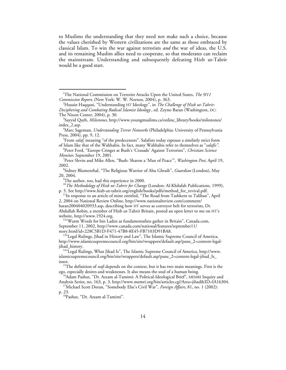to Muslims the understanding that they need not make such a choice, because the values cherished by Western civilizations are the same as those embraced by classical Islam. To win the war against terrorists *and* the war of ideas, the U.S. and its remaining Muslim allies need to cooperate, so that moderates can reclaim the mainstream. Understanding and subsequently defeating Hizb ut-Tahrir would be a good start.

<sup>5</sup>From *salaf*, meaning "of the predecessors". Salafists today espouse a similarly strict form of Islam like that of the Wahhabis. In fact, many Wahhabis refer to themselves as "*salafis"*. <sup>6</sup>

Peter Ford, "Europe Cringes at Bush's 'Crusade' Against Terrorists", *Christian Science Monitor*, September 19, 2001.

Peter Slevin and Mike Allen, "Bush: Sharon a 'Man of Peace'", *Washington Post*, April 19, 2002.

Sidney Blumenthal, "The Religious Warrior of Abu Ghraib", *Guardian* (London), May 20, 2004. <sup>9</sup>

The author, too, had this experience in 2000.

September 11, 2002, http://www.canada.com/national/features/september11/

story.html?id=228C5B1D-F471-47B8-8E45-FB7103D91BA8. 13"Legal Rulings, Jihad in History and Law", The Islamic Supreme Council of America, http://www.islamicsupremecouncil.org/bin/site/wrappers/default.asp?pane\_2=content-legaljihad\_history. 14"Legal Rulings, What Jihad Is", The Islamic Supreme Council of America, http://www.

islamicsupremecouncil.org/bin/site/wrappers/default.asp?pane\_2=content-legal-jihad\_Is\_ isnot. 15The definition of *nafs* depends on the context, but it has two main meanings. First is the

p. 23. 18Pashut, "Dr. Azzam al-Tamimi"*.*

1 The National Commission on Terrorist Attacks Upon the United States, *The 9/11 Commission Report*, (New York: W. W. Norton, 2004), p. 363.

Husain Haqqani, "Understanding HT Ideology", in *The Challenge of Hizb ut-Tahrir: Deciphering and Combating Radical Islamist Ideology* , ed. Zeyno Baran (Washington, DC: The Nixon Center, 2004), p. 30.

Sayyid Qutb, *Milestones*, http://www.youngmuslims.ca/online\_library/books/milestones/ index\_2.asp. <sup>4</sup>

Marc Sageman, *Understanding Terror Networks* (Philadelphia: University of Pennsylvania Press, 2004), pp. 9, 12.

<sup>&</sup>lt;sup>10</sup>*The Methodology of Hizb ut-Tahrir for Change* (London: Al-Khilafah Publications, 1999), p. 5. See http://www.hizb-ut-tahrir.org/english/books/pdfs/method\_for\_revival.pdf.

<sup>&</sup>lt;sup>11</sup>In response to an article of mine entitled, "The Road from Tashkent to Taliban", April 2, 2004 on National Review Online, http://www.nationalreview.com/comment/

baran200404020933.asp, describing how HT serves as conveyor belt for terrorists, Dr. Abdullah Robin, a member of Hizb ut-Tahrir Britain, posted an open letter to me on HT's website, http://www.1924.org.<br><sup>12</sup>"Warm Words for bin Laden as fundamentalists gather in Britain", Canada.com,

ego, especially desires and weaknesses. It also means the soul of a human being.<br><sup>16</sup>Adam Pashut, "Dr. Azzam al-Tamimi: A Political-Ideological Brief", MEMRI Inquiry and

Analysis Series, no. 163, p. 3. http://www.memri.org/bin/articles.cgi?Area=jihad&ID=IA16304. 17Michael Scott Doran, "Somebody Else's Civil War", *Foreign Affairs*, 81, no. 1 (2002):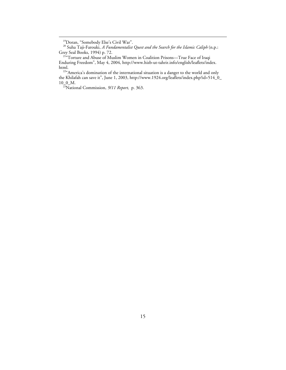<sup>19</sup>Doran, "Somebody Else's Civil War".

20 Suha Taji-Farouki, *A Fundamentalist Quest and the Search for the Islamic Caliph* (n.p.: Grey Seal Books, 1994) p. 72.<br><sup>21</sup>"Torture and Abuse of Muslim Women in Coalition Prisons—True Face of Iraqi

Enduring Freedom", May 4, 2004, http://www.hizb-ut-tahrir.info/english/leaflets/index. html.<br><sup>22</sup>"America's domination of the international situation is a danger to the world and only

the Khilafah can save it", June 1, 2003, http://www.1924.org/leaflets/index.php?id=514\_0\_ 10\_0\_M. 23National Commission, *9/11 Report,* p. 363.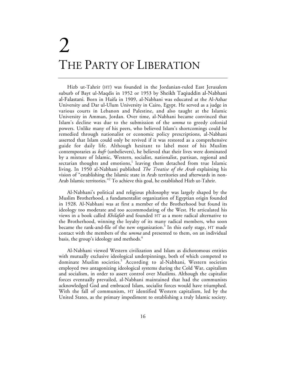## 2 THE PARTY OF LIBERATION

Hizb ut-Tahrir (HT) was founded in the Jordanian-ruled East Jerusalem suburb of Bayt ul-Maqdis in 1952 or 1953 by Sheikh Taqiuddin al-Nabhani al-Falastani. Born in Haifa in 1909, al-Nabhani was educated at the Al-Azhar University and Dar ul-Ulum University in Cairo, Egypt. He served as a judge in various courts in Lebanon and Palestine, and also taught at the Islamic University in Amman, Jordan. Over time, al-Nabhani became convinced that Islam's decline was due to the submission of the *umma* to greedy colonial powers. Unlike many of his peers, who believed Islam's shortcomings could be remedied through nationalist or economic policy prescriptions, al-Nabhani asserted that Islam could only be revived if it was restored as a comprehensive guide for daily life. Although hesitant to label most of his Muslim contemporaries as *kufr* (unbelievers), he believed that their lives were dominated by a mixture of Islamic, Western, socialist, nationalist, partisan, regional and sectarian thoughts and emotions,<sup>1</sup> leaving them detached from true Islamic living. In 1950 al-Nabhani published *The Treatise of the Arab* explaining his vision of "establishing the Islamic state in Arab territories and afterwards in non-Arab Islamic territories."2 To achieve this goal, he established Hizb ut-Tahrir.

Al-Nabhani's political and religious philosophy was largely shaped by the Muslim Brotherhood, a fundamentalist organization of Egyptian origin founded in 1928. Al-Nabhani was at first a member of the Brotherhood but found its ideology too moderate and too accommodating of the West. He articulated his views in a book called *Khilafah* and founded HT as a more radical alternative to the Brotherhood, winning the loyalty of its many radical members, who soon became the rank-and-file of the new organization.<sup>3</sup> In this early stage,  $HT$  made contact with the members of the *umma* and presented to them, on an individual basis, the group's ideology and methods.<sup>4</sup>

Al-Nabhani viewed Western civilization and Islam as dichotomous entities with mutually exclusive ideological underpinnings, both of which competed to dominate Muslim societies.<sup>5</sup> According to al-Nabhani, Western societies employed two antagonizing ideological systems during the Cold War, capitalism and socialism, in order to assert control over Muslims. Although the capitalist forces eventually prevailed, al-Nabhani maintained that had the communists acknowledged God and embraced Islam, socialist forces would have triumphed. With the fall of communism, HT identified Western capitalism, led by the United States, as the primary impediment to establishing a truly Islamic society.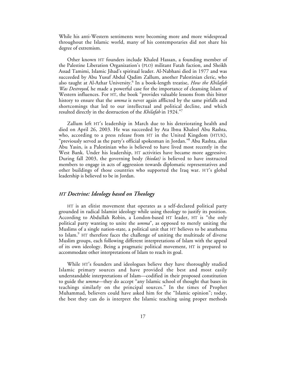While his anti-Western sentiments were becoming more and more widespread throughout the Islamic world, many of his contemporaries did not share his degree of extremism.

Other known HT founders include Khaled Hassan, a founding member of the Palestine Liberation Organization's (PLO) militant Fatah faction, and Sheikh Assad Tamimi, Islamic Jihad's spiritual leader. Al-Nabhani died in 1977 and was succeeded by Abu Yusuf Abdul Qadim Zallum, another Palestinian cleric, who also taught at Al-Azhar University.<sup>6</sup> In a book-length treatise, *How the Khilafah Was Destroyed*, he made a powerful case for the importance of cleansing Islam of Western influences. For HT, the book "provides valuable lessons from this bitter history to ensure that the *umma* is never again afflicted by the same pitfalls and shortcomings that led to our intellectual and political decline, and which resulted directly in the destruction of the *Khilafah* in 1924."

Zallum left HT's leadership in March due to his deteriorating health and died on April 26, 2003. He was succeeded by Ata Ibnu Khaleel Abu Rashta, who, according to a press release from HT in the United Kingdom (HTUK), "previously served as the party's official spokesman in Jordan."8 Abu Rashta, alias Abu Yasin, is a Palestinian who is believed to have lived most recently in the West Bank. Under his leadership, HT activities have became more aggressive. During fall 2003, the governing body *(kiedat)* is believed to have instructed members to engage in acts of aggression towards diplomatic representatives and other buildings of those countries who supported the Iraq war. H T's global leadership is believed to be in Jordan.

#### *HT Doctrine: Ideology based on Theology*

HT is an elitist movement that operates as a self-declared political party grounded in radical Islamist ideology while using theology to justify its position. According to Abdullah Robin, a London-based HT leader, HT is "the only political party wanting to unite the *umma*", as opposed to merely uniting the Muslims of a single nation-state, a political unit that HT believes to be anathema to Islam.<sup>9</sup> HT therefore faces the challenge of uniting the multitude of diverse Muslim groups, each following different interpretations of Islam with the appeal of its own ideology. Being a pragmatic political movement, HT is prepared to accommodate other interpretations of Islam to reach its goal.

While HT's founders and ideologues believe they have thoroughly studied Islamic primary sources and have provided the best and most easily understandable interpretations of Islam—codified in their proposed constitution to guide the *umma*—they do accept "any Islamic school of thought that bases its teachings similarly on the principal sources." In the times of Prophet Muhammad, believers could have asked him for the "Islamic opinion"; today, the best they can do is interpret the Islamic teaching using proper methods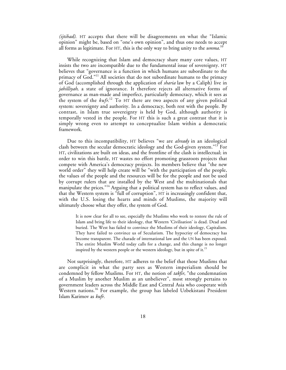*(ijtihad)*. HT accepts that there will be disagreements on what the "Islamic opinion" might be, based on "one's own opinion", and thus one needs to accept all forms as legitimate. For HT, this is the only way to bring unity to the *umma*. 10

While recognizing that Islam and democracy share many core values, HT insists the two are incompatible due to the fundamental issue of sovereignty. HT believes that "governance is a function in which humans are subordinate to the primacy of God."<sup>11</sup> All societies that do not subordinate humans to the primacy of God (accomplished through the application of *sharia* law by a Caliph) live in *jahilliyah*, a state of ignorance. It therefore rejects all alternative forms of governance as man-made and imperfect, particularly democracy, which it sees as the system of the *kufr*. <sup>12</sup> To HT there are two aspects of any given political system: sovereignty and authority. In a democracy, both rest with the people. By contrast, in Islam true sovereignty is held by God, although authority is temporally vested in the people. For HT this is such a great contrast that it is simply wrong even to attempt to conceptualize Islam within a democratic framework.

Due to this incompatibility, HT believes "we are *already* in an ideological clash between the secular democratic ideology and the God-given system."13 For HT, civilizations are built on ideas, and the frontline of the clash is intellectual; in order to win this battle, HT wastes no effort promoting grassroots projects that compete with America's democracy projects. Its members believe that "the new world order" they will help create will be "with the participation of the people, the values of the people and the resources will be for the people and not be used by corrupt rulers that are installed by the West and the multinationals that manipulate the prices."<sup>14</sup> Arguing that a political system has to reflect values, and that the Western system is "full of corruption", HT is increasingly confident that, with the U.S. losing the hearts and minds of Muslims, the majority will ultimately choose what they offer, the system of God.

It is now clear for all to see, especially the Muslims who work to restore the rule of Islam and bring life to their ideology, that Western 'Civilisation' is dead. Dead and buried. The West has failed to convince the Muslims of their ideology, Capitalism. They have failed to convince us of Secularism. The hypocrisy of democracy has become transparent. The charade of international law and the UN has been exposed. The entire Muslim World today calls for a change, and this change is no longer inspired by the western people or the western ideology, but in spite of it.<sup>15</sup>

Not surprisingly, therefore, HT adheres to the belief that those Muslims that are complicit in what the party sees as Western imperialism should be condemned by fellow Muslims. For HT, the notion of *takfir*, "the condemnation of a Muslim by another Muslim as an unbeliever", most strongly pertains to government leaders across the Middle East and Central Asia who cooperate with Western nations.<sup>16</sup> For example, the group has labeled Uzbekistani President Islam Karimov as *kufr*.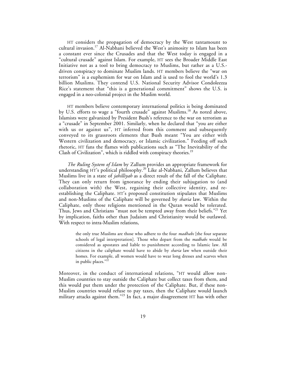HT considers the propagation of democracy by the West tantamount to cultural invasion.<sup>17</sup> Al-Nabhani believed the West's animosity to Islam has been a constant ever since the Crusades and that the West today is engaged in a "cultural crusade" against Islam. For example, HT sees the Broader Middle East Initiative not as a tool to bring democracy to Muslims, but rather as a U.S. driven conspiracy to dominate Muslim lands. HT members believe the "war on terrorism" is a euphemism for war on Islam and is used to fool the world's 1.3 billion Muslims. They contend U.S. National Security Advisor Condoleezza Rice's statement that "this is a generational commitment" shows the U.S. is engaged in a neo-colonial project in the Muslim world.

HT members believe contemporary international politics is being dominated by U.S. efforts to wage a "fourth crusade" against Muslims.<sup>18</sup> As noted above, Islamists were galvanized by President Bush's reference to the war on terrorism as a "crusade" in September 2001. Similarly, when he declared that "you are either with us or against us", HT inferred from this comment and subsequently conveyed to its grassroots elements that Bush meant "You are either with Western civilization and democracy, or Islamic civilization." Feeding off such rhetoric, HT fans the flames with publications such as "The Inevitability of the Clash of Civilization", which is riddled with conspiracy theories.<sup>19</sup>

*The Ruling System of Islam* by Zallum provides an appropriate framework for understanding HT's political philosophy.<sup>20</sup> Like al-Nabhani, Zallum believes that Muslims live in a state of *jahilliyah* as a direct result of the fall of the Caliphate. They can only return from ignorance by ending their subjugation to (and collaboration with) the West, regaining their collective identity, and reestablishing the Caliphate. HT's proposed constitution stipulates that Muslims and non-Muslims of the Caliphate will be governed by *sharia* law. Within the Caliphate, only those religions mentioned in the Quran would be tolerated. Thus, Jews and Christians "must not be tempted away from their beliefs."<sup>21</sup> Yet by implication, faiths other than Judaism and Christianity would be outlawed. With respect to intra-Muslim relations,

the only true Muslims are those who adhere to the four *madhabs* [the four separate schools of legal interpretation]. Those who depart from the *madhabs* would be considered as apostates and liable to punishment according to Islamic law. All citizens in the caliphate would have to abide by *sharia* law when outside their homes. For example, all women would have to wear long dresses and scarves when in public places."22

Moreover, in the conduct of international relations, "HT would allow non-Muslim countries to stay outside the Caliphate but collect taxes from them, and this would put them under the protection of the Caliphate. But, if these non-Muslim countries would refuse to pay taxes, then the Caliphate would launch military attacks against them."<sup>23</sup> In fact, a major disagreement HT has with other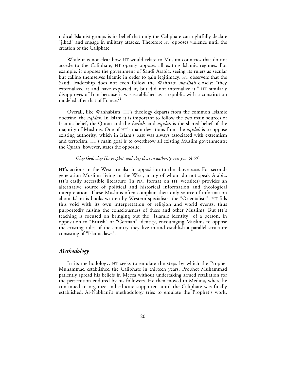radical Islamist groups is its belief that only the Caliphate can rightfully declare "jihad" and engage in military attacks. Therefore HT opposes violence until the creation of the Caliphate.

While it is not clear how HT would relate to Muslim countries that do not accede to the Caliphate, HT openly opposes all exiting Islamic regimes. For example, it opposes the government of Saudi Arabia, seeing its rulers as secular but calling themselves Islamic in order to gain legitimacy. HT observers that the Saudi leadership does not even follow the Wahhabi *madhab* closely: "they externalized it and have exported it, but did not internalize it." HT similarly disapproves of Iran because it was established as a republic with a constitution modeled after that of France.<sup>24</sup>

Overall, like Wahhabism, HT's theology departs from the common Islamic doctrine, the *aqidah.* In Islam it is important to follow the two main sources of Islamic belief, the Quran and the *hadith*, and *aqidah* is the shared belief of the majority of Muslims. One of HT's main deviations from the *aqidah* is to oppose existing authority, which in Islam's past was always associated with extremism and terrorism. HT's main goal is to overthrow all existing Muslim governments; the Quran, however, states the opposite:

#### *Obey God, obey His prophet, and obey those in authority over you.* (4:59)

HT's actions in the West are also in opposition to the above *sura*. For secondgeneration Muslims living in the West, many of whom do not speak Arabic, HT's easily accessible literature (in PDF format on HT websites) provides an alternative source of political and historical information and theological interpretation. These Muslims often complain their only source of information about Islam is books written by Western specialists, the "Orientalists". HT fills this void with its own interpretation of religion and world events, thus purportedly raising the consciousness of these and other Muslims. But HT's teaching is focused on bringing out the "Islamic identity" of a person, in opposition to "British" or "German" identity, encouraging Muslims to oppose the existing rules of the country they live in and establish a parallel structure consisting of "Islamic laws".

#### *Methodology*

In its methodology, HT seeks to emulate the steps by which the Prophet Muhammad established the Caliphate in thirteen years. Prophet Muhammad patiently spread his beliefs in Mecca without undertaking armed retaliation for the persecution endured by his followers. He then moved to Medina, where he continued to organize and educate supporters until the Caliphate was finally established. Al-Nabhani's methodology tries to emulate the Prophet's work,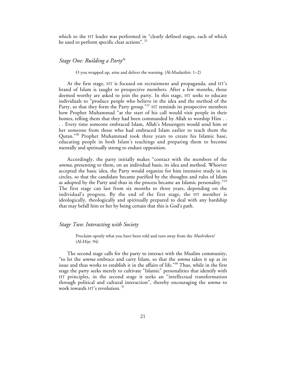which to the HT leader was performed in "clearly defined stages, each of which he used to perform specific clear actions". <sup>25</sup>

#### *Stage One: Building a Party26*

O you wrapped up, arise and deliver the warning. (Al-Mudatthir: 1–2)

At the first stage, HT is focused on recruitment and propaganda, and HT's brand of Islam is taught to prospective members. After a few months, those deemed worthy are asked to join the party. In this stage, HT seeks to educate individuals to "produce people who believe in the idea and the method of the Party, so that they form the Party group."<sup>27</sup> HT reminds its prospective members how Prophet Muhammad "at the start of his call would visit people in their homes, telling them that they had been commanded by Allah to worship Him . . . . Every time someone embraced Islam, Allah's Messengers would send him or her someone from those who had embraced Islam earlier to teach them the Quran."28 Prophet Muhammad took three years to create his Islamic base, educating people in both Islam's teachings and preparing them to become mentally and spiritually strong to endure opposition.

Accordingly, the party initially makes "contact with the members of the *umma*, presenting to them, on an individual basis, its idea and method. Whoever accepted the basic idea, the Party would organize for him intensive study in its circles, so that the candidate became purified by the thoughts and rules of Islam as adopted by the Party and thus in the process became an Islamic personality."<sup>29</sup> The first stage can last from six months to three years, depending on the individual's progress. By the end of the first stage, the HT member is ideologically, theologically and spiritually prepared to deal with any hardship that may befall him or her by being certain that this is God's path.

#### *Stage Two: Interacting with Society*

Proclaim openly what you have been told and turn away from the *Mushrikeen!* (Al-Hijr: 94)

The second stage calls for the party to interact with the Muslim community, "to let the *umma* embrace and carry Islam, so that the *umma* takes it up as its issue and thus works to establish it in the affairs of life."30 Thus, while in the first stage the party seeks merely to cultivate "Islamic" personalities that identify with HT principles, in the second stage it seeks an "intellectual transformation through political and cultural interaction", thereby encouraging the *umma* to work towards HT's revolution.<sup>31</sup>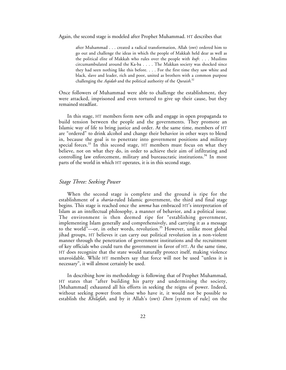Again, the second stage is modeled after Prophet Muhammad. HT describes that

after Muhammad . . . created a radical transformation, Allah (swt) ordered him to go out and challenge the ideas in which the people of Makkah held dear as well as the political elite of Makkah who rules over the people with *kufr.* . . . Muslims circumambulated around the Ka-ba . . . . The Makkan society was shocked since they had seen nothing like this before. . . . For the first time they saw white and black, slave and leader, rich and poor, united as brothers with a common purpose challenging the *Aqidah* and the political authority of the *Quraish*. 32

Once followers of Muhammad were able to challenge the establishment, they were attacked, imprisoned and even tortured to give up their cause, but they remained steadfast.

In this stage, HT members form new cells and engage in open propaganda to build tension between the people and the governments. They promote an Islamic way of life to bring justice and order. At the same time, members of HT are "ordered" to drink alcohol and change their behavior in other ways to blend in, because the goal is to penetrate into government positions and military special forces. $33$  In this second stage, HT members must focus on what they believe, not on what they do, in order to achieve their aim of infiltrating and controlling law enforcement, military and bureaucratic institutions.<sup>34</sup> In most parts of the world in which HT operates, it is in this second stage.

#### *Stage Three: Seeking Power*

When the second stage is complete and the ground is ripe for the establishment of a *sharia*-ruled Islamic government, the third and final stage begins. This stage is reached once the *umma* has embraced HT's interpretation of Islam as an intellectual philosophy, a manner of behavior, and a political issue. The environment is then deemed ripe for "establishing government, implementing Islam generally and comprehensively, and carrying it as a message to the world"-or, in other words, revolution.<sup>35</sup> However, unlike most global jihad groups, HT believes it can carry out political revolution in a non-violent manner through the penetration of government institutions and the recruitment of key officials who could turn the government in favor of HT. At the same time, HT does recognize that the state would naturally protect itself, making violence unavoidable. While HT members say that force will not be used "unless it is necessary", it will almost certainly be used.

In describing how its methodology is following that of Prophet Muhammad, HT states that "after building his party and undermining the society, [Muhammad] exhausted all his efforts in seeking the reigns of power. Indeed, without seeking power from those who have it, it would not be possible to establish the *Khilafah*, and by it Allah's (swt) *Deen* [system of rule] on the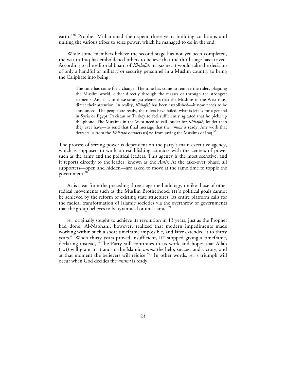earth."<sup>36</sup> Prophet Muhammad then spent three years building coalitions and uniting the various tribes to seize power, which he managed to do in the end.

While some members believe the second stage has not yet been completed, the war in Iraq has emboldened others to believe that the third stage has arrived. According to the editorial board of *Khilafah* magazine, it would take the decision of only a handful of military or security personnel in a Muslim country to bring the Caliphate into being:

The time has come for a change. The time has come to remove the rulers plaguing the Muslim world, either directly through the masses or through the strongest elements. And it is to these strongest elements that the Muslims in the West must direct their attention. In reality, *Khilafah* has been established—it now needs to be announced. The people are ready, the rulers have failed, what is left is for a general in Syria or Egypt, Pakistan or Turkey to feel sufficiently agitated that he picks up the phone. The Muslims in the West need to call louder for *Khilafah*, louder than they ever have—to send that final message that the *umma* is ready. Any work that detracts us from the *Khilafah* detracts us[*sic*] from saving the Muslims of Iraq.37

The process of seizing power is dependent on the party's main executive agency, which is supposed to work on establishing contacts with the centers of power such as the army and the political leaders. This agency is the most secretive, and it reports directly to the leader, known as the *Amir*. At the take-over phase, all supporters—open and hidden—are asked to move at the same time to topple the government.<sup>38</sup>

As is clear from the preceding three-stage methodology, unlike those of other radical movements such as the Muslim Brotherhood, HT's political goals cannot be achieved by the reform of existing state structures. Its entire platform calls for the radical transformation of Islamic societies via the overthrow of governments that the group believes to be tyrannical or un-Islamic.<sup>39</sup>

HT originally sought to achieve its revolution in 13 years, just as the Prophet had done. Al-Nabhani, however, realized that modern impediments made working within such a short timeframe impossible, and later extended it to thirty years.<sup>40</sup> When thirty years proved insufficient, HT stopped giving a timeframe, declaring instead, "The Party still continues in its work and hopes that Allah (swt) will grant to it and to the Islamic *umma* the help, success and victory, and at that moment the believers will rejoice."<sup>41</sup> In other words, HT's triumph will occur when God decides the *umma* is ready.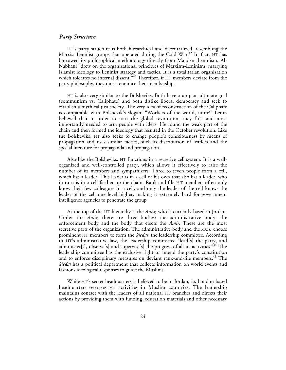#### *Party Structure*

HT's party structure is both hierarchical and decentralized, resembling the Marxist-Leninist groups that operated during the Cold War.<sup>42</sup> In fact, HT has borrowed its philosophical methodology directly from Marxism-Leninism. Al-Nabhani "drew on the organizational principles of Marxism-Leninism, marrying Islamist ideology to Leninist strategy and tactics. It is a totalitarian organization which tolerates no internal dissent.<sup>"43</sup> Therefore, if HT members deviate from the party philosophy, they must renounce their membership.

HT is also very similar to the Bolsheviks. Both have a utopian ultimate goal (communism vs. Caliphate) and both dislike liberal democracy and seek to establish a mythical just society. The very idea of reconstruction of the Caliphate is comparable with Bolshevik's slogan: "Workers of the world, unite!" Lenin believed that in order to start the global revolution, they first and most importantly needed to arm people with ideas. He found the weak part of the chain and then formed the ideology that resulted in the October revolution. Like the Bolsheviks, HT also seeks to change people's consciousness by means of propagation and uses similar tactics, such as distribution of leaflets and the special literature for propaganda and propagation.

Also like the Bolsheviks, HT functions in a secretive cell system. It is a wellorganized and well-controlled party, which allows it effectively to raise the number of its members and sympathizers. Three to seven people form a cell, which has a leader. This leader is in a cell of his own that also has a leader, who in turn is in a cell farther up the chain. Rank-and-file HT members often only know their few colleagues in a cell, and only the leader of the cell knows the leader of the cell one level higher, making it extremely hard for government intelligence agencies to penetrate the group

At the top of the HT hierarchy is the *Amir,* who is currently based in Jordan. Under the *Amir*, there are three bodies: the administrative body, the enforcement body and the body that elects the *Amir.* These are the most secretive parts of the organization. The administrative body and the *Amir* choose prominent HT members to form the *kiedat,* the leadership committee. According to HT's administrative law, the leadership committee "lead[s] the party, and administer[s], observe[s] and supervise[s] the progress of all its activities." $44$  The leadership committee has the exclusive right to amend the party's constitution and to enforce disciplinary measures on deviant rank-and-file members.<sup>45</sup> The *kiedat* has a political department that collects information on world events and fashions ideological responses to guide the Muslims.

While HT's secret headquarters is believed to be in Jordan, its London-based headquarters oversees HT activities in Muslim countries. The leadership maintains contact with the leaders of all national HT branches and directs their actions by providing them with funding, education materials and other necessary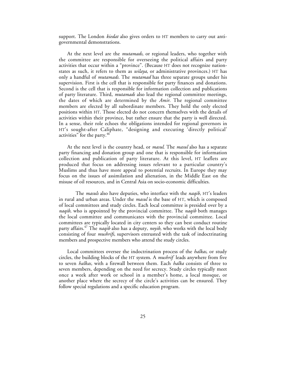support. The London *kiedat* also gives orders to HT members to carry out antigovernmental demonstrations.

At the next level are the *mutamads*, or regional leaders, who together with the committee are responsible for overseeing the political affairs and party activities that occur within a "province". (Because HT does not recognize nationstates as such, it refers to them as *wilaya*, or administrative provinces.) HT has only a handful of *mutamads.* The *mutamad* has three separate groups under his supervision. First is the cell that is responsible for party finances and donations. Second is the cell that is responsible for information collection and publications of party literature. Third, *mutamads* also lead the regional committee meetings, the dates of which are determined by the *Amir*. The regional committee members are elected by all subordinate members. They hold the only elected positions within HT. Those elected do not concern themselves with the details of activities within their province, but rather ensure that the party is well directed. In a sense, their role echoes the obligations intended for regional governors in HT's sought-after Caliphate, "designing and executing 'directly political' activities" for the party.<sup>46</sup>

At the next level is the country head, or *masul*. The *masul* also has a separate party financing and donation group and one that is responsible for information collection and publication of party literature. At this level, HT leaflets are produced that focus on addressing issues relevant to a particular country's Muslims and thus have more appeal to potential recruits. In Europe they may focus on the issues of assimilation and alienation, in the Middle East on the misuse of oil resources, and in Central Asia on socio-economic difficulties.

The *masuls* also have deputies, who interface with the *naqib,* HT's leaders in rural and urban areas. Under the *masul* is the base of HT, which is composed of local committees and study circles. Each local committee is presided over by a *naqib,* who is appointed by the provincial committee. The *naqib* both manages the local committee and communicates with the provincial committee. Local committees are typically located in city centers so they can best conduct routine party affairs.47 The *naqib* also has a deputy, *noyib,* who works with the local body consisting of four *mushrifs*, supervisors entrusted with the task of indoctrinating members and prospective members who attend the study circles.

Local committees oversee the indoctrination process of the *halkas*, or study circles, the building blocks of the HT system. A *mushrif* leads anywhere from five to seven *halkas,* with a firewall between them*.* Each *halka* consists of three to seven members, depending on the need for secrecy. Study circles typically meet once a week after work or school in a member's home, a local mosque, or another place where the secrecy of the circle's activities can be ensured. They follow special regulations and a specific education program.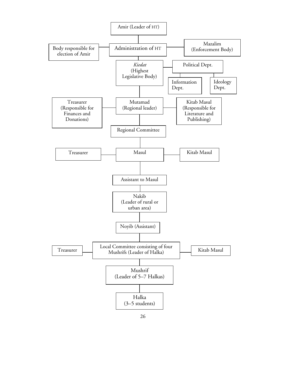

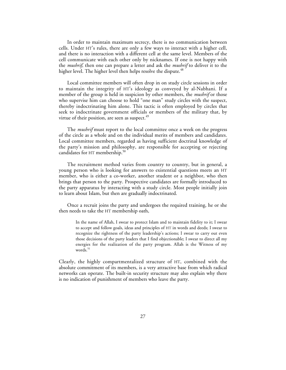In order to maintain maximum secrecy, there is no communication between cells. Under HT's rules, there are only a few ways to interact with a higher cell, and there is no interaction with a different cell at the same level. Members of the cell communicate with each other only by nicknames. If one is not happy with the *mushrif*, then one can prepare a letter and ask the *mushrif* to deliver it to the higher level. The higher level then helps resolve the dispute.<sup>48</sup>

Local committee members will often drop in on study circle sessions in order to maintain the integrity of HT's ideology as conveyed by al-Nabhani. If a member of the group is held in suspicion by other members, the *mushrif* or those who supervise him can choose to hold "one man" study circles with the suspect, thereby indoctrinating him alone. This tactic is often employed by circles that seek to indoctrinate government officials or members of the military that, by virtue of their position, are seen as suspect.<sup>49</sup>

The *mushrif* must report to the local committee once a week on the progress of the circle as a whole and on the individual merits of members and candidates. Local committee members, regarded as having sufficient doctrinal knowledge of the party's mission and philosophy, are responsible for accepting or rejecting candidates for HT membership. $50$ 

The recruitment method varies from country to country, but in general, a young person who is looking for answers to existential questions meets an HT member, who is either a co-worker, another student or a neighbor, who then brings that person to the party. Prospective candidates are formally introduced to the party apparatus by interacting with a study circle. Most people initially join to learn about Islam, but then are gradually indoctrinated.

Once a recruit joins the party and undergoes the required training, he or she then needs to take the HT membership oath,

In the name of Allah, I swear to protect Islam and to maintain fidelity to it; I swear to accept and follow goals, ideas and principles of HT in words and deeds; I swear to recognize the rightness of the party leadership's actions; I swear to carry out even those decisions of the party leaders that I find objectionable; I swear to direct all my energies for the realization of the party program. Allah is the Witness of my words.<sup>51</sup>

Clearly, the highly compartmentalized structure of HT, combined with the absolute commitment of its members, is a very attractive base from which radical networks can operate. The built-in security structure may also explain why there is no indication of punishment of members who leave the party.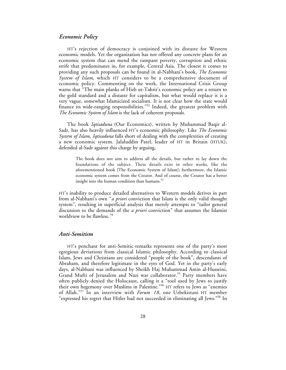#### *Economic Policy*

HT's rejection of democracy is conjoined with its distaste for Western economic models. Yet the organization has not offered any concrete plans for an economic system that can mend the rampant poverty, corruption and ethnic strife that predominates in, for example, Central Asia. The closest it comes to providing any such proposals can be found in al-Nabhani's book, *The Economic System of Islam*, which HT considers to be a comprehensive document of economic policy. Commenting on the work, the International Crisis Group warns that "The main planks of Hizb ut-Tahrir's economic policy are a return to the gold standard and a distaste for capitalism, but what would replace it is a very vague, somewhat Islamicized socialism. It is not clear how the state would finance its wide-ranging responsibilities."<sup>52</sup> Indeed, the greatest problem with *The Economic System of Islam* is the lack of coherent proposals.

The book *Iqtisaduna* (Our Economics), written by Muhammad Baqir al-Sadr, has also heavily influenced HT's economic philosophy. Like *The Economic System of Islam*, *Iqtisaduna* falls short of dealing with the complexities of creating a new economic system. Jalaluddin Patel, leader of HT in Britain (HTUK), defended al-Sadr against this charge by arguing,

The book does not aim to address all the details, but rather to lay down the foundations of the subject. These details exist in other works, like the aforementioned book [The Economic System of Islam]; furthermore, the Islamic economic system comes from the Creator. And of course, the Creator has a better insight into the human condition than humans. $53$ 

HT's inability to produce detailed alternatives to Western models derives in part from al-Nabhani's own "*a priori* conviction that Islam is the only valid thought system", resulting in superficial analysis that merely attempts to "tailor general discussion to the demands of the *a priori* conviction" that assumes the Islamist worldview to be flawless. <sup>54</sup>

#### *Anti-Semitism*

HT's penchant for anti-Semitic remarks represents one of the party's most egregious deviations from classical Islamic philosophy. According to classical Islam, Jews and Christians are considered "people of the book", descendants of Abraham, and therefore legitimate in the eyes of God. Yet in the party's early days, al-Nabhani was influenced by Sheikh Haj Muhammad Amin al-Husseini, Grand Mufti of Jerusalem and Nazi war collaborator.<sup>55</sup> Party members have often publicly denied the Holocaust, calling it a "tool used by Jews to justify their own hegemony over Muslims in Palestine."56 HT refers to Jews as "enemies of Allah."<sup>57</sup> In an interview with *Forum 18*, one Uzbekistani HT member "expressed his regret that Hitler had not succeeded in eliminating all Jews."58 In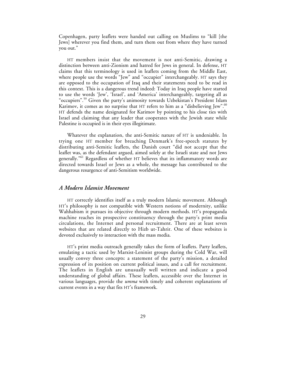Copenhagen, party leaflets were handed out calling on Muslims to "kill [the Jews] wherever you find them, and turn them out from where they have turned you out."

HT members insist that the movement is not anti-Semitic, drawing a distinction between anti-Zionism and hatred for Jews in general. In defense, HT claims that this terminology is used in leaflets coming from the Middle East, where people use the words "Jew" and "occupier" interchangeably. HT says they are opposed to the occupation of Iraq and their statements need to be read in this context. This is a dangerous trend indeed: Today in Iraq people have started to use the words 'Jew', 'Israel', and 'America' interchangeably, targeting all as "occupiers".<sup>59</sup> Given the party's animosity towards Uzbekistan's President Islam Karimov, it comes as no surprise that HT refers to him as a "disbelieving Jew".<sup>60</sup> HT defends the name designated for Karimov by pointing to his close ties with Israel and claiming that any leader that cooperates with the Jewish state while Palestine is occupied is in their eyes illegitimate.

Whatever the explanation, the anti-Semitic nature of HT is undeniable. In trying one HT member for breaching Denmark's free-speech statutes by distributing anti-Semitic leaflets, the Danish court "did not accept that the leaflet was, as the defendant argued, aimed solely at the Israeli state and not Jews generally.<sup>"61</sup> Regardless of whether HT believes that its inflammatory words are directed towards Israel or Jews as a whole, the message has contributed to the dangerous resurgence of anti-Semitism worldwide.

#### *A Modern Islamist Movement*

HT correctly identifies itself as a truly modern Islamic movement. Although HT's philosophy is not compatible with Western notions of modernity, unlike Wahhabism it pursues its objective through modern methods. HT's propaganda machine reaches its prospective constituency through the party's print media circulations, the Internet and personal recruitment. There are at least seven websites that are related directly to Hizb ut-Tahrir. One of these websites is devoted exclusively to interaction with the mass media.

HT's print media outreach generally takes the form of leaflets. Party leaflets, emulating a tactic used by Marxist-Leninist groups during the Cold War, will usually convey three concepts: a statement of the party's mission, a detailed expression of its position on current political issues, and a call for recruitment. The leaflets in English are unusually well written and indicate a good understanding of global affairs. These leaflets, accessible over the Internet in various languages, provide the *umma* with timely and coherent explanations of current events in a way that fits HT's framework.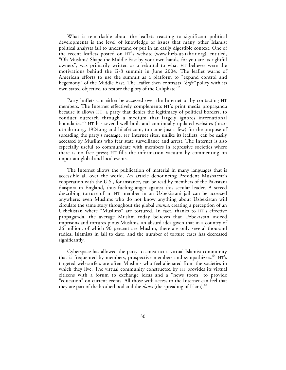What is remarkable about the leaflets reacting to significant political developments is the level of knowledge of issues that many other Islamist political analysts fail to understand or put in an easily digestible context. One of the recent leaflets posted on HT's website (www.hizb-ut-tahrir.org), entitled, "Oh Muslims! Shape the Middle East by your own hands, for you are its rightful owners", was primarily written as a rebuttal to what HT believes were the motivations behind the G-8 summit in June 2004. The leaflet warns of American efforts to use the summit as a platform to "expand control and hegemony" of the Middle East. The leaflet then contrasts *"kufr"* policy with its own stated objective, to restore the glory of the Caliphate.<sup>62</sup>

Party leaflets can either be accessed over the Internet or by contacting HT members. The Internet effectively complements HT's print media propaganda because it allows HT, a party that denies the legitimacy of political borders, to conduct outreach through a medium that largely ignores international boundaries.<sup>63</sup> HT has several well-built and continually updated websites (hizbut-tahrir.org, 1924.org and hilafet.com, to name just a few) for the purpose of spreading the party's message. HT Internet sites, unlike its leaflets, can be easily accessed by Muslims who fear state surveillance and arrest. The Internet is also especially useful to communicate with members in repressive societies where there is no free press; HT fills the information vacuum by commenting on important global and local events.

The Internet allows the publication of material in many languages that is accessible all over the world. An article denouncing President Musharraf's cooperation with the U.S., for instance, can be read by members of the Pakistani diaspora in England, thus fueling anger against this secular leader. A screed describing torture of an HT member in an Uzbekistani jail can be accessed anywhere; even Muslims who do not know anything about Uzbekistan will circulate the same story throughout the global *umma,* creating a perception of an Uzbekistan where "Muslims" are tortured. In fact, thanks to HT's effective propaganda, the average Muslim today believes that Uzbekistan indeed imprisons and tortures pious Muslims, an absurd idea given that in a country of 26 million, of which 90 percent are Muslim, there are only several thousand radical Islamists in jail to date, and the number of torture cases has decreased significantly.

Cyberspace has allowed the party to construct a virtual Islamist community that is frequented by members, prospective members and sympathizers.<sup>64</sup> HT's targeted web-surfers are often Muslims who feel alienated from the societies in which they live. The virtual community constructed by HT provides its virtual citizens with a forum to exchange ideas and a "news room" to provide "education" on current events. All those with access to the Internet can feel that they are part of the brotherhood and the *dawa* (the spreading of Islam).<sup>65</sup>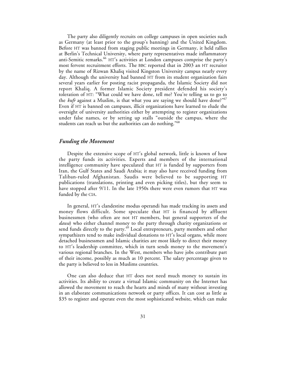The party also diligently recruits on college campuses in open societies such as Germany (at least prior to the group's banning) and the United Kingdom. Before HT was banned from staging public meetings in Germany, it held rallies at Berlin's Technical University, where party representatives made inflammatory anti-Semitic remarks.<sup>66</sup> HT's activities at London campuses comprise the party's most fervent recruitment efforts. The BBC reported that in 2003 an HT recruiter by the name of Rizwan Khaliq visited Kingston University campus nearly every day. Although the university had banned HT from its student organization fairs several years earlier for posting racist propaganda, the Islamic Society did not report Khaliq. A former Islamic Society president defended his society's toleration of HT: "What could we have done, tell me? You're telling us to go to the *kufr* against a Muslim, is that what you are saying we should have done?"<sup>67</sup> Even if HT is banned on campuses, illicit organizations have learned to elude the oversight of university authorities either by attempting to register organizations under false names, or by setting up stalls "outside the campus, where the students can reach us but the authorities can do nothing."<sup>68</sup>

#### *Funding the Movement*

Despite the extensive scope of HT's global network, little is known of how the party funds its activities. Experts and members of the international intelligence community have speculated that HT is funded by supporters from Iran, the Gulf States and Saudi Arabia; it may also have received funding from Taliban-ruled Afghanistan. Saudis were believed to be supporting HT publications (translations, printing and even picking titles), but they seem to have stopped after 9/11. In the late 1950s there were even rumors that HT was funded by the CIA.

In general, HT's clandestine modus operandi has made tracking its assets and money flows difficult. Some speculate that HT is financed by affluent businessmen (who often are not HT members, but general supporters of the *dawa*) who either channel money to the party through charity organizations or send funds directly to the party.<sup>69</sup> Local entrepreneurs, party members and other sympathizers tend to make individual donations to HT's local organs, while more detached businessmen and Islamic charities are most likely to direct their money to HT's leadership committee, which in turn sends money to the movement's various regional branches. In the West, members who have jobs contribute part of their income, possibly as much as 10 percent. The salary percentage given to the party is believed to less in Muslims countries.

One can also deduce that HT does not need much money to sustain its activities. Its ability to create a virtual Islamic community on the Internet has allowed the movement to reach the hearts and minds of many without investing in an elaborate communications network or party offices. It can cost as little as \$35 to register and operate even the most sophisticated website, which can make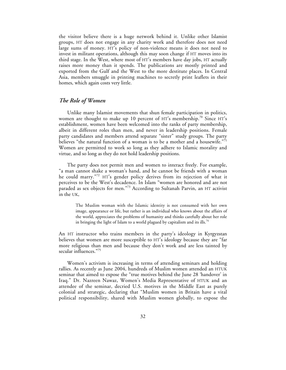the visitor believe there is a huge network behind it. Unlike other Islamist groups, HT does not engage in any charity work and therefore does not need large sums of money. HT's policy of non-violence means it does not need to invest in militant operations, although this may soon change if HT moves into its third stage. In the West, where most of HT's members have day jobs, HT actually raises more money than it spends. The publications are mostly printed and exported from the Gulf and the West to the more destitute places. In Central Asia, members smuggle in printing machines to secretly print leaflets in their homes, which again costs very little.

## *The Role of Women*

Unlike many Islamist movements that shun female participation in politics, women are thought to make up 10 percent of HT's membership.<sup>70</sup> Since HT's establishment, women have been welcomed into the ranks of party membership, albeit in different roles than men, and never in leadership positions. Female party candidates and members attend separate "sister" study groups. The party believes "the natural function of a woman is to be a mother and a housewife." $7^{11}$ Women are permitted to work so long as they adhere to Islamic morality and virtue, and so long as they do not hold leadership positions.

The party does not permit men and women to interact freely. For example, "a man cannot shake a woman's hand, and he cannot be friends with a woman he could marry."<sup>72</sup> HT's gender policy derives from its rejection of what it perceives to be the West's decadence. In Islam "women are honored and are not paraded as sex objects for men."73 According to Sultanah Parvin, an HT activist in the UK,

The Muslim woman with the Islamic identity is not consumed with her own image, appearance or life, but rather is an individual who knows about the affairs of the world, appreciates the problems of humanity and thinks carefully about her role in bringing the light of Islam to a world plagued by capitalism and its ills.<sup>74</sup>

An HT instructor who trains members in the party's ideology in Kyrgyzstan believes that women are more susceptible to HT's ideology because they are "far more religious than men and because they don't work and are less tainted by secular influences."<sup>75</sup>

Women's activism is increasing in terms of attending seminars and holding rallies. As recently as June 2004, hundreds of Muslim women attended an HTUK seminar that aimed to expose the "true motives behind the June 28 'handover' in Iraq." Dr. Nazreen Nawaz, Women's Media Representative of HTUK and an attendee of the seminar, decried U.S. motives in the Middle East as purely colonial and strategic, declaring that "Muslim women in Britain have a vital political responsibility, shared with Muslim women globally, to expose the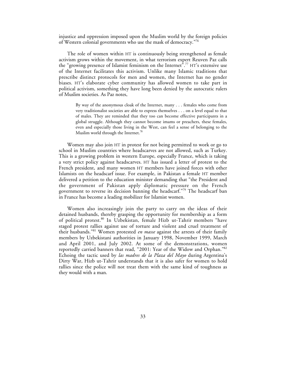injustice and oppression imposed upon the Muslim world by the foreign policies of Western colonial governments who use the mask of democracy."76

The role of women within HT is continuously being strengthened as female activism grows within the movement, in what terrorism expert Reuven Paz calls the "growing presence of Islamist feminism on the Internet".<sup>77</sup> HT's extensive use of the Internet facilitates this activism. Unlike many Islamic traditions that prescribe distinct protocols for men and women, the Internet has no gender biases. HT's elaborate cyber community has allowed women to take part in political activism, something they have long been denied by the autocratic rulers of Muslim societies. As Paz notes,

By way of the anonymous cloak of the Internet, many . . . females who come from very traditionalist societies are able to express themselves . . . on a level equal to that of males. They are reminded that they too can become effective participants in a global struggle. Although they cannot become imams or preachers, these females, even and especially those living in the West, can feel a sense of belonging to the Muslim world through the Internet.<sup>78</sup>

Women may also join HT in protest for not being permitted to work or go to school in Muslim countries where headscarves are not allowed, such as Turkey. This is a growing problem in western Europe, especially France, which is taking a very strict policy against headscarves. HT has issued a letter of protest to the French president, and many women HT members have joined forces with other Islamists on the headscarf issue. For example, in Pakistan a female HT member delivered a petition to the education minister demanding that "the President and the government of Pakistan apply diplomatic pressure on the French government to reverse its decision banning the headscarf."79 The headscarf ban in France has become a leading mobilizer for Islamist women.

Women also increasingly join the party to carry on the ideas of their detained husbands, thereby grasping the opportunity for membership as a form of political protest.80 In Uzbekistan, female Hizb ut-Tahrir members "have staged protest rallies against use of torture and violent and cruel treatment of their husbands."<sup>81</sup> Women protested *en masse* against the arrests of their family members by Uzbekistani authorities in January 1998, November 1999, March and April 2001, and July 2002. At some of the demonstrations, women reportedly carried banners that read, "2001: Year of the Widow and Orphan."82 Echoing the tactic used by *las madres de la Plaza del Mayo* during Argentina's Dirty War, Hizb ut-Tahrir understands that it is also safer for women to hold rallies since the police will not treat them with the same kind of toughness as they would with a man.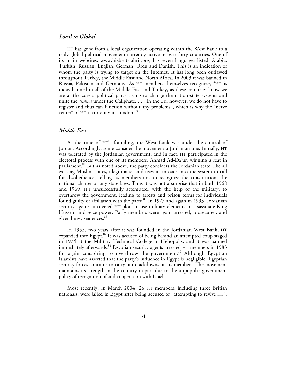### *Local to Global*

HT has gone from a local organization operating within the West Bank to a truly global political movement currently active in over forty countries. One of its main websites, www.hizb-ut-tahrir.org, has seven languages listed: Arabic, Turkish, Russian, English, German, Urdu and Danish. This is an indication of whom the party is trying to target on the Internet. It has long been outlawed throughout Turkey, the Middle East and North Africa. In 2003 it was banned in Russia, Pakistan and Germany. As HT members themselves recognize, "HT is today banned in all of the Middle East and Turkey, as these countries know we are at the core a political party trying to change the nation-state systems and unite the *umma* under the Caliphate. . . . In the UK, however, we do not have to register and thus can function without any problems", which is why the "nerve center" of HT is currently in London.<sup>83</sup>

## *Middle East*

At the time of HT's founding, the West Bank was under the control of Jordan. Accordingly, some consider the movement a Jordanian one. Initially, HT was tolerated by the Jordanian government, and in fact, HT participated in the electoral process with one of its members, Ahmad Ad-Da'ur, winning a seat in parliament.<sup>84</sup> But as noted above, the party considers the Jordanian state, like all existing Muslim states, illegitimate, and uses its inroads into the system to call for disobedience, telling its members not to recognize the constitution, the national charter or any state laws. Thus it was not a surprise that in both 1968 and 1969, HT unsuccessfully attempted, with the help of the military, to overthrow the government, leading to arrests and prison terms for individuals found guilty of affiliation with the party.<sup>85</sup> In 1977 and again in 1993, Jordanian security agents uncovered HT plots to use military elements to assassinate King Hussein and seize power. Party members were again arrested, prosecuted, and given heavy sentences.<sup>86</sup>

In 1955, two years after it was founded in the Jordanian West Bank, HT expanded into Egypt.<sup>87</sup> It was accused of being behind an attempted coup staged in 1974 at the Military Technical College in Heliopolis, and it was banned immediately afterwards.<sup>88</sup> Egyptian security agents arrested HT members in 1983 for again conspiring to overthrow the government.<sup>89</sup> Although Egyptian Islamists have asserted that the party's influence in Egypt is negligible, Egyptian security forces continue to carry out crackdowns on its members. The movement maintains its strength in the country in part due to the unpopular government policy of recognition of and cooperation with Israel.

Most recently, in March 2004, 26 HT members, including three British nationals, were jailed in Egypt after being accused of "attempting to revive HT".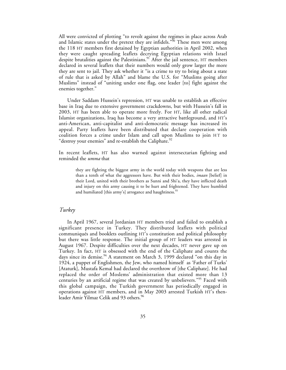All were convicted of plotting "to revolt against the regimes in place across Arab and Islamic states under the pretext they are infidels."<sup>90</sup> These men were among the 118 HT members first detained by Egyptian authorities in April 2002, when they were caught spreading leaflets decrying Egyptian relations with Israel despite brutalities against the Palestinians.<sup>91</sup> After the jail sentence, HT members declared in several leaflets that their numbers would only grow larger the more they are sent to jail. They ask whether it "is a crime to try to bring about a state of rule that is asked by Allah" and blame the U.S. for "Muslims going after Muslims" instead of "uniting under one flag, one leader [to] fight against the enemies together."

Under Saddam Hussein's repression, HT was unable to establish an effective base in Iraq due to extensive government crackdowns, but with Hussein's fall in 2003, HT has been able to operate more freely. For HT, like all other radical Islamist organizations, Iraq has become a very attractive battleground, and HT's anti-American, anti-capitalist and anti-democratic message has increased its appeal. Party leaflets have been distributed that declare cooperation with coalition forces a crime under Islam and call upon Muslims to join HT to "destroy your enemies" and re-establish the Caliphate.<sup>92</sup>

In recent leaflets, HT has also warned against intersectarian fighting and reminded the *umma* that

they are fighting the biggest army in the world today with weapons that are less than a tenth of what the aggressors have. But with their bodies, *imaan* [belief] in their Lord, united with their brothers as Sunni and Shi'a, they have inflicted death and injury on this army causing it to be hurt and frightened. They have humbled and humiliated [this army's] arrogance and haughtiness.<sup>93</sup>

#### *Turkey*

In April 1967, several Jordanian HT members tried and failed to establish a significant presence in Turkey. They distributed leaflets with political communiqués and booklets outlining HT's constitution and political philosophy but there was little response. The initial group of HT leaders was arrested in August 1967. Despite difficulties over the next decades, HT never gave up on Turkey. In fact, HT is obsessed with the end of the Caliphate and counts the days since its demise.<sup>94</sup> A statement on March 3, 1999 declared "on this day in 1924, a puppet of Englishmen, the Jew, who named himself as 'Father of Turks' [Ataturk], Mustafa Kemal had declared the overthrow of [the Caliphate]. He had replaced the order of Moslems' administration that existed more than 13 centuries by an artificial regime that was created by unbelievers."<sup>95</sup> Faced with this global campaign, the Turkish government has periodically engaged in operations against HT members, and in May 2003 arrested Turkish HT's thenleader Amir Yilmaz Celik and 93 others.<sup>96</sup>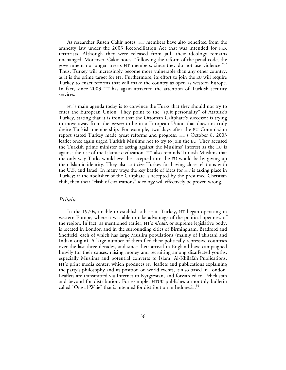As researcher Rusen Cakir notes, HT members have also benefited from the amnesty law under the 2003 Reconciliation Act that was intended for PKK terrorists. Although they were released from jail, their ideology remains unchanged. Moreover, Cakir notes, "following the reform of the penal code, the government no longer arrests HT members, since they do not use violence."<sup>97</sup> Thus, Turkey will increasingly become more vulnerable than any other country, as it is the prime target for HT. Furthermore, its effort to join the EU will require Turkey to enact reforms that will make the country as open as western Europe. In fact, since 2003 HT has again attracted the attention of Turkish security services.

HT's main agenda today is to convince the Turks that they should not try to enter the European Union. They point to the "split personality" of Ataturk's Turkey, stating that it is ironic that the Ottoman Caliphate's successor is trying to move away from the *umma* to be in a European Union that does not truly desire Turkish membership. For example, two days after the EU Commission report stated Turkey made great reforms and progress, HT's October 8, 2003 leaflet once again urged Turkish Muslims not to try to join the EU. They accused the Turkish prime minister of acting against the Muslims' interest as the EU is against the rise of the Islamic civilization. HT also reminds Turkish Muslims that the only way Turks would ever be accepted into the EU would be by giving up their Islamic identity. They also criticize Turkey for having close relations with the U.S. and Israel. In many ways the key battle of ideas for HT is taking place in Turkey; if the abolisher of the Caliphate is accepted by the presumed Christian club, then their "clash of civilizations" ideology will effectively be proven wrong.

#### *Britain*

In the 1970s, unable to establish a base in Turkey, HT began operating in western Europe, where it was able to take advantage of the political openness of the region. In fact, as mentioned earlier, HT's *kiedat,* or supreme legislative body, is located in London and in the surrounding cities of Birmingham, Bradford and Sheffield, each of which has large Muslim populations (mainly of Pakistani and Indian origin). A large number of them fled their politically repressive countries over the last three decades, and since their arrival in England have campaigned heavily for their causes, raising money and recruiting among disaffected youths, especially Muslims and potential converts to Islam. Al-Khilafah Publications, HT's print media center, which produces HT leaflets and publications explaining the party's philosophy and its position on world events, is also based in London. Leaflets are transmitted via Internet to Kyrgyzstan, and forwarded to Uzbekistan and beyond for distribution. For example, HTUK publishes a monthly bulletin called "Ong al-Waie" that is intended for distribution in Indonesia.<sup>98</sup>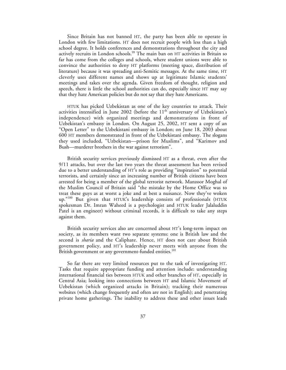Since Britain has not banned HT, the party has been able to operate in London with few limitations. HT does not recruit people with less than a high school degree. It holds conferences and demonstrations throughout the city and actively recruits in London schools.<sup>99</sup> The main ban on HT activities in Britain so far has come from the colleges and schools, where student unions were able to convince the authorities to deny HT platforms (meeting space, distribution of literature) because it was spreading anti-Semitic messages. At the same time, HT cleverly uses different names and shows up at legitimate Islamic students' meetings and takes over the agenda. Given freedom of thought, religion and speech, there is little the school authorities can do, especially since HT may say that they hate American policies but do not say that they hate Americans.

HTUK has picked Uzbekistan as one of the key countries to attack. Their activities intensified in June 2002 (before the  $11<sup>th</sup>$  anniversary of Uzbekistan's independence) with organized meetings and demonstrations in front of Uzbekistan's embassy in London. On August 25, 2002, HT sent a copy of an "Open Letter" to the Uzbekistani embassy in London; on June 18, 2003 about 600 HT members demonstrated in front of the Uzbekistani embassy. The slogans they used included, "Uzbekistan—prison for Muslims", and "Karimov and Bush—murderer brothers in the war against terrorism".

British security services previously dismissed HT as a threat, even after the 9/11 attacks, but over the last two years the threat assessment has been revised due to a better understanding of HT's role as providing "inspiration" to potential terrorists, and certainly since an increasing number of British citizens have been arrested for being a member of the global terrorist network. Manzoor Moghal of the Muslim Council of Britain said "the mistake by the Home Office was to treat these guys as at worst a joke and at best a nuisance. Now they've woken up."<sup>100</sup> But given that HTUK's leadership consists of professionals (HTUK spokesman Dr. Imran Waheed is a psychologist and HTUK leader Jalaluddin Patel is an engineer) without criminal records, it is difficult to take any steps against them.

British security services also are concerned about HT's long-term impact on society, as its members want two separate systems: one is British law and the second is *sharia* and the Caliphate. Hence, HT does not care about British government policy, and HT's leadership never meets with anyone from the British government or any government-funded entities.<sup>101</sup>

So far there are very limited resources put to the task of investigating HT. Tasks that require appropriate funding and attention include: understanding international financial ties between HTUK and other branches of HT, especially in Central Asia; looking into connections between HT and Islamic Movement of Uzbekistan (which organized attacks in Britain); tracking their numerous websites (which change frequently and often are not in English); and penetrating private home gatherings. The inability to address these and other issues leads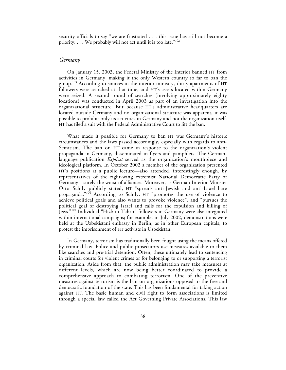security officials to say "we are frustrated . . . this issue has still not become a priority. . . . We probably will not act until it is too late."102

#### *Germany*

On January 15, 2003, the Federal Ministry of the Interior banned HT from activities in Germany, making it the only Western country so far to ban the group.<sup>103</sup> According to sources in the interior ministry, thirty apartments of HT followers were searched at that time, and HT's assets located within Germany were seized. A second round of searches (involving approximately eighty locations) was conducted in April 2003 as part of an investigation into the organizational structure. But because HT's administrative headquarters are located outside Germany and no organizational structure was apparent, it was possible to prohibit only its activities in Germany and not the organization itself. HT has filed a suit with the Federal Administrative Court to lift the ban.

What made it possible for Germany to ban HT was Germany's historic circumstances and the laws passed accordingly, especially with regards to anti-Semitism. The ban on HT came in response to the organization's violent propaganda in Germany, disseminated in flyers and pamphlets. The Germanlanguage publication *Explizit* served as the organization's mouthpiece and ideological platform. In October 2002 a member of the organization presented HT's positions at a public lecture—also attended, interestingly enough, by representatives of the right-wing extremist National Democratic Party of Germany—surely the worst of alliances. Moreover, as German Interior Minister Otto Schily publicly stated, HT "spreads anti-Jewish and anti-Israel hate propaganda."104 According to Schily, HT "promotes the use of violence to achieve political goals and also wants to provoke violence", and "pursues the political goal of destroying Israel and calls for the expulsion and killing of Jews."<sup>105</sup> Individual "Hizb ut-Tahrir" followers in Germany were also integrated within international campaigns; for example, in July 2002, demonstrations were held at the Uzbekistani embassy in Berlin, as in other European capitals, to protest the imprisonment of HT activists in Uzbekistan.

In Germany, terrorism has traditionally been fought using the means offered by criminal law. Police and public prosecutors use measures available to them like searches and pre-trial detention. Often, these ultimately lead to sentencing in criminal courts for violent crimes or for belonging to or supporting a terrorist organization. Aside from that, the public administration may take measures at different levels, which are now being better coordinated to provide a comprehensive approach to combating terrorism. One of the preventive measures against terrorism is the ban on organizations opposed to the free and democratic foundation of the state. This has been fundamental for taking action against HT. The basic human and civil right to form associations is limited through a special law called the Act Governing Private Associations. This law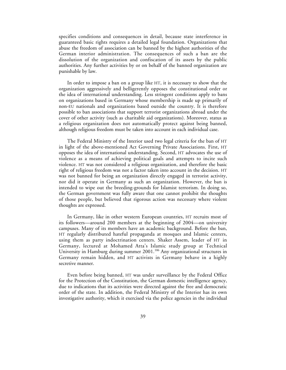specifies conditions and consequences in detail, because state interference in guaranteed basic rights requires a detailed legal foundation. Organizations that abuse the freedom of association can be banned by the highest authorities of the German interior administration. The consequences of such a ban are the dissolution of the organization and confiscation of its assets by the public authorities. Any further activities by or on behalf of the banned organization are punishable by law.

In order to impose a ban on a group like HT, it is necessary to show that the organization aggressively and belligerently opposes the constitutional order or the idea of international understanding. Less stringent conditions apply to bans on organizations based in Germany whose membership is made up primarily of non-EU nationals and organizations based outside the country. It is therefore possible to ban associations that support terrorist organizations abroad under the cover of other activity (such as charitable aid organizations). Moreover, status as a religious organization does not automatically protect against being banned, although religious freedom must be taken into account in each individual case.

The Federal Ministry of the Interior used two legal criteria for the ban of HT in light of the above-mentioned Act Governing Private Associations. First, HT opposes the idea of international understanding. Second, HT advocates the use of violence as a means of achieving political goals and attempts to incite such violence. HT was not considered a religious organization, and therefore the basic right of religious freedom was not a factor taken into account in the decision. HT was not banned for being an organization directly engaged in terrorist activity, nor did it operate in Germany as such an organization. However, the ban is intended to wipe out the breeding-grounds for Islamist terrorism. In doing so, the German government was fully aware that one cannot prohibit the thoughts of those people, but believed that rigorous action was necessary where violent thoughts are expressed.

In Germany, like in other western European countries, HT recruits most of its followers—around 200 members at the beginning of 2004—on university campuses. Many of its members have an academic background. Before the ban, HT regularly distributed hateful propaganda at mosques and Islamic centers, using them as party indoctrination centers. Shaker Assem, leader of HT in Germany, lectured at Mohamed Atta's Islamic study group at Technical University in Hamburg during summer 2001.<sup>106</sup> Any organizational structures in Germany remain hidden, and HT activists in Germany behave in a highly secretive manner.

Even before being banned, HT was under surveillance by the Federal Office for the Protection of the Constitution, the German domestic intelligence agency, due to indications that its activities were directed against the free and democratic order of the state. In addition, the Federal Ministry of the Interior has its own investigative authority, which it exercised via the police agencies in the individual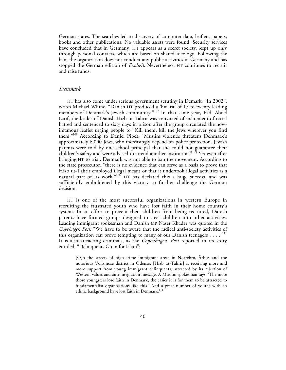German states. The searches led to discovery of computer data, leaflets, papers, books and other publications. No valuable assets were found. Security services have concluded that in Germany, HT appears as a secret society, kept up only through personal contacts, which are based on shared ideology. Following the ban, the organization does not conduct any public activities in Germany and has stopped the German edition of *Explizit.* Nevertheless, HT continues to recruit and raise funds.

#### *Denmark*

HT has also come under serious government scrutiny in Demark. "In 2002", writes Michael Whine, "Danish HT produced a 'hit list' of 15 to twenty leading members of Denmark's Jewish community."<sup>107</sup> In that same year, Fadi Abdel Latif, the leader of Danish Hizb ut-Tahrir was convicted of incitement of racial hatred and sentenced to sixty days in prison after the group circulated the nowinfamous leaflet urging people to "Kill them, kill the Jews wherever you find them."<sup>108</sup> According to Daniel Pipes, "Muslim violence threatens Denmark's approximately 6,000 Jews, who increasingly depend on police protection. Jewish parents were told by one school principal that she could not guarantee their children's safety and were advised to attend another institution."<sup>109</sup> Yet even after bringing HT to trial, Denmark was not able to ban the movement. According to the state prosecutor, "there is no evidence that can serve as a basis to prove that Hizb ut-Tahrir employed illegal means or that it undertook illegal activities as a natural part of its work."<sup>110</sup> HT has declared this a huge success, and was sufficiently emboldened by this victory to further challenge the German decision.

HT is one of the most successful organizations in western Europe in recruiting the frustrated youth who have lost faith in their home country's system. In an effort to prevent their children from being recruited, Danish parents have formed groups designed to steer children into other activities. Leading immigrant spokesman and Danish MP Naser Khader was quoted in the *Copehagen Post:* "We have to be aware that the radical anti-society activities of this organization can prove tempting to many of our Danish teenagers . . . . "<sup>111</sup> It is also attracting criminals, as the *Copenhagen Post* reported in its story entitled, "Delinquents Go in for Islam":

[O]n the streets of high-crime immigrant areas in Nørrebro, Århus and the notorious Vollsmose district in Odense, [Hizb ut-Tahrir] is receiving more and more support from young immigrant delinquents, attracted by its rejection of Western values and anti-integration message. A Muslim spokesman says, 'The more those youngsters lose faith in Denmark, the easier it is for them to be attracted to fundamentalist organizations like this.' And a great number of youths with an ethnic background have lost faith in Denmark.<sup>112</sup>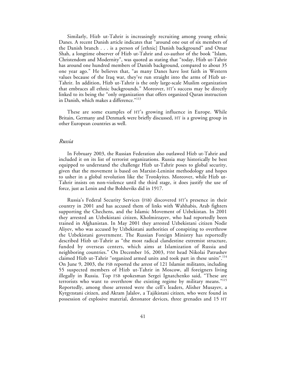Similarly, Hizb ut-Tahrir is increasingly recruiting among young ethnic Danes. A recent Danish article indicates that "around one out of six members of the Danish branch . . . is a person of [ethnic] Danish background" and Omar Shah, a longtime observer of Hizb ut-Tahrir and co-author of the book "Islam, Christendom and Modernity", was quoted as stating that "today, Hizb ut-Tahrir has around one hundred members of Danish background, compared to about 35 one year ago." He believes that, "as many Danes have lost faith in Western values because of the Iraq war, they've run straight into the arms of Hizb ut-Tahrir. In addition, Hizb ut-Tahrir is the only large-scale Muslim organization that embraces all ethnic backgrounds." Moreover, HT's success may be directly linked to its being the "only organization that offers organized Quran instruction in Danish, which makes a difference."<sup>113</sup>

These are some examples of HT's growing influence in Europe. While Britain, Germany and Denmark were briefly discussed, HT is a growing group in other European countries as well.

#### *Russia*

In February 2003, the Russian Federation also outlawed Hizb ut-Tahrir and included it on its list of terrorist organizations. Russia may historically be best equipped to understand the challenge Hizb ut-Tahrir poses to global security, given that the movement is based on Marxist-Leninist methodology and hopes to usher in a global revolution like the Trotskyites. Moreover, while Hizb ut-Tahrir insists on non-violence until the third stage, it does justify the use of force, just as Lenin and the Bolsheviks did in 1917.

Russia's Federal Security Services (FSB) discovered HT's presence in their country in 2001 and has accused them of links with Wahhabis, Arab fighters supporting the Chechens, and the Islamic Movement of Uzbekistan. In 2001 they arrested an Uzbekistani citizen, Kholmirzayev, who had reportedly been trained in Afghanistan. In May 2001 they arrested Uzbekistani citizen Nodir Aliyev, who was accused by Uzbekistani authorities of conspiring to overthrow the Uzbekistani government. The Russian Foreign Ministry has reportedly described Hizb ut-Tahrir as "the most radical clandestine extremist structure, funded by overseas centers, which aims at Islamization of Russia and neighboring countries." On December 16, 2003, FSM head Nikolai Patrushev claimed Hizb ut-Tahrir "organized armed units and took part in these units".<sup>114</sup> On June 9, 2003, the FSB reported the arrest of 121 Islamist militants, including 55 suspected members of Hizb ut-Tahrir in Moscow, all foreigners living illegally in Russia. Top FSB spokesman Sergei Ignatchenko said, "These are terrorists who want to overthrow the existing regime by military means."<sup>115</sup> Reportedly, among those arrested were the cell's leaders, Alisher Musayev, a Kyrgyzstani citizen, and Akram Jalalov, a Tajikistani citizen, who were found in possession of explosive material, detonator devices, three grenades and 15 HT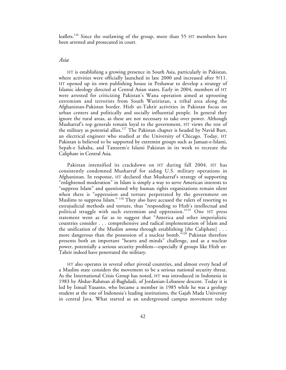leaflets.<sup>116</sup> Since the outlawing of the group, more than 55 HT members have been arrested and prosecuted in court.

## *Asia*

HT is establishing a growing presence in South Asia, particularly in Pakistan, where activities were officially launched in late 2000 and increased after 9/11. HT opened up its own publishing house in Peshawar to develop a strategy of Islamic ideology directed at Central Asian states. Early in 2004, members of HT were arrested for criticizing Pakistan's Wana operation aimed at uprooting extremism and terrorists from South Waziristan, a tribal area along the Afghanistan-Pakistan border. Hizb ut-Tahrir activities in Pakistan focus on urban centers and politically and socially influential people. In general they ignore the rural areas, as these are not necessary to take over power. Although Musharraf's top generals remain loyal to the government, HT views the rest of the military as potential allies.<sup>117</sup> The Pakistan chapter is headed by Navid Butt, an electrical engineer who studied at the University of Chicago. Today, HT Pakistan is believed to be supported by extremist groups such as Jamaat-e-Islami, Sepah-e Sahaba, and Tanzeem'e Islami Pakistan in its work to recreate the Caliphate in Central Asia.

Pakistan intensified its crackdown on HT during fall 2004. HT has consistently condemned Musharraf for aiding U.S. military operations in Afghanistan. In response, HT declared that Musharraf's strategy of supporting "enlightened moderation" in Islam is simply a way to serve American interests to "suppress Islam" and questioned why human rights organizations remain silent when there is "oppression and torture perpetrated by the government on Muslims to suppress Islam." <sup>118</sup> They also have accused the rulers of resorting to extrajudicial methods and torture, thus "responding to Hizb's intellectual and political struggle with such extremism and oppression."119 One HT press statement went as far as to suggest that "America and other imperialistic countries consider . . . comprehensive and radical implementation of Islam and the unification of the Muslim *umma* through establishing [the Caliphate] . . . more dangerous than the possession of a nuclear bomb.<sup>"120</sup> Pakistan therefore presents both an important "hearts and minds" challenge, and as a nuclear power, potentially a serious security problem—especially if groups like Hizb ut-Tahrir indeed have penetrated the military.

HT also operates in several other pivotal countries, and almost every head of a Muslim state considers the movement to be a serious national security threat. As the International Crisis Group has noted, HT was introduced in Indonesia in 1983 by Abdur-Rahman al-Baghdadi, of Jordanian-Lebanese descent. Today it is led by Ismail Yusanto, who became a member in 1985 while he was a geology student at the one of Indonesia's leading institutions, the Gajah Mada University in central Java. What started as an underground campus movement today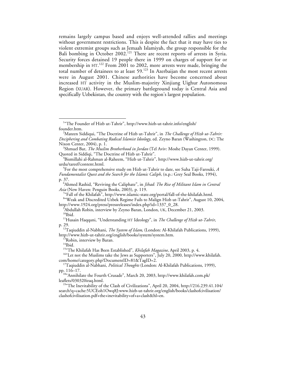remains largely campus based and enjoys well-attended rallies and meetings without government restrictions. This is despite the fact that it may have ties to violent extremist groups such as Jemaah Islamiyah, the group responsible for the Bali bombing in October 2002.<sup>121</sup> There are recent reports of arrests in Syria. Security forces detained 19 people there in 1999 on charges of support for or membership in HT.<sup>122</sup> From 2001 to 2002, more arrests were made, bringing the total number of detainees to at least 59.<sup>123</sup> In Azerbaijan the most recent arrests were in August 2001. Chinese authorities have become concerned about increased HT activity in the Muslim-majority Xinjiang Uighur Autonomous Region (XUAR). However, the primary battleground today is Central Asia and specifically Uzbekistan, the country with the region's largest population.

http://www.1924.org/press/pressreleases/index.php?id=1337\_0\_28.<br><sup>9</sup>Abdullah Robin, interview by Zeyno Baran, London, UK, December 21, 2003. <sup>10</sup>Ibid.<br><sup>11</sup>Husain Haqqani, "Understanding HT Ideology", in *The Challenge of Hizb ut-Tahrir*,

1 "The Founder of Hizb ut-Tahrir", http://www.hizb-ut-tahrir.info/english/ founder.htm. <sup>2</sup>

Mateen Siddiqui, "The Doctrine of Hizb ut-Tahrir", in *The Challenge of Hizb ut-Tahrir: Deciphering and Combating Radical Islamist Ideology,* ed. Zeyno Baran (Washington, DC: The Nixon Center, 2004), p. 1. <sup>3</sup>

Shmuel Bar, *The Muslim Brotherhood in Jordan* (Tel Aviv: Moshe Dayan Center, 1999). Quoted in Siddiqi, "The Doctrine of Hizb ut-Tahrir". <sup>4</sup>

Bismillahi al-Rahman al-Raheem, "Hizb ut-Tahrir", http://www.hizb-ut-tahrir.org/ urdu/tareef/content.html. <sup>5</sup>

For the most comprehensive study on Hizb ut-Tahrir to date, see Suha Taji-Farouki, *A Fundamentalist Quest and the Search for the Islamic Caliph*, (n.p.: Grey Seal Books, 1994), p. 37.

Ahmed Rashid, "Reviving the Caliphate", in *Jihad: The Rise of Militant Islam in Central Asia* (New Haven: Penguin Books, 2003), p. 119. <sup>7</sup>

<sup>&</sup>lt;sup>7</sup>"Fall of the Khilafah", http://www.islamic-state.org/portal/fall-of-the-khilafah.html. 8 "Weak and Discredited Uzbek Regime Fails to Malign Hizb ut-Tahrir", August 10, 2004,

p. 29. 12Taqiuddin al-Nabhani, *The System of Islam*, (London: Al-Khilafah Publications, 1999),

http://www.hizb-ut-tahrir.org/english/books/system/system.htm.<br><sup>13</sup>Robin, interview by Baran.<br><sup>14</sup>Ibid.<br><sup>15</sup><sup>w</sup>The Khilafah Has Been Established", *Khilafah Magazine*, April 2003, p. 4.<br><sup>16</sup>"Let not the Muslims take the Je

com/home/category.php?DocumentID=81&TagID=2. 17Taqiuddin al-Nabhani, *Political Thoughts* (London: Al-Khilafah Publications, 1999),

pp. 116–17. 18"Annihilate the Fourth Crusade", March 20, 2003, http://www.khilafah.com.pk/

<sup>&</sup>lt;sup>19"</sup>The Inevitability of the Clash of Civilizations", April 20, 2004, http://216.239.41.104/ search?q=cache:5UCEoh1Owq8J:www.hizb-ut-tahrir.org/english/books/clashofcivilisation/ clashofcivilisation.pdf+the+inevitability+of+a+clash&hl=en.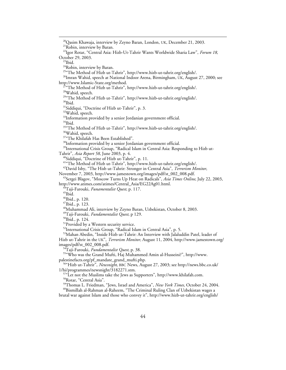<sup>20</sup>Qasim Khawaja, interview by Zeyno Baran, London, UK, December 21, 2003.<br><sup>21</sup>Robin, interview by Baran. 22Igor Rotar, "Central Asia: Hizb-Ut-Tahrir Wants Worldwide Sharia Law", *Forum 18,* October 29, 2003.<br><sup>23</sup>Ibid. <sup>24</sup>Robin, interview by Baran. 25"The Method of Hizb ut-Tahrir", http://www.hizb-ut-tahrir.org/english/. <sup>26</sup>Imran Wahid, speech at National Indoor Arena, Birmingham, UK, August 27, 2000; see http://www.Islamic-State.org/method.  $\sqrt[7]{ }$ "The Method of Hizb ut-Tahrir", http://www.hizb-ut-tahrir.org/english/. 28Wahid, speech.  $^{29\%}$ The Method of Hizb ut-Tahrir", http://www.hizb-ut-tahrir.org/english/.  $^{30}$ Ibid. <sup>31</sup>Siddiqui, "Doctrine of Hizb ut-Tahrir", p. 3.<br><sup>32</sup>Wahid, speech.  $33$ Information provided by a senior Jordanian government official.<br> $34$ Ibid. <sup>35</sup>"The Method of Hizb ut-Tahrir", http://www.hizb-ut-tahrir.org/english/. 36Wahid, speech. <sup>37</sup>"The Khilafah Has Been Established". 38Information provided by a senior Jordanian government official. <sup>39</sup>International Crisis Group, "Radical Islam in Central Asia: Responding to Hizb ut-Tahrir", *Asia Report 58*, June 2003, p. 4. 40Siddiqui, "Doctrine of Hizb ut-Tahrir", p. 11. 41"The Method of Hizb ut-Tahrir", http://www.hizb-ut-tahrir.org/english/. 42David Isby, "The Hisb ut-Tahrir: Stronger in Central Asia", *Terrorism Monitor*, November 7, 2003, http://www.jamestown.org/images/pdf/st\_002\_008.pdf. <sup>43</sup>Sergei Blagov, "Moscow Turns Up Heat on Radicals", *Asia Times Online*, July 22, 2003,<br>http://www.atimes.com/atimes/Central\_Asia/EG22Ag01.html. <sup>44</sup>Taji-Farouki, *Funamentalist Quest,* p. 117.<br><sup>45</sup>Ibid.<br><sup>46</sup>Ibid., p. 120.<br><sup>47</sup>Ibid., p. 123.<br><sup>48</sup>Muhammad Ali, interview by Zeyno Baran, Uzbekistan, October 8, 2003. <sup>49</sup>Taji-Farouki, *Fundamentalist Quest*, p 129.<br><sup>50</sup>Ibid., p. 124.<br><sup>51</sup>Provided by a Western security service. 52International Crisis Group, "Radical Islam in Central Asia", p. 5. 53Mahan Abedin, "Inside Hizb ut-Tahrir: An Interview with Jalaluddin Patel, leader of Hizb ut-Tahrir in the UK", *Terrorism Monitor,* August 11, 2004, http://www.jamestown.org/ <sup>54</sup>Taji-Farouki, *Fundamentalist Quest*, p. 38.<br><sup>55</sup> Who was the Grand Mufti, Haj Muhammed Amin al-Husseini?", http://www.<br>palestinefacts.org/pf\_mandate\_grand\_mufti.php. <sup>56"</sup>Hizb ut-Tahrir", *Newsnight*, BBC News, August 27, 2003; see http://news.bbc.co.uk/<br>1/hi/programmes/newsnight/3182271.stm.  $157\text{°L}$  is not the Muslims take the Jews as Supporters", http://www.khilafah.com. <sup>58</sup>Rotar, "Central Asia".<br><sup>59</sup>Thomas L. Friedman, "Jews, Israel and America", *New York Times*, October 24, 2004. <sup>60</sup>Bismillah al-Rahman al-Raheem, "The Criminal Ruling Clan of Uzbekistan wages a brutal war against Islam and those who convey it", http://www.hizb-ut-tahrir.org/english/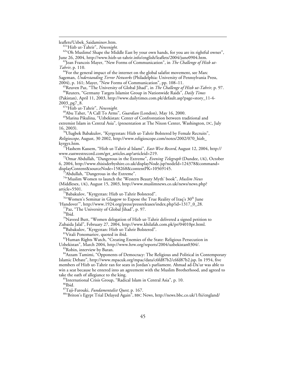$\overline{a}$ 

leaflets/Uzbek\_Saidaminov.htm. 61"Hizb ut-Tahrir", *Newsnight.* 62"Oh Muslims! Shape the Middle East by your own hands, for you are its rightful owner", June 26, 2004, http://www.hizb-ut-tahrir.info/english/leaflets/2004/june0904.htm. 63Jean Francois Mayer, "New Forms of Communication", in *The Challenge of Hizb ut-*

*Tahrir*, p. 110.<br><sup>64</sup>For the general impact of the internet on the global salafist movement, see Marc

Sageman, *Understanding Terror Networks* (Philadelphia: University of Pennsylvania Press, 2004), p. 161; Mayer, "New Forms of Communication", pp. 108–11.

<sup>65</sup>Reuven Paz, "The University of Global Jihad", in *The Challenge of Hizb ut-Tahrir*, p. 97.<br><sup>66</sup>Reuters, "Germany Targets Islamist Group in Nationwide Raids", *Daily Times* 

(Pakistan)*,* April 11, 2003, http://www.dailytimes.com.pk/default.asp?page=story\_11-4-

<sup>67«</sup>Hizb ut-Tahrir", *Newsnight.*<br><sup>68</sup>Abu Taher, "A Call To Arms", *Guardian* (London), May 16, 2000.<br><sup>69</sup>Marina Pikulina, "Uzbekistan: Center of Confrontation between traditional and extremist Islam in Central Asia", (presentation at The Nixon Center, Washington, DC, July

16, 2003).<br><sup>70</sup>Ulugbek Babakulov, "Kyrgyzstan: Hizb ut-Tahrir Bolstered by Female Recruits", *Religioscope*, August, 30 2002, http://www.religioscope.com/notes/2002/070\_hizb\_ kyrgyz.htm. 71Hashem Kassem, "Hizb ut-Tahrir al Islami", *East-West Record*, August 12, 2004, http://

www.eastwestrecord.com/get\_articles.asp?articleid=219. 72Omar Abdullah, "Dangerous in the Extreme", *Evening Telegraph* (Dundee, UK), October

6, 2004, http://www.thisisderbyshire.co.uk/displayNode.jsp?nodeId=124378&command= displayContent&sourceNode=158268&contentPK=10569145. 73Abdullah, "Dangerous in the Extreme".

74"Muslim Women to launch the 'Western Beauty Myth' book", *Muslim News* (Middlesex, UK), August 15, 2003, http://www.muslimnews.co.uk/news/news.php?

article=5501.<br><sup>75</sup>Babakulov, "Kyrgyztan: Hizb ut-Tahrir Bolstered".

<sup>76"</sup>Women's Seminar in Glasgow to Expose the True Reality of Iraq's 30<sup>th</sup> June

'Handover'", http://www.1924.org/press/pressreleases/index.php?id=1317\_0\_28.

 $^{77}$ Paz, "The University of Global Jihad", p. 97.<br> $^{78}$ Ibid.

<sup>79</sup>Naveed Butt, "Women delegation of Hizb ut-Tahrir delivered a signed petition to Zubaida Jalal", February 27, 2004, http://www.khilafah.com.pk/pr/04010pr.html.<br><sup>80</sup>Babakulov, "Kyrgyztan: Hizb ut-Tahrir Bolstered".

81Vitali Ponomariov, quoted in ibid.

<sup>82</sup>Human Rights Watch, "Creating Enemies of the State: Religious Persecution in Uzbekistan", March 2004, http://www.hrw.org/reports/2004/uzbekistan0304/. 83Robin, interview by Baran.

<sup>84</sup>Azzam Tamimi, "Opponents of Democracy: The Religious and Political in Contemporary Islamic Debate", http://www.mpacuk.org/mpac/data/c6fd87b2/c6fd87b2.jsp. In 1954, five members of Hizb ut-Tahrir ran for seats in Jordan's parliament. Ahmad ad-Da'ur was able to win a seat because he entered into an agreement with the Muslim Brotherhood, and agreed to take the oath of allegiance to the king.

 $t_{\text{soft}}$ <sup>85</sup>International Crisis Group, "Radical Islam in Central Asia", p. 10.<br><sup>86</sup>Ibid.

<sup>87</sup>Taji-Farouki, *Fundamentalist Quest*, p. 167.<br><sup>88</sup>"Briton's Egypt Trial Delayed Again", BBC News, http://news.bbc.co.uk/1/hi/england/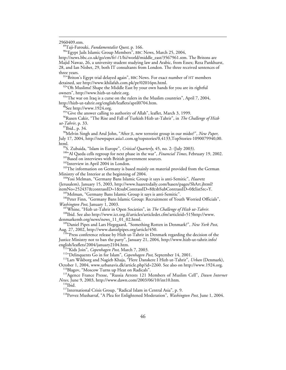$\overline{a}$ 

2960409.stm. 89Taji-Farouki, *Fundamentalist Quest*, p. 166. 90"Egypt Jails Islamic Group Members", BBC News, March 25, 2004,

http://news.bbc.co.uk/go/em/fr/-/1/hi/world/middle\_east/3567961.stm. The Britons are Majid Nawaz, 26, a university student studying law and Arabic, from Essex; Reza Pankhurst, 28, and Ian Nisbet, 29, both IT consultants from London. The three received sentences of three years.<br><sup>91</sup> Briton's Egypt trial delayed again", BBC News. For exact number of HT members

detained, see http://www.khilafah.com.pk/pr/02016pn.html.<br><sup>92</sup>°Oh Muslims! Shape the Middle East by your own hands for you are its rightful

owners", http://www.hizb-ut-tahrir.org.<br><sup>93</sup> The war on Iraq is a curse on the rulers in the Muslim countries", April 7, 2004, http://hizb-ut-tahrir.org/english/leaflets/april0704.htm.<br><sup>94</sup>See http://www.1924.org.

<sup>95"</sup>Give the answer calling to authority of Allah", leaflet, March 3, 1999.

96Rusen Cakir, "The Rise and Fall of Turkish Hizb ut-Tahrir", in *The Challenge of Hizb ut-Tahrir*, p. 33.<br><sup>97</sup>Ibid., p. 34.

98Melvin Singh and Arul John, "After JI, new terrorist group in our midst?", *New Paper*, July 17, 2004, http://newpaper.asia1.com.sg/topstories/0,4133,TopStories-1090079940,00.

html.<br><sup>99</sup>S. Zubaida, "Islam in Europe", *Critical Quarterly*, 45, no. 2: (July 2003).<br><sup>100</sup>"Al Qaeda cells regroup for next phase in the war", *Financial Times*, February 19, 2002.<br><sup>101</sup>Based on interviews with British go

<sup>104</sup>Yosi Melman, "Germany Bans Islamic Group it says is anti-Semitic", *Haaretz* (Jerusalem), January 15, 2003, http://www.haaretzdaily.com/hasen/pages/ShArt.jhtml?

itemNo=252437&contrassID=1&subContrassID=8&sbSubContrassID=0&listSrc=Y.<br><sup>105</sup>Melman, "Germany Bans Islamic Group it says is anti-Semitic".<br><sup>106</sup>Peter Finn, "Germany Bans Islamic Group: Recruitment of Youth Worried Official

<sup>107</sup>Whine, "Hizb ut-Tahrir in Open Societies", in *The Challenge of Hizb ut-Tahrir*.<br><sup>108</sup>Ibid. See also http://www.ict.org.il/articles/articledet.cfm?articleid=515http://www.<br>denmarkemb.org/news/news\_11\_01\_02.html.

<sup>109</sup>Daniel Pipes and Lars Hegegaard, "Something Rotten in Denmark?", *New York Post*, Aug. 27, 2002, http://www.danielpipes.org/article/450.<br><sup>110</sup>"Press conference release by Hizb ut-Tahrir in Denmark regarding the decision of the

Justice Ministry not to ban the party", January 21, 2004, http://www.hizb-ut-tahrir.info/

english/leaflets/2004/january2104.htm.<br><sup>111</sup>"Kids Join", *Copenhagen Post*, March 7, 2003.<br><sup>112</sup>"Delinquents Go in for Islam", *Copenhagen Post*, September 14, 2001.<br><sup>113</sup>Lars Wikborg and Nagieb Khaja, "Flere Danskere I Hi

October 1, 2004, www.urbanavis.dk/article.php?id=2260. See also on http://www.1924.org.<br><sup>114</sup>Blagov, "Moscow Turns up Heat on Radicals".<br><sup>115</sup>Agence France Presse, "Russia Arrests 121 Members of Muslim Cell", *Dawn Interne* 

<sup>116</sup>Ibid.<br><sup>117</sup>International Crisis Group, "Radical Islam in Central Asia", p. 9.<br><sup>118</sup>Pervez Musharraf, "A Plea for Enlightened Moderation", *Washington Post,* June 1, 2004.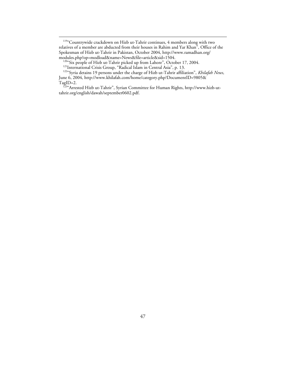<sup>119</sup>"Countrywide crackdown on Hizb ut-Tahrir continues, 4 members along with two relatives of a member are abducted from their houses in Rahim and Yar Khan", Office of the Spokesman of Hizb ut-Tahrir in Pakistan, October 2004, http://www.ramadhan.org/

<sup>120</sup>"Six people of Hizb ut-Tahrir picked up from Lahore", October 17, 2004.<br><sup>121</sup>International Crisis Group, "Radical Islam in Central Asia", p. 13.<br><sup>122</sup>"Syria detains 19 persons under the charge of Hizb ut-Tahrir affili June 6, 2004, http://www.khilafah.com/home/category.php?DocumentID=9805&

TagID=2. 123"Arrested Hizb ut-Tahrir", Syrian Committee for Human Rights, http://www.hizb-uttahrir.org/english/dawah/september0602.pdf.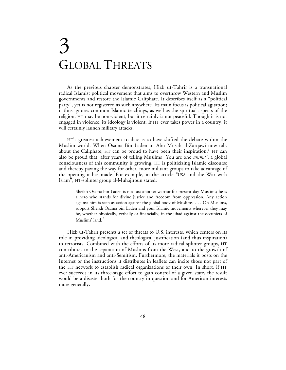## 3 GLOBAL THREATS

As the previous chapter demonstrates, Hizb ut-Tahrir is a transnational radical Islamist political movement that aims to overthrow Western and Muslim governments and restore the Islamic Caliphate. It describes itself as a "political party", yet is not registered as such anywhere. Its main focus is political agitation; it thus ignores common Islamic teachings, as well as the spiritual aspects of the religion. HT may be non-violent, but it certainly is not peaceful. Though it is not engaged in violence, its ideology is violent. If HT ever takes power in a country, it will certainly launch military attacks.

HT's greatest achievement to date is to have shifted the debate within the Muslim world. When Osama Bin Laden or Abu Musab al-Zarqawi now talk about the Caliphate, HT can be proud to have been their inspiration.<sup>1</sup> HT can also be proud that, after years of telling Muslims "You are one *umma",* a global consciousness of this community is growing. HT is politicizing Islamic discourse and thereby paving the way for other, more militant groups to take advantage of the opening it has made. For example, in the article "USA and the War with Islam**",** HT-splinter group al-Muhajiroun stated:

Sheikh Osama bin Laden is not just another warrior for present-day Muslims; he is a hero who stands for divine justice and freedom from oppression. Any action against him is seen as action against the global body of Muslims. . . . Oh Muslims, support Sheikh Osama bin Laden and your Islamic movements wherever they may be, whether physically, verbally or financially, in the jihad against the occupiers of Muslims' land.<sup>2</sup>

Hizb ut-Tahrir presents a set of threats to U.S. interests, which centers on its role in providing ideological and theological justification (and thus inspiration) to terrorists. Combined with the efforts of its more radical splinter groups, HT contributes to the separation of Muslims from the West, and to the growth of anti-Americanism and anti-Semitism. Furthermore, the materials it posts on the Internet or the instructions it distributes in leaflets can incite those not part of the HT network to establish radical organizations of their own. In short, if HT ever succeeds in its three-stage effort to gain control of a given state, the result would be a disaster both for the country in question and for American interests more generally.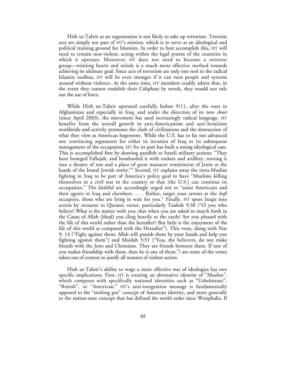Hizb ut-Tahrir as an organization is not likely to take up terrorism. Terrorist acts are simply not part of HT's mission, which is to serve as an ideological and political training ground for Islamists. In order to best accomplish this, HT will need to remain non-violent, acting within the legal system of the countries in which it operates. Moreover, HT does not need to become a terrorist group—winning hearts and minds is a much more effective method towards achieving its ultimate goal. Since acts of terrorism are only one tool in the radical Islamist toolbox, HT will be even stronger if it can turn people and systems around without violence. At the same time, HT members readily admit that, in the event they cannot establish their Caliphate by words, they would not rule out the use of force.

While Hizb ut-Tahrir operated carefully before 9/11, after the wars in Afghanistan and especially in Iraq, and under the direction of its new *Amir* (since April 2003), the movement has used increasingly radical language. HT benefits from the overall growth in anti-Americanism and anti-Semitism worldwide and actively promotes the clash of civilizations and the destruction of what they view as American hegemony. While the U.S. has so far not advanced any convincing arguments for either its invasion of Iraq or its subsequent management of the occupation, HT for its part has built a strong ideological case. This is accomplished first by drawing parallels to Israeli military actions: "They have besieged Fallujah, and bombarded it with rockets and artillery, turning it into a theatre of war and a place of great massacre reminiscent of Jenin at the hands of the brutal Jewish entity."<sup>3</sup> Second, HT explains away the intra-Muslim fighting in Iraq to be part of America's policy goal to have "Muslims killing themselves in a civil war in the country so that [the U.S.] can continue its occupation." The faithful are accordingly urged not to "assist Americans and their agents in Iraq and elsewhere. . . . Rather, target your arrows at the *kufr* occupiers, those who are lying in wait for you." Finally, HT spurs Iraqis into action by recourse to Quranic verses, particularly Taubah 9:38 ("O you who believe! What is the matter with you, that when you are asked to march forth in the Cause of Allah (jihad) you cling heavily to the earth? Are you pleased with the life of this world rather than the hereafter? But little is the enjoyment of the life of this world as compared with the Hereafter"). This verse, along with Nur 9: 14 ("Fight against them: Allah will punish them by your hands and help you fighting against them") and Maidah 5:51 ("You, the believers, do not make friends with the Jews and Christians. They are friends between them. If one of you makes friendship with them, then he is one of them.") are some of the verses taken out of context to justify all manner of violent action.

Hizb ut-Tahrir's ability to wage a more effective war of ideologies has two specific implications. First, HT is creating an alternative identity of "Muslim", which competes with specifically national identities such as "Uzbekistani", "British", or "American." HT's anti-integration message is fundamentally opposed to the "melting pot" concept of American identity, and more generally to the nation-state concept that has defined the world order since Westphalia. If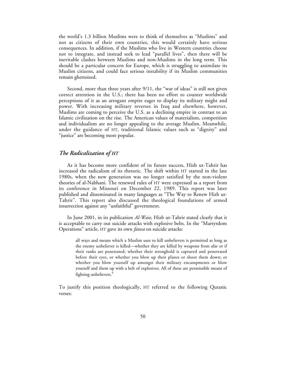the world's 1.3 billion Muslims were to think of themselves as "Muslims" and not as citizens of their own countries, this would certainly have serious consequences. In addition, if the Muslims who live in Western countries choose not to integrate, and instead seek to lead "parallel lives", then there will be inevitable clashes between Muslims and non-Muslims in the long term. This should be a particular concern for Europe, which is struggling to assimilate its Muslim citizens, and could face serious instability if its Muslim communities remain ghettoized.

Second, more than three years after 9/11, the "war of ideas" is still not given correct attention in the U.S.; there has been no effort to counter worldwide perceptions of it as an arrogant empire eager to display its military might and power. With increasing military reverses in Iraq and elsewhere, however, Muslims are coming to perceive the U.S. as a declining empire in contrast to an Islamic civilization on the rise. The American values of materialism, competition and individualism are no longer appealing to the average Muslim. Meanwhile, under the guidance of HT, traditional Islamic values such as "dignity" and "justice" are becoming more popular.

#### *The Radicalization of HT*

As it has become more confident of its future success, Hizb ut-Tahrir has increased the radicalism of its rhetoric. The shift within HT started in the late 1980s, when the new generation was no longer satisfied by the non-violent theories of al-Nabhani. The renewed rules of HT were expressed as a report from its conference in Missouri on December 22, 1989. This report was later published and disseminated in many languages as "The Way to Renew Hizb ut-Tahrir". This report also discussed the theological foundations of armed insurrection against any "unfaithful" government.

In June 2001, in its publication *Al-Waie,* Hizb ut-Tahrir stated clearly that it is acceptable to carry out suicide attacks with explosive belts. In the "Martyrdom Operations" article, HT gave its own *fatwa* on suicide attacks:

all ways and means which a Muslim uses to kill unbelievers is permitted as long as the enemy unbeliever is killed—whether they are killed by weapons from afar or if their ranks are penetrated; whether their stronghold is captured and penetrated before their eyes, or whether you blow up their planes or shoot them down; or whether you blow yourself up amongst their military encampments or blow yourself and them up with a belt of explosives. All of these are permissible means of fighting unbelievers.<sup>4</sup>

To justify this position theologically, HT referred to the following Quranic verses: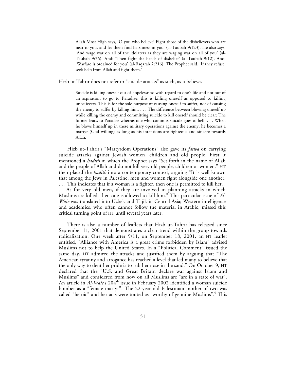Allah Most High says, 'O you who believe! Fight those of the disbelievers who are near to you, and let them find harshness in you' (al-Taubah 9:123). He also says, 'And wage war on all of the idolaters as they are waging war on all of you' (al-Taubah 9:36). And: 'Then fight the heads of disbelief' (al-Taubah 9:12). And: 'Warfare is ordained for you' (al-Baqarah 2:216). The Prophet said, 'If they refuse, seek help from Allah and fight them.'

Hizb ut-Tahrir does not refer to "suicide attacks" as such, as it believes

Suicide is killing oneself out of hopelessness with regard to one's life and not out of an aspiration to go to Paradise; this is killing oneself as opposed to killing unbelievers. This is for the sole purpose of causing oneself to suffer, not of causing the enemy to suffer by killing him. . . . The difference between blowing oneself up while killing the enemy and committing suicide to kill oneself should be clear: The former leads to Paradise whereas one who commits suicide goes to hell. . . . When he blows himself up in these military operations against the enemy, he becomes a martyr (God willing) as long as his intentions are righteous and sincere towards Allah.

Hizb ut-Tahrir's "Martyrdom Operations" also gave its *fatwa* on carrying suicide attacks against Jewish women, children and old people. First it mentioned a *hadith* in which the Prophet says "Set forth in the name of Allah and the people of Allah and do not kill very old people, children or women." HT then placed the *hadith* into a contemporary context, arguing "It is well known that among the Jews in Palestine, men and women fight alongside one another.

. . . This indicates that if a woman is a fighter, then one is permitted to kill her. . . . As for very old men, if they are involved in planning attacks in which Muslims are killed, then one is allowed to kill him." This particular issue of *Al-Waie* was translated into Uzbek and Tajik in Central Asia; Western intelligence and academics, who often cannot follow the material in Arabic, missed this critical turning point of HT until several years later.

There is also a number of leaflets that Hizb ut-Tahrir has released since September 11, 2001 that demonstrates a clear trend within the group towards radicalization. One week after 9/11, on September 18, 2001, an HT leaflet entitled, "Alliance with America is a great crime forbidden by Islam" advised Muslims not to help the United States. In a "Political Comment" issued the same day, HT admired the attacks and justified them by arguing that "The American tyranny and arrogance has reached a level that led many to believe that the only way to dent her pride is to rub her nose in the sand." On October 9, HT declared that the "U.S. and Great Britain declare war against Islam and Muslims" and considered from now on all Muslims are "are in a state of war". An article in *Al-Waie*'s 204<sup>th</sup> issue in February 2002 identified a woman suicide bomber as a "female martyr". The 22-year old Palestinian mother of two was called "heroic" and her acts were touted as "worthy of genuine Muslims".<sup>5</sup> This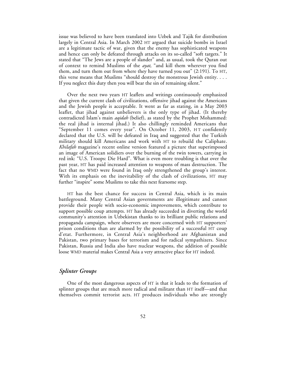issue was believed to have been translated into Uzbek and Tajik for distribution largely in Central Asia. In March 2002 HT argued that suicide bombs in Israel are a legitimate tactic of war, given that the enemy has sophisticated weapons and hence can only be defeated through attacks on its so-called "soft targets." It stated that "The Jews are a people of slander" and, as usual, took the Quran out of context to remind Muslims of the *ayat,* "and kill them wherever you find them, and turn them out from where they have turned you out" (2:191). To HT, this verse means that Muslims "should destroy the monstrous Jewish entity. . . . If you neglect this duty then you will bear the sin of remaining silent."

Over the next two years HT leaflets and writings continuously emphasized that given the current clash of civilizations, offensive jihad against the Americans and the Jewish people is acceptable. It went as far as stating, in a May 2003 leaflet, that jihad against unbelievers is the only type of jihad. (It thereby contradicted Islam's main *aqidah* (belief), as stated by the Prophet Mohammed: the real jihad is internal jihad.) It also chillingly reminded Americans that "September 11 comes every year". On October 11, 2003, HT confidently declared that the U.S. will be defeated in Iraq and suggested that the Turkish military should kill Americans and work with HT to rebuild the Caliphate. *Khilafah* magazine's recent online version featured a picture that superimposed an image of American solidiers over the burning of the twin towers, carrying in red ink: "U.S. Troops: Die Hard". What is even more troubling is that over the past year, HT has paid increased attention to weapons of mass destruction. The fact that no WMD were found in Iraq only strengthened the group's interest. With its emphasis on the inevitability of the clash of civilizations, HT may further "inspire" some Muslims to take this next fearsome step.

HT has the best chance for success in Central Asia, which is its main battleground. Many Central Asian governments are illegitimate and cannot provide their people with socio-economic improvements, which contribute to support possible coup attempts. HT has already succeeded in diverting the world community's attention in Uzbekistan thanks to its brilliant public relations and propaganda campaign, where observers are more concerned with HT supporters' prison conditions than are alarmed by the possibility of a successful HT coup d'etat. Furthermore, in Central Asia's neighborhood are Afghanistan and Pakistan, two primary bases for terrorism and for radical sympathizers. Since Pakistan, Russia and India also have nuclear weapons, the addition of possible loose WMD material makes Central Asia a very attractive place for HT indeed.

## *Splinter Groups*

One of the most dangerous aspects of HT is that it leads to the formation of splinter groups that are much more radical and militant than HT itself—and that themselves commit terrorist acts. HT produces individuals who are strongly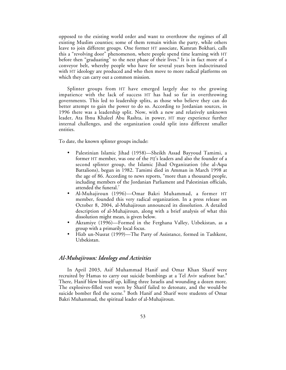opposed to the existing world order and want to overthrow the regimes of all existing Muslim counties; some of them remain within the party, while others leave to join different groups. One former HT associate, Kamran Bokhari, calls this a "revolving door" phenomenon, where people spend time learning with HT before then "graduating" to the next phase of their lives.<sup>6</sup> It is in fact more of a conveyor belt, whereby people who have for several years been indoctrinated with HT ideology are produced and who then move to more radical platforms on which they can carry out a common mission.

Splinter groups from HT have emerged largely due to the growing impatience with the lack of success HT has had so far in overthrowing governments. This led to leadership splits, as those who believe they can do better attempt to gain the power to do so. According to Jordanian sources, in 1996 there was a leadership split. Now, with a new and relatively unknown leader, Ata Ibnu Khaleel Abu Rashta, in power, HT may experience further internal challenges, and the organization could split into different smaller entities.

To date, the known splinter groups include:

- Palestinian Islamic Jihad (1958)—Sheikh Assad Bayyoud Tamimi, a former HT member, was one of the PIJ's leaders and also the founder of a second splinter group, the Islamic Jihad Organization (the al-Aqsa Battalions), begun in 1982. Tamimi died in Amman in March 1998 at the age of 86. According to news reports, "more than a thousand people, including members of the Jordanian Parliament and Palestinian officials, attended the funeral.<sup>7</sup>
- Al-Muhajiroun (1996)—Omar Bakri Muhammad, a former HT member, founded this very radical organization. In a press release on October 8, 2004, al-Muhajiroun announced its dissolution. A detailed description of al-Muhajiroun, along with a brief analysis of what this dissolution might mean, is given below.
- Akramiye (1996)—Formed in the Ferghana Valley, Uzbekistan, as a group with a primarily local focus.
- Hizb un-Nusrat (1999)—The Party of Assistance, formed in Tashkent, Uzbekistan.

#### *Al-Muhajiroun: Ideology and Activities*

In April 2003, Asif Muhammad Hanif and Omar Khan Sharif were recruited by Hamas to carry out suicide bombings at a Tel Aviv seafront bar.<sup>8</sup> There, Hanif blew himself up, killing three Israelis and wounding a dozen more. The explosives-filled vest worn by Sharif failed to detonate, and the would-be suicide bomber fled the scene.<sup>9</sup> Both Hanif and Sharif were students of Omar Bakri Muhammad, the spiritual leader of al-Muhajiroun.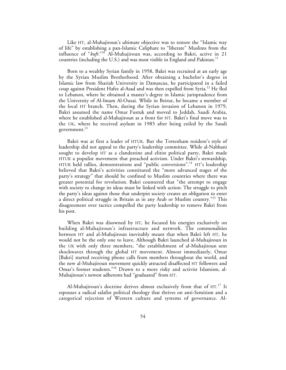Like HT, al-Muhajiroun's ultimate objective was to restore the "Islamic way of life" by establishing a pan-Islamic Caliphate to "liberate" Muslims from the influence of "*kufr*."<sup>10</sup> Al-Muhajiroun was, according to Bakri, active in 21 countries (including the U.S.) and was most visible in England and Pakistan.<sup>11</sup>

Born to a wealthy Syrian family in 1958, Bakri was recruited at an early age by the Syrian Muslim Brotherhood. After obtaining a bachelor's degree in Islamic law from Shariah University in Damascus, he participated in a failed coup against President Hafez al-Asad and was then expelled from Syria.<sup>12</sup> He fled to Lebanon, where he obtained a master's degree in Islamic jurisprudence from the University of Al-Imam Al-Ouzai. While in Beirut, he became a member of the local HT branch. Then, during the Syrian invasion of Lebanon in 1979, Bakri assumed the name Omar Fustuk and moved to Jeddah, Saudi Arabia, where he established al-Muhajiroun as a front for HT. Bakri's final move was to the UK, where he received asylum in 1985 after being exiled by the Saudi government. $^{13}$ 

Bakri was at first a leader of HTUK. But the Tottenham resident's style of leadership did not appeal to the party's leadership committee. While al-Nabhani sought to develop HT as a clandestine and elitist political party, Bakri made HTUK a populist movement that preached activism. Under Bakri's stewardship, HTUK held rallies, demonstrations and "public conversions".<sup>14</sup> HT's leadership believed that Bakri's activities constituted the "more advanced stages of the party's strategy" that should be confined to Muslim countries where there was greater potential for revolution. Bakri countered that "the attempt to engage with society to change its ideas must be linked with action: The struggle to pitch the party's ideas against those that underpin society creates an obligation to enter a direct political struggle in Britain as in any Arab or Muslim country."<sup>15</sup> This disagreement over tactics compelled the party leadership to remove Bakri from his post.

When Bakri was disowned by HT, he focused his energies exclusively on building al-Muhajiroun's infrastructure and network. The commonalities between HT and al-Muhajiroun inevitably meant that when Bakri left HT, he would not be the only one to leave. Although Bakri launched al-Muhajiroun in the UK with only three members, "the establishment of al-Muhajiroun sent shockwaves through the global HT movement. Almost immediately, Omar [Bakri] started receiving phone calls from members throughout the world, and the new al-Muhajiroun movement quickly attracted disaffected HT followers and Omar's former students."16 Drawn to a more risky and activist Islamism, al-Muhajiroun's newest adherents had "graduated" from HT.

Al-Muhajiroun's doctrine derives almost exclusively from that of HT.<sup>17</sup> It espouses a radical salafist political theology that thrives on anti-Semitism and a categorical rejection of Western culture and systems of governance. Al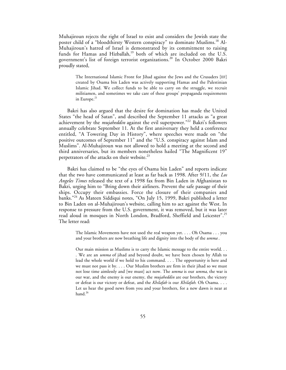Muhajiroun rejects the right of Israel to exist and considers the Jewish state the poster child of a "bloodthirsty Western conspiracy" to dominate Muslims.<sup>18</sup> Al-Muhajiroun's hatred of Israel is demonstrated by its commitment to raising funds for Hamas and Hizballah,<sup>19</sup> both of which are included on the U.S. government's list of foreign terrorist organizations.<sup>20</sup> In October 2000 Bakri proudly stated,

The International Islamic Front for Jihad against the Jews and the Crusaders [IIF] created by Osama bin Laden was actively supporting Hamas and the Palestinian Islamic Jihad. We collect funds to be able to carry on the struggle, we recruit militiamen, and sometimes we take care of these groups' propaganda requirements in Europe.<sup>21</sup>

Bakri has also argued that the desire for domination has made the United States "the head of Satan", and described the September 11 attacks as "a great achievement by the *mujaheddin* against the evil superpower."22 Bakri's followers annually celebrate September 11. At the first anniversary they held a conference entitled, "A Towering Day in History", where speeches were made on "the positive outcomes of September 11" and the "U.S. conspiracy against Islam and Muslims". Al-Muhajiroun was not allowed to hold a meeting at the second and third anniversaries, but its members nonetheless hailed "The Magnificent 19" perpetrators of the attacks on their website. $^{23}$ 

Bakri has claimed to be "the eyes of Osama bin Laden" and reports indicate that the two have communicated at least as far back as 1998. After 9/11, the *Los Angeles Times* released the text of a 1998 fax from Bin Laden in Afghanistan to Bakri, urging him to "Bring down their airliners. Prevent the safe passage of their ships. Occupy their embassies. Force the closure of their companies and banks."<sup>24</sup> As Mateen Siddiqui notes, "On July 15, 1999, Bakri published a letter to Bin Laden on al-Muhajiroun's website, calling him to act against the West. In response to pressure from the U.S. government, it was removed, but it was later read aloud in mosques in North London, Bradford, Sheffield and Leicester".<sup>25</sup> The letter read:

The Islamic Movements have not used the real weapon yet. . . . Oh Osama . . . you and your brothers are now breathing life and dignity into the body of the *umma* .

Our main mission as Muslims is to carry the Islamic message to the entire world. . . . We are an *umma* of jihad and beyond doubt, we have been chosen by Allah to lead the whole world if we hold to his command. . . . The opportunity is here and we must not pass it by. . . . Our Muslim brothers are firm in their jihad so we must not lose time aimlessly and [we must] act now. The *umma* is our *umma*, the war is our war, and the enemy is our enemy, the *mujaheddin* are our brothers, the victory or defeat is our victory or defeat, and the *Khilafah* is our *Khilafah*. Oh Osama. . . . Let us hear the good news from you and your brothers, for a new dawn is near at hand.<sup>26</sup>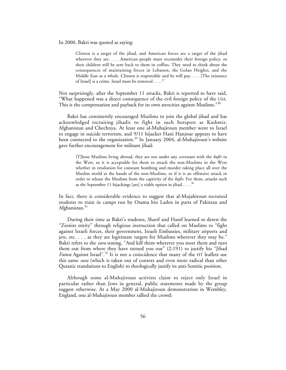In 2000, Bakri was quoted as saying:

Clinton is a target of the jihad, and American forces are a target of the jihad wherever they are. . . . American people must reconsider their foreign policy, or their children will be sent back to them in coffins. They need to think about the consequences of maintaining forces in Lebanon, the Golan Heights, and the Middle East as a whole. Clinton is responsible and he will pay. . . . [The existence of Israell is a crime. Israel must be removed  $\ldots$ .<sup>27</sup>

Not surprisingly, after the September 11 attacks, Bakri is reported to have said, "What happened was a direct consequence of the evil foreign policy of the USA. This is the compensation and payback for its own atrocities against Muslims."<sup>28</sup>

Bakri has consistently encouraged Muslims to join the global jihad and has acknowledged recruiting jihadis to fight in such hotspots as Kashmir, Afghanistan and Chechnya. At least one al-Muhajiroun member went to Israel to engage in suicide terrorism, and 9/11 hijacker Hani Hanjour appears to have been connected to the organization.<sup>29</sup> In January 2004, al-Muhajiroun's website gave further encouragement for militant jihad:

[T]hose Muslims living abroad, they are not under any covenant with the *kufir* in the West, so it is acceptable for them to attack the non-Muslims in the West whether in retaliation for constant bombing and murder taking place all over the Muslim world at the hands of the non-Muslims, or if it is an offensive attack in order to release the Muslims from the captivity of the *kufir*. For them, attacks such as the September 11 hijackings [are] a viable option in jihad  $\dots$ .<sup>30</sup>

In fact, there is considerable evidence to suggest that al-Mujahiroun recruited students to train in camps run by Osama bin Laden in parts of Pakistan and Afghanistan.<sup>31</sup>

During their time as Bakri's students, Sharif and Hanif learned to detest the "Zionist entity" through religious instruction that called on Muslims to "fight against Israeli forces, their government, Israeli Embassies, military airports and jets, etc. . . . as they are legitimate targets for Muslims wherever they may be." Bakri refers to the *sura* stating, "And kill them wherever you meet them and turn them out from where they have turned you out" (2:191) to justify his "Jihad *Fatwa* Against Israel".<sup>32</sup> It is not a coincidence that many of the HT leaflets use this same *sura* (which is taken out of context and even more radical than other Quranic translations to English) to theologically justify its anti-Semitic position.

Although some al-Muhajiroun activists claim to reject only Israel in particular rather than Jews in general, public statements made by the group suggest otherwise. At a May 2000 al-Muhajiroun demonstration in Wembley, England, one al-Muhajiroun member rallied the crowd: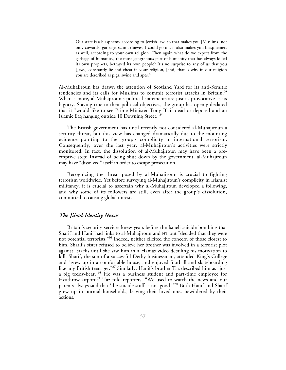Our state is a blasphemy according to Jewish law, so that makes you [Muslims] not only cowards, garbage, scum, thieves, I could go on, it also makes you blasphemers as well, according to your own religion. Then again what do we expect from the garbage of humanity, the most gangrenous part of humanity that has always killed its own prophets, betrayed its own people? It's no surprise to any of us that you [Jews] constantly lie and cheat in your religion, [and] that is why in our religion you are described as pigs, swine and apes.<sup>33</sup>

Al-Muhajiroun has drawn the attention of Scotland Yard for its anti-Semitic tendencies and its calls for Muslims to commit terrorist attacks in Britain.<sup>34</sup> What is more, al-Muhajiroun's political statements are just as provocative as its bigotry. Staying true to their political objectives, the group has openly declared that it "would like to see Prime Minister Tony Blair dead or deposed and an Islamic flag hanging outside 10 Downing Street."35

The British government has until recently not considered al-Muhajiroun a security threat, but this view has changed dramatically due to the mounting evidence pointing to the group's complicity in international terrorism. Consequently, over the last year, al-Muhajiroun's activities were strictly monitored. In fact, the dissolution of al-Muhajiroun may have been a preemptive step: Instead of being shut down by the government, al-Muhajiroun may have "dissolved" itself in order to escape prosecution.

Recognizing the threat posed by al-Muhajiroun is crucial to fighting terrorism worldwide. Yet before surveying al-Muhajiroun's complicity in Islamist militancy, it is crucial to ascertain why al-Muhajiroun developed a following, and why some of its followers are still, even after the group's dissolution, committed to causing global unrest.

## *The Jihad-Identity Nexus*

Britain's security services knew years before the Israeli suicide bombing that Sharif and Hanif had links to al-Muhajiroun and HT but "decided that they were not potential terrorists."36 Indeed, neither elicited the concern of those closest to him. Sharif's sister refused to believe her brother was involved in a terrorist plot against Israelis until she saw him in a Hamas video detailing his motivation to kill. Sharif, the son of a successful Derby businessman, attended King's College and "grew up in a comfortable house, and enjoyed football and skateboarding like any British teenager."<sup>37</sup> Similarly, Hanif's brother Taz described him as "just a big teddy-bear."<sup>38</sup> He was a business student and part-time employee for Heathrow airport.<sup>39</sup> Taz told reporters, "We used to watch the news and our parents always said that 'the suicide stuff is not good."<sup>40</sup> Both Hanif and Sharif grew up in normal households, leaving their loved ones bewildered by their actions.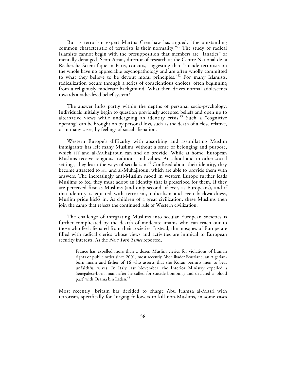But as terrorism expert Martha Crenshaw has argued, "the outstanding common characteristic of terrorists is their normality.<sup>"41</sup> The study of radical Islamists cannot begin with the presupposition that members are "fanatics" or mentally deranged. Scott Atran, director of research at the Centre National de la Recherche Scientifique in Paris, concurs, suggesting that "suicide terrorists on the whole have no appreciable psychopathology and are often wholly committed to what they believe to be devout moral principles."42 For many Islamists, radicalization occurs through a series of conscientious choices, often beginning from a religiously moderate background. What then drives normal adolescents towards a radicalized belief system?

The answer lurks partly within the depths of personal socio-psychology. Individuals initially begin to question previously accepted beliefs and open up to alternative views while undergoing an identity crisis.<sup>43</sup> Such a "cognitive opening" can be brought on by personal loss, such as the death of a close relative, or in many cases, by feelings of social alienation.

Western Europe's difficulty with absorbing and assimilating Muslim immigrants has left many Muslims without a sense of belonging and purpose, which HT and al-Muhajiroun can and do provide. While at home, European Muslims receive religious traditions and values. At school and in other social settings, they learn the ways of secularism. $^{44}$  Confused about their identity, they become attracted to HT and al-Muhajiroun, which are able to provide them with answers. The increasingly anti-Muslim mood in western Europe further leads Muslims to feel they must adopt an identity that is prescribed for them. If they are perceived first as Muslims (and only second, if ever, as Europeans), and if that identity is equated with terrorism, radicalism and even backwardness, Muslim pride kicks in. As children of a great civilization, these Muslims then join the camp that rejects the continued rule of Western civilization.

The challenge of integrating Muslims into secular European societies is further complicated by the dearth of moderate imams who can reach out to those who feel alienated from their societies. Instead, the mosques of Europe are filled with radical clerics whose views and activities are inimical to European security interests. As the *New York Times* reported,

France has expelled more than a dozen Muslim clerics for violations of human rights or public order since 2001, most recently Abdelikader Bouziane, an Algerianborn imam and father of 16 who asserts that the Koran permits men to beat unfaithful wives. In Italy last November, the Interior Ministry expelled a Senegalese-born imam after he called for suicide bombings and declared a 'blood pact' with Osama bin Laden.<sup>45</sup>

Most recently, Britain has decided to charge Abu Hamza al-Masri with terrorism, specifically for "urging followers to kill non-Muslims, in some cases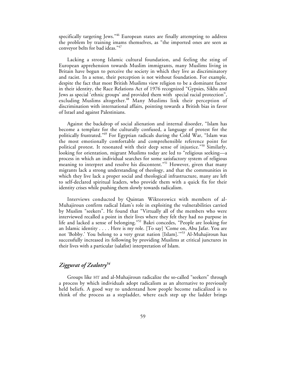specifically targeting Jews."<sup>46</sup> European states are finally attempting to address the problem by training imams themselves, as "the imported ones are seen as conveyor belts for bad ideas."47

Lacking a strong Islamic cultural foundation, and feeling the sting of European apprehension towards Muslim immigrants, many Muslims living in Britain have begun to perceive the society in which they live as discriminatory and racist. In a sense, their perception is not without foundation. For example, despite the fact that most British Muslims view religion to be a dominant factor in their identity, the Race Relations Act of 1976 recognized "Gypsies, Sikhs and Jews as special 'ethnic groups' and provided them with special racial protection", excluding Muslims altogether.<sup>48</sup> Many Muslims link their perception of discrimination with international affairs, pointing towards a British bias in favor of Israel and against Palestinians.

Against the backdrop of social alienation and internal disorder, "Islam has become a template for the culturally confused, a language of protest for the politically frustrated."49 For Egyptian radicals during the Cold War, "Islam was the most emotionally comfortable and comprehensible reference point for political protest. It resonated with their deep sense of injustice."<sup>50</sup> Similarly, looking for orientation, migrant Muslims today are led to "religious seeking—a process in which an individual searches for some satisfactory system of religious meaning to interpret and resolve his discontent."<sup>51</sup> However, given that many migrants lack a strong understanding of theology, and that the communities in which they live lack a proper social and theological infrastructure, many are left to self-declared spiritual leaders, who provide them with a quick fix for their identity crises while pushing them slowly towards radicalism.

Interviews conducted by Quintan Wiktorowicz with members of al-Muhajiroun confirm radical Islam's role in exploiting the vulnerabilities carried by Muslim "seekers". He found that "Virtually all of the members who were interviewed recalled a point in their lives where they felt they had no purpose in life and lacked a sense of belonging."52 Bakri concedes, "People are looking for an Islamic identity . . . . Here is my role. [To say] 'Come on, Abu Jafar. You are not 'Bobby*.*' You belong to a very great nation [Islam].'"53 Al-Muhajiroun has successfully increased its following by providing Muslims at critical junctures in their lives with a particular (salafist) interpretation of Islam.

## *Ziggurat of Zealotry54*

Groups like HT and al-Muhajiroun radicalize the so-called "seekers" through a process by which individuals adopt radicalism as an alternative to previously held beliefs. A good way to understand how people become radicalized is to think of the process as a stepladder, where each step up the ladder brings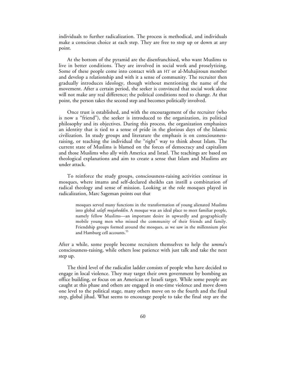individuals to further radicalization. The process is methodical, and individuals make a conscious choice at each step. They are free to step up or down at any point.

At the bottom of the pyramid are the disenfranchised, who want Muslims to live in better conditions. They are involved in social work and proselytizing. Some of these people come into contact with an HT or al-Muhajiroun member and develop a relationship and with it a sense of community. The recruiter then gradually introduces ideology, though without mentioning the name of the movement. After a certain period, the seeker is convinced that social work alone will not make any real difference; the political conditions need to change. At that point, the person takes the second step and becomes politically involved.

Once trust is established, and with the encouragement of the recruiter (who is now a "friend"), the seeker is introduced to the organization, its political philosophy and its objectives. During this process, the organization emphasizes an identity that is tied to a sense of pride in the glorious days of the Islamic civilization. In study groups and literature the emphasis is on consciousnessraising, or teaching the individual the "right" way to think about Islam. The current state of Muslims is blamed on the forces of democracy and capitalism and those Muslims who ally with America and Israel. The teachings are based on theological explanations and aim to create a sense that Islam and Muslims are under attack.

To reinforce the study groups, consciousness-raising activities continue in mosques, where imams and self-declared sheikhs can instill a combination of radical theology and sense of mission. Looking at the role mosques played in radicalization, Marc Sageman points out that

mosques served many functions in the transformation of young alienated Muslims into global *salafi mujaheddin*. A mosque was an ideal place to meet familiar people, namely fellow Muslims—an important desire in upwardly and geographically mobile young men who missed the community of their friends and family. Friendship groups formed around the mosques, as we saw in the millennium plot and Hamburg cell accounts.<sup>55</sup>

After a while, some people become recruiters themselves to help the *umma*'s consciousness-raising, while others lose patience with just talk and take the next step up.

The third level of the radicalist ladder consists of people who have decided to engage in local violence. They may target their own government by bombing an office building, or focus on an American or Israeli target. While some people are caught at this phase and others are engaged in one-time violence and move down one level to the political stage, many others move on to the fourth and the final step, global jihad. What seems to encourage people to take the final step are the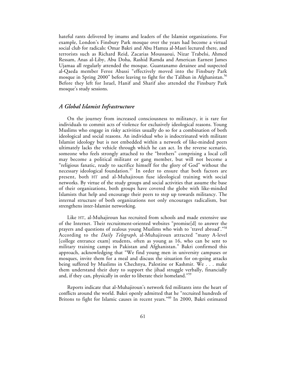hateful rants delivered by imams and leaders of the Islamist organizations. For example, London's Finsbury Park mosque over the years had become a virtual social club for radicals: Omar Bakri and Abu Hamza al-Masri lectured there, and terrorists such as Richard Reid, Zacarias Moussaoui, Nizar Trabelsi, Ahmed Ressam, Anas al-Liby, Abu Doha, Rashid Ramda and American Earnest James Ujamaa all regularly attended the mosque. Guantanamo detainee and suspected al-Qaeda member Feroz Abassi "effectively moved into the Finsbury Park mosque in Spring 2000" before leaving to fight for the Taliban in Afghanistan.<sup>56</sup> Before they left for Israel, Hanif and Sharif also attended the Finsbury Park mosque's study sessions.

## *A Global Islamist Infrastructure*

On the journey from increased consciousness to militancy, it is rare for individuals to commit acts of violence for exclusively ideological reasons. Young Muslims who engage in risky activities usually do so for a combination of both ideological and social reasons. An individual who is indoctrinated with militant Islamist ideology but is not embedded within a network of like-minded peers ultimately lacks the vehicle through which he can act. In the reverse scenario, someone who feels strongly attached to the "brothers" comprising a local cell may become a political militant or gang member, but will not become a "religious fanatic, ready to sacrifice himself for the glory of God" without the necessary ideological foundation.<sup>57</sup> In order to ensure that both factors are present, both HT and al-Muhajiroun fuse ideological training with social networks. By virtue of the study groups and social activities that assume the base of their organizations, both groups have covered the globe with like-minded Islamists that help and encourage their peers to step up towards militancy. The internal structure of both organizations not only encourages radicalism, but strengthens inter-Islamist networking.

Like HT, al-Muhajiroun has recruited from schools and made extensive use of the Internet. Their recruitment-oriented websites "promise[d] to answer the prayers and questions of zealous young Muslims who wish to 'travel abroad'."58 According to the *Daily Telegraph*, al-Muhajiroun attracted "many A-level [college entrance exam] students, often as young as 16, who can be sent to military training camps in Pakistan and Afghanistan." Bakri confirmed this approach, acknowledging that "We find young men in university campuses or mosques, invite them for a meal and discuss the situation for on-going attacks being suffered by Muslims in Chechnya, Palestine or Kashmir. We . . . make them understand their duty to support the jihad struggle verbally, financially and, if they can, physically in order to liberate their homeland."<sup>59</sup>

Reports indicate that al-Muhajiroun's network fed militants into the heart of conflicts around the world. Bakri openly admitted that he "recruited hundreds of Britons to fight for Islamic causes in recent years."<sup>60</sup> In 2000, Bakri estimated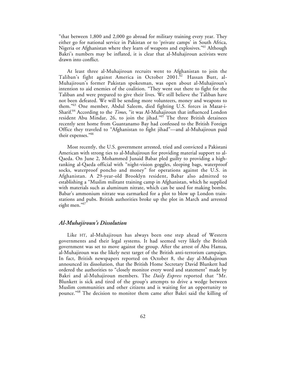"that between 1,800 and 2,000 go abroad for military training every year. They either go for national service in Pakistan or to 'private camps' in South Africa, Nigeria or Afghanistan where they learn of weapons and explosives."61 Although Bakri's numbers may be inflated, it is clear that al-Muhajiroun activists were drawn into conflict.

At least three al-Muhajiroun recruits went to Afghanistan to join the Taliban's fight against America in October 2001.<sup>62</sup> Hassan Butt, al-Muhajiroun's former Pakistan spokesman, was open about al-Muhajiroun's intention to aid enemies of the coalition. "They went out there to fight for the Taliban and were prepared to give their lives. We still believe the Taliban have not been defeated. We will be sending more volunteers, money and weapons to them."<sup>63</sup> One member, Abdul Saleem, died fighting U.S. forces in Mazar-i-Sharif.64 According to the *Times*, "it was Al-Muhajiroun that influenced London resident Abu Mindar, 26, to join the jihad."<sup>65</sup> The three British detainees recently sent home from Guantanamo Bay had confessed to the British Foreign Office they traveled to "Afghanistan to fight jihad"—and al-Muhajiroun paid their expenses."<sup>66</sup>

Most recently, the U.S. government arrested, tried and convicted a Pakistani American with strong ties to al-Muhajiroun for providing material support to al-Qaeda. On June 2, Mohammed Junaid Babar pled guilty to providing a highranking al-Qaeda official with "night-vision goggles, sleeping bags, waterproof socks, waterproof poncho and money" for operations against the U.S. in Afghanistan. A 29-year-old Brooklyn resident, Babar also admitted to establishing a "Muslim militant training camp in Afghanistan, which he supplied with materials such as aluminum nitrate, which can be used for making bombs. Babar's ammonium nitrate was earmarked for a plot to blow up London trainstations and pubs. British authorities broke up the plot in March and arrested eight men."67

#### *Al-Muhajiroun's Dissolution*

Like HT, al-Muhajiroun has always been one step ahead of Western governments and their legal systems. It had seemed very likely the British government was set to move against the group. After the arrest of Abu Hamza, al-Muhajiroun was the likely next target of the British anti-terrorism campaign. In fact, British newspapers reported on October 8, the day al-Muhajiroun announced its dissolution, that the British Home Secretary David Blunkett had ordered the authorities to "closely monitor every word and statement" made by Bakri and al-Muhajiroun members. The *Daily Express* reported that "Mr. Blunkett is sick and tired of the group's attempts to drive a wedge between Muslim communities and other citizens and is waiting for an opportunity to pounce."<sup>68</sup> The decision to monitor them came after Bakri said the killing of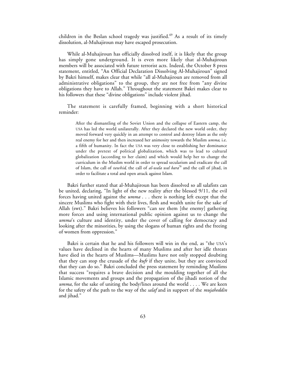children in the Beslan school tragedy was justified.<sup>69</sup> As a result of its timely dissolution, al-Muhajiroun may have escaped prosecution.

While al-Muhajiroun has officially dissolved itself, it is likely that the group has simply gone underground. It is even more likely that al-Muhajiroun members will be associated with future terrorist acts. Indeed, the October 8 press statement, entitled, "An Official Declaration Dissolving Al-Muhajiroun" signed by Bakri himself, makes clear that while "all al-Muhajiroun are removed from all administrative obligations" to the group, they are not free from "any divine obligations they have to Allah." Throughout the statement Bakri makes clear to his followers that these "divine obligations" include violent jihad.

The statement is carefully framed, beginning with a short historical reminder:

> After the dismantling of the Soviet Union and the collapse of Eastern camp, the USA has led the world unilaterally. After they declared the new world order, they moved forward very quickly in an attempt to control and destroy Islam as the only real enemy for her and then increased her animosity towards the Muslim *umma*, i.e. a fifth of humanity. In fact the USA was very close to establishing her dominance under the pretext of political globalization, which was to lead to cultural globalization (according to her claim) and which would help her to change the curriculum in the Muslim world in order to spread secularism and eradicate the call of Islam, the call of *tawhid*, the call of *al-wala wal bara*<sup>70</sup> and the call of jihad, in order to facilitate a total and open attack against Islam.

Bakri further stated that al-Muhajiroun has been dissolved so all salafists can be united, declaring, "In light of the new reality after the blessed 9/11, the evil forces having united against the *umma* . . . there is nothing left except that the sincere Muslims who fight with their lives, flesh and wealth unite for the sake of Allah (swt)." Bakri believes his followers "can see them [the enemy] gathering more forces and using international public opinion against us to change the *umma*'s culture and identity, under the cover of calling for democracy and looking after the minorities, by using the slogans of human rights and the freeing of women from oppression."

Bakri is certain that he and his followers will win in the end, as "the USA's values have declined in the hearts of many Muslims and after her idle threats have died in the hearts of Muslims—Muslims have not only stopped doubting that they can stop the crusade of the *kufr* if they unite, but they are convinced that they can do so." Bakri concluded the press statement by reminding Muslims that success "requires a brave decision and the moulding together of all the Islamic movements and groups and the propagation of the jihadi notion of the *umma*, for the sake of uniting the body/lines around the world . . . . We are keen for the safety of the path to the way of the *salaf* and in support of the *mujaheddin* and jihad."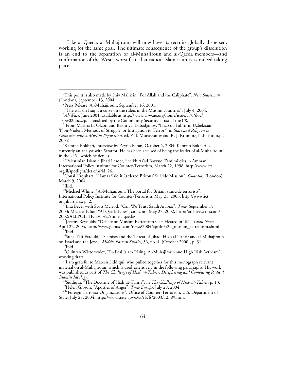Like al-Qaeda, al-Muhajiroun will now have its recruits globally dispersed, working for the same goal. The ultimate consequence of the group's dissolution is an end to the separation of al-Muhajiroun and al-Qaeda members—and confirmation of the West's worst fear, that radical Islamist unity is indeed taking place.

<sup>6</sup>Kamran Bokhari, interview by Zeyno Baran, October 5, 2004. Kamran Bokhari is currently an analyst with Stratfor. He has been accused of being the leader of al-Muhajiroun in the U.S., which he denies.

"Palestinian Islamic Jihad Leader, Sheikh As'ad Bayyud Tamimi dies in Amman", International Policy Institute for Counter-Terrorism, March 22, 1998, http://www.ict. org.il/spotlight/det.cfm?id=26. <sup>8</sup>

<sup>10</sup>Michael Whine, "Al-Muhajiroun: The portal for Britain's suicide terrorists", International Policy Institute for Counter-Terrorism, May 21, 2003, http://www.ict.

<sup>11</sup>Lisa Beyer with Scott Mcleod, "Can We Trust Saudi Arabia?", *Time*, September 15, 2003; Michael Elliot, "Al-Qaeda Now", cnn.com, May 27, 2002, http://archives.cnn.com/ 2002/ALLPOLITICS/05/27/time.alqaeda/. 12Jeremy Reynolds, "Debate on Muslim Extremism Gets Heated in UK", *Talon News*,

April 22, 2004, http://www.gopusa.com/news/2004/april/0422\_muslim\_extremism.shtml.<br><sup>13</sup>Ibid.

<sup>14</sup>Suha Taji-Farouki, "Islamists and the Threat of Jihad: Hizb al-Tahrir and al-Muhajiroun on Israel and the Jews", *Middle Eastern Studies*, 36, no. 4: (October 2000), p. 31. <sup>15</sup>Ibid.

<sup>16</sup>Quintan Wictorowicz, "Radical Islam Rising: Al-Muhajiroun and High Risk Activism", working draft.<br><sup>17</sup>I am grateful to Mateen Siddiqui, who pulled together for this monograph relevant

material on al-Muhajiroun, which is used extensively in the following paragraphs. His work was published as part of *The Challenge of Hizb ut-Tahrir*: *Deciphering and Combating Radical*

*Islamist Ideology.*<br><sup>18</sup>Siddiqui, "The Doctrine of Hizb ut-Tahrir", in *The Challenge of Hizb ut-Tahrir*, p. 13.<br><sup>19</sup>Helen Gibson, "Apostles of Anger", *Time Europe*, July 28, 2004.<br><sup>20</sup>"Foreign Terrorist Organizations",

State, July 28, 2004, http://www.state.gov/s/ct/rls/fs/2003/12389.htm.

1 This point is also made by Shiv Malik in "For Allah and the Caliphate", *New Statesman* (London), September 13, 2004. <sup>2</sup>

<sup>&</sup>lt;sup>2</sup>Press Release, Al-Muhajiroun, September 16, 2001.

 $^{3}$  The war on Iraq is a curse on the rulers in the Muslim countries", July 4, 2004.

<sup>4</sup> *Al-Waie,* June 2001, available at http://www.al-waie.org/home/issue/170/doc/ 170w02doc.zip. Translated by the Community Security Trust of the UK. <sup>5</sup>

<sup>&</sup>lt;sup>5</sup> From Martha B. Olcott and Bakhtiyar Babadjanov, "Hizb ut-Tahrir in Uzbekistan: 'Non-Violent Methods of Struggle' or Instigation to Terror?" in *State and Religion in Countries with a Muslim Population,* ed. Z. I. Munavvarov and R. J. Krumm.(Tashkent: n.p., 2004). <sup>6</sup>

Conal Urquhart, "Hamas Said it Ordered Britons' Suicide Mission", *Guardian* (London), March 9, 2004.

Ibid.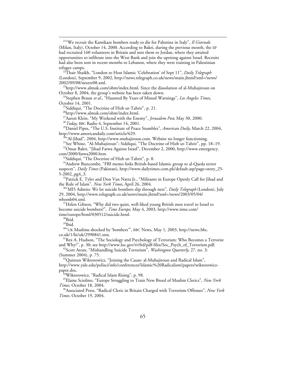21"We recruit the Kamikaze bombers ready to die for Palestine in Italy", *Il Giornale* (Milan, Italy), October 14, 2000. According to Bakri, during the previous month, the IIF had recruited 160 volunteers in Britain and sent them to Jordan, where they awaited opportunities to infiltrate into the West Bank and join the uprising against Israel. Recruits had also been sent in recent months to Lebanon, where they were training in Palestinian refugee camps. 22Thair Shaikh, "London to Host Islamic 'Celebration' of Sept 11", *Daily Telegraph*

(London), September 9, 2002, http://news.telegraph.co.uk/news/main.jhtml?xml=/news/

2002/09/08/nextre08.xml.<br><sup>23</sup>http://www.almuk.com/obm/index.html. Since the dissolution of al-Muhajiroun on<br>October 8, 2004, the group's website has been taken down.

<sup>24</sup>Stephen Braun *et al.*, "Haunted By Years of Missed Warnings", *Los Angeles Times*, October 14, 2001.

<sup>25</sup>Siddiqui, "The Doctrine of Hizb ut-Tahrir", p. 21.

 $^{26}$ http://www.almuk.com/obm/index.html.<br> $^{27}$ Aaron Klein, "My Weekend with the Enemy", *Jerusalem Post*, May 30, 2000.

<sup>28</sup>Today, BBC Radio 4, September 14, 2001.<br><sup>29</sup>Daniel Pipes, "The U.S. Institute of Peace Stumbles", *American Daily*, March 22, 2004, http://www.americandaily.com/article/629.<br><sup>30</sup>"Al-Jihad", 2004, http://www.muhajiroun.com. Website no longer functioning.<br><sup>31</sup>See Whine, "Al-Muhajiroun"; Siddiqui, "The Doctrine of Hizb ut-Tahrir", pp. 18–19.

<sup>32</sup>Omar Bakri, "Jihad Fatwa Against Israel", December 2, 2000, http://www.emergency.<br>com/2000/fatwa 2000.htm.

 $33$ Siddiqui, "The Doctrine of Hizb ut-Tahrir", p. 8.

<sup>34</sup>Andrew Buncombe, "FBI memo links British-based Islamic group to al-Qaeda terror suspects", *Daily Times* (Pakistan), http://www.dailytimes.com.pk/default.asp?page=story\_25-

5-2002\_pg4\_3.<br><sup>35</sup>Patrick E. Tyler and Don Van Natta Jr., "Militants in Europe Openly Call for Jihad and<br>the Rule of Islam", *New York Times*, April 26, 2004.

<sup>36"</sup>MI5 Admits: We let suicide bombers slip through nets", *Daily Telegraph* (London), July 29, 2004, http://www.telegraph.co.uk/news/main.jhtml?xml=/news/2003/05/04/

wbomb04.xml.<br><sup>37</sup>Helen Gibson, "Why did two quiet, well-liked young British men travel to Israel to become suicide bombers?", *Time Europe*, May 4, 2003, http://www.time.com/ time/europe/html/030512/suicide.html.<br><sup>38</sup>Ibid.

39Ibid.

 $^{40}$ "UK Muslims shocked by 'bombers'", BBC News, May 1, 2003, http://news.bbc.<br>co.uk/1/hi/uk/2990841.stm.

<sup>41</sup> Rex A. Hudson, "The Sociology and Psychology of Terrorism: Who Becomes a Terrorist and Why?", p. 30; see http://www.loc.gov/rr/frd/pdf-files/Soc\_Psych\_of\_Terrorism.pdf.

<sup>42</sup>Scott Atran, "Mishandling Suicide Terrorism", *Washington Quarterly*, 27, no. 3: (Summer 2004), p. 75.<br> $43$ Quintan Wiktorowicz, "Joining the Cause: al-Muhajiroun and Radical Islam",

http://www.yale.edu/polisci/info/conferences/Islamic%20Radicalism/papers/wiktorowicz-

<sup>44</sup>Wiktorowicz, "Radical Islam Rising", p. 98.

45Elaine Sciolino, "Europe Struggling to Train New Breed of Muslim Clerics", *New York*

*Times*, October 18, 2004. 46Associated Press, "Radical Cleric in Britain Charged with Terrorism Offenses", *New York Times,* October 19, 2004.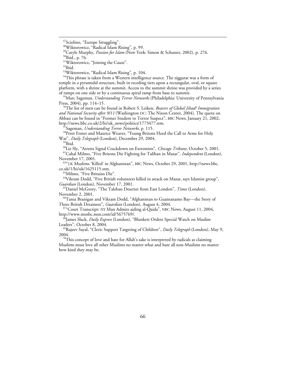$51$ <sup>S1</sup>Wiktorowicz, "Joining the Cause".

<sup>53</sup>Wiktorowicz, "Radical Islam Rising", p. 104.

<sup>54</sup>This phrase is taken from a Western intelligence source. The ziggurat was a form of temple in a pyramidal structure, built in receding tiers upon a rectangular, oval, or square platform, with a shrine at the summit. Access to the summit shrine was provided by a series of ramps on one side or by a continuous spiral ramp from base to summit.

<sup>55</sup>Marc Sageman, *Understanding Terror Networks* (Philadelphia: University of Pennsylvania Press, 2004), pp. 114–15.

56The list of men can be found in Robert S. Leiken, *Bearers of Global Jihad? Immigration and National Security after 9/11* (Washington DC: The Nixon Center, 2004). The quote on Abbasi can be found in "Former Student to Terror Suspect", BBC News, January 21, 2002, http://news.bbc.co.uk/2/hi/uk\_news/politics/1773477.stm.

<sup>57</sup>Sageman, *Understanding Terror Networks*, p. 115.<br><sup>58</sup>Peter Foster and Maurice Weaver, "Young Britons Heed the Call to Arms for Holy War", *Daily Telegraph* (London), December 29, 2004.<br><sup>59</sup>Ibid.<br><sup>60</sup>Liz Sly, "Arrests Signal Crackdown on Extremists", *Chicago Tribune*, October 5, 2001.

<sup>61</sup>Cahal Milmo, "Five Britons Die Fighting for Taliban in Mazar", *Independent* (London), November 17, 2001.

<sup>62"</sup>UK Muslims 'Killed' in Afghanistan", BBC News, October 29, 2001, http://news.bbc. co.uk/1/hi/uk/1625115.stm.

<sup>63</sup>Milmo, "Five Britains Die".<br><sup>64</sup>Vikram Dodd, "Five British volunteers killed in attack on Mazar, says Islamist group", *Guardian* (London), November 17, 2001.

65Daniel McGrory, "The Taleban Deserter from East London", *Times* (London),

November 2, 2001.<br><sup>66</sup>Tania Branigan and Vikram Dodd, "Afghanistan to Guantanamo Bay—the Story of

Three British Detainees", *Guardian* (London), August 4, 2004.<br><sup>67</sup>"Court Transcript: NY Man Admits aiding al-Qaida", NBC News, August 11, 2004,

http://www.msnbc.msn.com/id/5675769/. 68James Slack, *Daily Express* (London), "Blunkett Orders Special Watch on Muslim

Leaders", October 8, 2004. 69Rajeev Sayal, "Cleric Support Targeting of Children", *Daily Telegraph* (London), May 9, 2004.<br><sup>70</sup>This concept of love and hate for Allah's sake is interpreted by radicals as claiming

Muslims must love all other Muslims no matter what and hate all non-Muslims no matter how kind they may be.

<sup>&</sup>lt;sup>47</sup>Sciolino, "Europe Struggling".

<sup>48</sup>Wiktorowicz, "Radical Islam Rising", p. 99.

<sup>&</sup>lt;sup>49</sup>Caryle Murphy, *Passion for Islam* (New York: Simon & Schuster, 2002), p. 276.<br><sup>50</sup>Ibid., p. 76.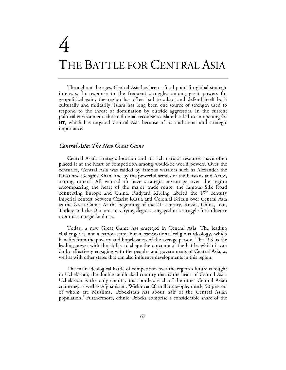# 4 THE BATTLE FOR CENTRAL ASIA

Throughout the ages, Central Asia has been a focal point for global strategic interests. In response to the frequent struggles among great powers for geopolitical gain, the region has often had to adapt and defend itself both culturally and militarily. Islam has long been one source of strength used to respond to the threat of domination by outside aggressors. In the current political environment, this traditional recourse to Islam has led to an opening for HT, which has targeted Central Asia because of its traditional and strategic importance.

## *Central Asia: The New Great Game*

Central Asia's strategic location and its rich natural resources have often placed it at the heart of competition among would-be world powers. Over the centuries, Central Asia was raided by famous warriors such as Alexander the Great and Genghis Khan, and by the powerful armies of the Persians and Arabs, among others. All wanted to have strategic advantage over the region encompassing the heart of the major trade route, the famous Silk Road connecting Europe and China. Rudyard Kipling labeled the  $19<sup>th</sup>$  century imperial contest between Czarist Russia and Colonial Britain over Central Asia as the Great Game. At the beginning of the 21<sup>st</sup> century, Russia, China, Iran, Turkey and the U.S. are, to varying degrees, engaged in a struggle for influence over this strategic landmass.

Today, a new Great Game has emerged in Central Asia. The leading challenger is not a nation-state, but a transnational religious ideology, which benefits from the poverty and hopelessness of the average person. The U.S. is the leading power with the ability to shape the outcome of the battle, which it can do by effectively engaging with the peoples and governments of Central Asia, as well as with other states that can also influence developments in this region.

The main ideological battle of competition over the region's future is fought in Uzbekistan, the double-landlocked country that is the heart of Central Asia. Uzbekistan is the only country that borders each of the other Central Asian countries, as well as Afghanistan. With over 26 million people, nearly 90 percent of whom are Muslims, Uzbekistan has about half of the Central Asian population.1 Furthermore, ethnic Uzbeks comprise a considerable share of the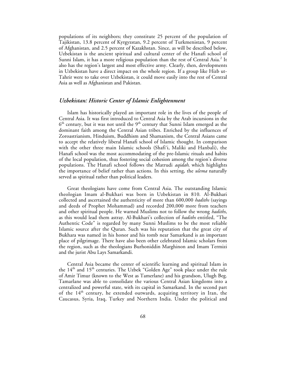populations of its neighbors; they constitute 25 percent of the population of Tajikistan, 13.8 percent of Kyrgyzstan, 9.2 percent of Turkmenistan, 9 percent of Afghanistan, and 2.5 percent of Kazakhstan. Since, as will be described below, Uzbekistan is the ancient spiritual and cultural center of the Hanafi school of Sunni Islam, it has a more religious population than the rest of Central Asia.<sup>2</sup> It also has the region's largest and most effective army. Clearly, then, developments in Uzbekistan have a direct impact on the whole region. If a group like Hizb ut-Tahrir were to take over Uzbekistan, it could move easily into the rest of Central Asia as well as Afghanistan and Pakistan.

## *Uzbekistan: Historic Center of Islamic Enlightenment*

Islam has historically played an important role in the lives of the people of Central Asia. It was first introduced to Central Asia by the Arab incursions in the  $6<sup>th</sup>$  century, but it was not until the  $9<sup>th</sup>$  century that Sunni Islam emerged as the dominant faith among the Central Asian tribes. Enriched by the influences of Zoroastrianism, Hinduism, Buddhism and Shamanism, the Central Asians came to accept the relatively liberal Hanafi school of Islamic thought. In comparison with the other three main Islamic schools (Shafi'i, Maliki and Hanbali), the Hanafi school was the most accommodating of the pre-Islamic rituals and habits of the local population, thus fostering social cohesion among the region's diverse populations. The Hanafi school follows the Matrudi *aqidah*, which highlights the importance of belief rather than actions. In this setting, the *ulema* naturally served as spiritual rather than political leaders.

Great theologians have come from Central Asia. The outstanding Islamic theologian Imam al-Bukhari was born in Uzbekistan in 810. Al-Bukhari collected and ascertained the authenticity of more than 600,000 *hadiths* (sayings and deeds of Prophet Mohammad) and recorded 200,000 more from teachers and other spiritual people. He warned Muslims not to follow the wrong *hadiths*, as this would lead them astray. Al-Bukhari's collection of *hadiths* entitled, "The Authentic Code" is regarded by many Sunni Muslims to be the most reliable Islamic source after the Quran. Such was his reputation that the great city of Bukhara was named in his honor and his tomb near Samarkand is an important place of pilgrimage. There have also been other celebrated Islamic scholars from the region, such as the theologians Burhoniddin Marghinon and Imam Termizi and the jurist Abu Lays Samarkandi.

Central Asia became the center of scientific learning and spiritual Islam in the 14<sup>th</sup> and 15<sup>th</sup> centuries. The Uzbek "Golden Age" took place under the rule of Amir Timur (known to the West as Tamerlane) and his grandson, Ulugh Beg. Tamarlane was able to consolidate the various Central Asian kingdoms into a centralized and powerful state, with its capital in Samarkand. In the second part of the  $14<sup>th</sup>$  century, he extended outwards, acquiring territory in Iran, the Caucasus, Syria, Iraq, Turkey and Northern India. Under the political and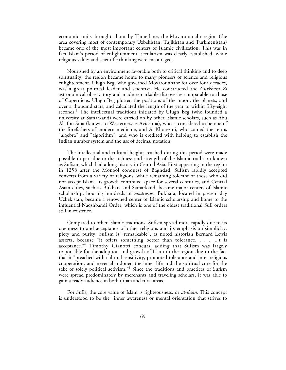economic unity brought about by Tamerlane, the Movarounnahr region (the area covering most of contemporary Uzbekistan, Tajikistan and Turkmenistan) became one of the most important centers of Islamic civilization. This was in fact Islam's period of enlightenment; secularism was clearly established, while religious values and scientific thinking were encouraged.

Nourished by an environment favorable both to critical thinking and to deep spirituality, the region became home to many pioneers of science and religious enlightenment. Ulugh Beg, who governed Movarounnahr for over four decades, was a great political leader and scientist. He constructed the *Gurkhani Zi* astronomical observatory and made remarkable discoveries comparable to those of Copernicus. Ulugh Beg plotted the positions of the moon, the planets, and over a thousand stars, and calculated the length of the year to within fifty-eight seconds.<sup>3</sup> The intellectual traditions initiated by Ulugh Beg (who founded a university at Samarkand) were carried on by other Islamic scholars, such as Abu Ali Ibn Sina (known to Westerners as Avicenna), who is considered to be one of the forefathers of modern medicine, and Al-Khorezmi, who coined the terms "algebra" and "algorithm", and who is credited with helping to establish the Indian number system and the use of decimal notation.

The intellectual and cultural heights reached during this period were made possible in part due to the richness and strength of the Islamic tradition known as Sufism, which had a long history in Central Asia. First appearing in the region in 1258 after the Mongol conquest of Baghdad, Sufism rapidly accepted converts from a variety of religions, while remaining tolerant of those who did not accept Islam. Its growth continued apace for several centuries, and Central Asian cities, such as Bukhara and Samarkand, became major centers of Islamic scholarship, housing hundreds of *madrassas*. Bukhara, located in present-day Uzbekistan, became a renowned center of Islamic scholarship and home to the influential Naqshbandi Order, which is one of the oldest traditional Sufi orders still in existence.

Compared to other Islamic traditions, Sufism spread more rapidly due to its openness to and acceptance of other religions and its emphasis on simplicity, piety and purity. Sufism is "remarkable", as noted historian Bernard Lewis asserts, because "it offers something better than tolerance. . . .  $[1]$ t is acceptance."<sup>4</sup> Timothy Gianotti concurs, adding that Sufism was largely responsible for the adoption and growth of Islam in the region due to the fact that it "preached with cultural sensitivity, promoted tolerance and inter-religious cooperation, and never abandoned the inner life and the spiritual core for the sake of solely political activism."<sup>5</sup> Since the traditions and practices of Sufism were spread predominately by merchants and traveling scholars, it was able to gain a ready audience in both urban and rural areas.

For Sufis, the core value of Islam is righteousness, or *al-ihsan.* This concept is understood to be the "inner awareness or mental orientation that strives to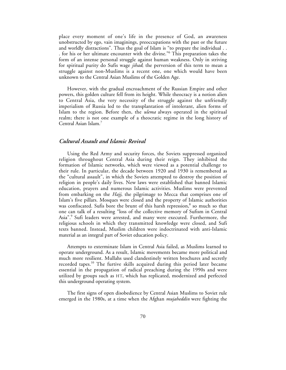place every moment of one's life in the presence of God, an awareness unobstructed by ego, vain imaginings, preoccupations with the past or the future and worldly distractions". Thus the goal of Islam is "to prepare the individual . . . for his or her ultimate encounter with the divine."6 This preparation takes the form of an intense personal struggle against human weakness. Only in striving for spiritual purity do Sufis wage *jihad*; the perversion of this term to mean a struggle against non-Muslims is a recent one, one which would have been unknown to the Central Asian Muslims of the Golden Age.

However, with the gradual encroachment of the Russian Empire and other powers, this golden culture fell from its height. While theocracy is a notion alien to Central Asia, the very necessity of the struggle against the unfriendly imperialism of Russia led to the transplantation of intolerant, alien forms of Islam to the region. Before then, the *ulema* always operated in the spiritual realm; there is not one example of a theocratic regime in the long history of Central Asian Islam.<sup>7</sup>

# *Cultural Assault and Islamic Revival*

Using the Red Army and security forces, the Soviets suppressed organized religion throughout Central Asia during their reign. They inhibited the formation of Islamic networks, which were viewed as a potential challenge to their rule. In particular, the decade between 1920 and 1930 is remembered as the "cultural assault", in which the Soviets attempted to destroy the position of religion in people's daily lives. New laws were established that banned Islamic education, prayers and numerous Islamic activities. Muslims were prevented from embarking on the *Hajj*, the pilgrimage to Mecca that comprises one of Islam's five pillars. Mosques were closed and the property of Islamic authorities was confiscated. Sufis bore the brunt of this harsh repression, $\delta$  so much so that one can talk of a resulting "loss of the collective memory of Sufism in Central Asia".<sup>9</sup> Sufi leaders were arrested, and many were executed. Furthermore, the religious schools in which they transmitted knowledge were closed, and Sufi texts banned. Instead, Muslim children were indoctrinated with anti-Islamic material as an integral part of Soviet education policy.

Attempts to exterminate Islam in Central Asia failed, as Muslims learned to operate underground. As a result, Islamic movements became more political and much more resilient. Mullahs used clandestinely written brochures and secretly recorded tapes.<sup>10</sup> The furtive skills acquired during this period later became essential in the propagation of radical preaching during the 1990s and were utilized by groups such as HT, which has replicated, modernized and perfected this underground operating system.

The first signs of open disobedience by Central Asian Muslims to Soviet rule emerged in the 1980s, at a time when the Afghan *mujaheddin* were fighting the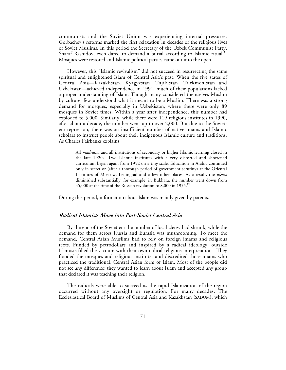communists and the Soviet Union was experiencing internal pressures. Gorbachev's reforms marked the first relaxation in decades of the religious lives of Soviet Muslims. In this period the Secretary of the Uzbek Communist Party, Sharaf Rashidov, even dared to demand a burial according to Islamic ritual.<sup>11</sup> Mosques were restored and Islamic political parties came out into the open.

However, this "Islamic revivalism" did not succeed in resurrecting the same spiritual and enlightened Islam of Central Asia's past. When the five states of Central Asia—Kazakhstan, Kyrgyzstan, Tajikistan, Turkmenistan and Uzbekistan—achieved independence in 1991**,** much of their populations lacked a proper understanding of Islam. Though many considered themselves Muslim by culture, few understood what it meant to be a Muslim. There was a strong demand for mosques, especially in Uzbekistan, where there were only 89 mosques in Soviet times. Within a year after independence, this number had exploded to 5,000. Similarly, while there were 119 religious institutes in 1990, after about a decade, the number went up to over 2,000. But due to the Sovietera repression, there was an insufficient number of native imams and Islamic scholars to instruct people about their indigenous Islamic culture and traditions. As Charles Fairbanks explains,

All *madrassas* and all institutions of secondary or higher Islamic learning closed in the late 1920s. Two Islamic institutes with a very distorted and shortened curriculum began again from 1952 on a tiny scale. Education in Arabic continued only in secret or (after a thorough period of government scrutiny) at the Oriental Institutes of Moscow, Leningrad and a few other places. As a result, the *ulema* diminished substantially; for example, in Bukhara, the number went down from 45,000 at the time of the Russian revolution to 8,000 in 1955.<sup>12</sup>

During this period, information about Islam was mainly given by parents.

# *Radical Islamists Move into Post-Soviet Central Asia*

By the end of the Soviet era the number of local clergy had shrunk, while the demand for them across Russia and Eurasia was mushrooming. To meet the demand, Central Asian Muslims had to rely on foreign imams and religious texts. Funded by petrodollars and inspired by a radical ideology, outside Islamists filled the vacuum with their own radical religious interpretations. They flooded the mosques and religious institutes and discredited those imams who practiced the traditional, Central Asian form of Islam. Most of the people did not see any difference; they wanted to learn about Islam and accepted any group that declared it was teaching their religion.

The radicals were able to succeed as the rapid Islamization of the region occurred without any oversight or regulation. For many decades, The Ecclesiastical Board of Muslims of Central Asia and Kazakhstan (SADUM), which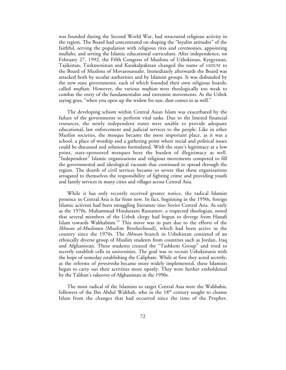was founded during the Second World War, had structured religious activity in the region. The Board had concentrated on shaping the "loyalist attitudes" of the faithful, serving the population with religious rites and ceremonies, appointing mullahs, and setting the Islamic educational curriculum. After independence, on February 27, 1992, the Fifth Congress of Muslims of Uzbekistan, Kyrgyzstan, Tajikistan, Turkmenistan and Karakalpakstan changed the name of SADUM to the Board of Muslims of Movarounnahr. Immediately afterwards the Board was attacked both by secular authorities and by Islamist groups. It was disbanded by the new state governments, each of which founded their own religious boards, called *muftiats*. However, the various *muftiats* were theologically too weak to combat the entry of the fundamentalist and extremist movements. As the Uzbek saying goes, "when you open up the widow for sun, dust comes in as well."

The developing schism within Central Asian Islam was exacerbated by the failure of the governments to perform vital tasks. Due to the limited financial resources, the newly independent states were unable to provide adequate educational, law enforcement and judicial services to the people. Like in other Muslim societies, the mosque became the most important place, as it was a school, a place of worship and a gathering point where social and political issues could be discussed and solutions formulated. With the state's legitimacy at a low point, state-sponsored mosques bore the burden of illegitimacy as well. "Independent" Islamic organizations and religious movements competed to fill the governmental and ideological vacuum that continued to spread through the region. The dearth of civil services became so severe that these organizations arrogated to themselves the responsibility of fighting crime and providing youth and family services in many cities and villages across Central Asia.

While it has only recently received greater notice, the radical Islamist presence in Central Asia is far from new. In fact, beginning in the 1950s, foreign Islamic activists had been smuggling literature into Soviet Central Asia. As early as the 1970s, Muhammad Hindustani Rustamov, a respected theologian, noted that several members of the Uzbek clergy had begun to diverge from Hanafi Islam towards Wahhabism.13 This move was in part due to the efforts of the *Ikhwan al-Muslimun* (Muslim Brotherhood), which had been active in the country since the 1970s. The *Ikhwan* branch in Uzbekistan consisted of an ethnically diverse group of Muslim students from countries such as Jordan, Iraq and Afghanistan. These students created the "Tashkent Group" and tried to secretly establish cells in universities. The goal was to recruit Uzbekistanis with the hope of someday establishing the Caliphate. While at first they acted secretly, as the reforms of *perestroika* became more widely implemented, these Islamists began to carry out their activities more openly. They were further emboldened by the Taliban's takeover of Afghanistan in the 1990s.

The most radical of the Islamists to target Central Asia were the Wahhabis, followers of the Ibn Abdul Wahhab, who in the  $18<sup>th</sup>$  century sought to cleanse Islam from the changes that had occurred since the time of the Prophet.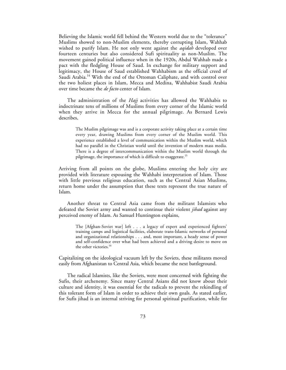Believing the Islamic world fell behind the Western world due to the "tolerance" Muslims showed to non-Muslim elements, thereby corrupting Islam, Wahhab wished to purify Islam. He not only went against the *aqidah* developed over fourteen centuries but also considered Sufi spirituality as non-Muslim. The movement gained political influence when in the 1920s, Abdul Wahhab made a pact with the fledgling House of Saud. In exchange for military support and legitimacy, the House of Saud established Wahhabism as the official creed of Saudi Arabia.<sup>14</sup> With the end of the Ottoman Caliphate, and with control over the two holiest places in Islam, Mecca and Medina, Wahhabist Saudi Arabia over time became the *de facto* center of Islam.

The administration of the *Hajj* activities has allowed the Wahhabis to indoctrinate tens of millions of Muslims from every corner of the Islamic world when they arrive in Mecca for the annual pilgrimage. As Bernard Lewis describes,

The Muslim pilgrimage was and is a corporate activity taking place at a certain time every year, drawing Muslims from every corner of the Muslim world. This experience established a level of communication within the Muslim world, which had no parallel in the Christian world until the invention of modern mass media. There is a degree of intercommunication within the Muslim world through the pilgrimage, the importance of which is difficult to exaggerate.15

Arriving from all points on the globe, Muslims entering the holy city are provided with literature espousing the Wahhabi interpretation of Islam. Those with little previous religious education, such as the Central Asian Muslims, return home under the assumption that these texts represent the true nature of Islam.

Another threat to Central Asia came from the militant Islamists who defeated the Soviet army and wanted to continue their violent *jihad* against any perceived enemy of Islam. As Samuel Huntington explains,

The [Afghan-Soviet war] left . . . a legacy of expert and experienced fighters' training camps and logistical facilities, elaborate trans-Islamic networks of personal and organizational relationships . . . and, most important, a heady sense of power and self-confidence over what had been achieved and a driving desire to move on the other victories.<sup>16</sup>

Capitalizing on the ideological vacuum left by the Soviets, these militants moved easily from Afghanistan to Central Asia, which became the next battleground.

The radical Islamists, like the Soviets, were most concerned with fighting the Sufis, their archenemy. Since many Central Asians did not know about their culture and identity, it was essential for the radicals to prevent the rekindling of this tolerant form of Islam in order to achieve their own goals. As stated earlier, for Sufis jihad is an internal striving for personal spiritual purification, while for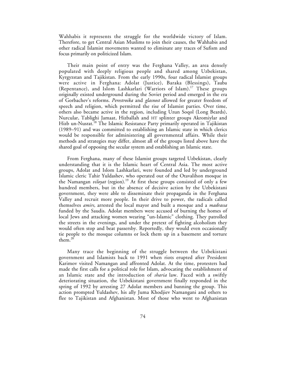Wahhabis it represents the struggle for the worldwide victory of Islam. Therefore, to get Central Asian Muslims to join their causes, the Wahhabis and other radical Islamist movements wanted to eliminate any traces of Sufism and focus primarily on politicized Islam.

Their main point of entry was the Ferghana Valley, an area densely populated with deeply religious people and shared among Uzbekistan, Kyrgyzstan and Tajikistan. From the early 1990s, four radical Islamist groups were active in Ferghana: Adolat (Justice), Baraka (Blessings), Tauba (Repentance), and Islom Lashkarlari (Warriors of Islam).<sup>17</sup> These groups originally existed underground during the Soviet period and emerged in the era of Gorbachev's reforms. *Perestroika* and *glasnost* allowed for greater freedom of speech and religion, which permitted the rise of Islamist parties. Over time, others also became active in the region, including Uzun Soqol (Long Beards), Nurcular, Tablighi Jamaat, Hizballah and HT splinter groups Akromiylar and Hizb un-Nusrat.<sup>18</sup> The Islamic Resistance Party primarily operated in Tajikistan (1989–91) and was committed to establishing an Islamic state in which clerics would be responsible for administering all governmental affairs. While their methods and strategies may differ, almost all of the groups listed above have the shared goal of opposing the secular system and establishing an Islamic state.

From Ferghana, many of these Islamist groups targeted Uzbekistan, clearly understanding that it is the Islamic heart of Central Asia. The most active groups, Adolat and Islom Lashkarlari, were founded and led by underground Islamic cleric Tahir Yuldashev, who operated out of the Otavalihon mosque in the Namangan *viloyat* (region).<sup>19</sup> At first these groups consisted of only a few hundred members, but in the absence of decisive action by the Uzbekistani government, they were able to disseminate their propaganda in the Ferghana Valley and recruit more people. In their drive to power, the radicals called themselves *amirs,* arrested the local mayor and built a mosque and a *madrassa* funded by the Saudis. Adolat members were accused of burning the homes of local Jews and attacking women wearing "un-Islamic" clothing. They patrolled the streets in the evenings, and under the pretext of fighting alcoholism they would often stop and beat passersby. Reportedly, they would even occasionally tie people to the mosque columns or lock them up in a basement and torture them.<sup>20</sup>

Many trace the beginning of the struggle between the Uzbekistani government and Islamists back to 1991 when riots erupted after President Karimov visited Namangan and affronted Adolat. At the time, protesters had made the first calls for a political role for Islam, advocating the establishment of an Islamic state and the introduction of *sharia* law. Faced with a swiftly deteriorating situation, the Uzbekistani government finally responded in the spring of 1992 by arresting 27 Adolat members and banning the group. This action prompted Yuldashev, his ally Juma Khodjiev Namangani and others to flee to Tajikistan and Afghanistan. Most of those who went to Afghanistan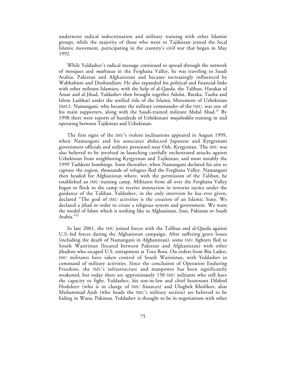underwent radical indoctrination and military training with other Islamist groups, while the majority of those who went to Tajikistan joined the local Islamic movement, participating in the country's civil war that began in May 1992.

While Yuldashev's radical message continued to spread through the network of mosques and *madrassas* in the Ferghana Valley, he was traveling to Saudi Arabia, Pakistan and Afghanistan and became increasingly influenced by Wahhabism and Deobandism. He also expanded his political and financial links with other militant Islamists; with the help of al-Qaeda, the Taliban, Harakat ul Ansar and al-Jihad**,** Yuldashev then brought together Adolat, Baraka, Tauba and Islom Lashkari under the unified title of the Islamic Movement of Uzbekistan (IMU). Namangani, who became the military commander of the IMU, was one of his main supporters, along with the Saudi-trained militant Abdul Ahad.<sup>21</sup> By 1998 there were reports of hundreds of Uzbekistani *mujaheddin* training in and operating between Tajikistan and Uzbekistan.

The first signs of the IMU's violent inclinations appeared in August 1999, when Namangani and his associates abducted Japanese and Kyrgyzstani government officials and military personnel near Osh, Kyrgyzstan. The IMU was also believed to be involved in launching carefully orchestrated attacks against Uzbekistan from neighboring Kyrgyzstan and Tajikistan, and most notably the 1999 Tashkent bombings. Soon thereafter, when Namangani declared his aim to capture the region, thousands of refugees fled the Ferghana Valley. Namangani then headed for Afghanistan where, with the permission of the Taliban, he established an IMU training camp. Militants from all over the Ferghana Valley began to flock to the camp to receive instruction in terrorist tactics under the guidance of the Taliban. Yuldashev, in the only interview he has ever given, declared "The goal of IMU activities is the creation of an Islamic State. We declared a jihad in order to create a religious system and government. We want the model of Islam which is nothing like in Afghanistan, Iran, Pakistan or Saudi Arabia."22

In late 2001, the IMU joined forces with the Taliban and al-Qaeda against U.S.-led forces during the Afghanistan campaign. After suffering grave losses (including the death of Namangani in Afghanistan), some IMU fighters fled to South Waziristan (located between Pakistan and Afghanistan) with other jihadists who escaped U.S. entrapment at Tora Bora. On orders from Bin Laden, IMU militants have taken control of South Waziristan, with Yuldashev in command of military activities. Since the conclusion of Operation Enduring Freedom, the IMU's infrastructure and manpower has been significantly weakened, but today there are approximately 150 IMU militants who still have the capacity to fight. Yuldashev, his son-in-law and chief lieutenant Dilshod Hodzhiev (who is in charge of IMU finances) and Ulugbek Kholikov, alias Muhammad Ajub (who heads the IMU's military section) are believed to be hiding in Wana, Pakistan. Yuldashev is thought to be in negotiations with other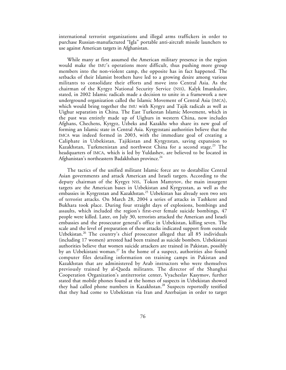international terrorist organizations and illegal arms traffickers in order to purchase Russian-manufactured "Igla" portable anti-aircraft missile launchers to use against American targets in Afghanistan.

While many at first assumed the American military presence in the region would make the IMU's operations more difficult, thus pushing more group members into the non-violent camp, the opposite has in fact happened. The setbacks of their Islamist brothers have led to a growing desire among various militants to consolidate their efforts and move into Central Asia. As the chairman of the Kyrgyz National Security Service (NSS), Kalyk Imankulov, stated, in 2002 Islamic radicals made a decision to unite in a framework a new underground organization called the Islamic Movement of Central Asia (IMCA), which would bring together the IMU with Kyrgyz and Tajik radicals as well as Uighur separatists in China. The East Turkestan Islamic Movement, which in the past was entirely made up of Uighurs in western China, now includes Afghans, Chechens, Kyrgyz, Uzbeks and Kazakhs who share its new goal of forming an Islamic state in Central Asia. Kyrgyzstani authorities believe that the IMCA was indeed formed in 2003, with the immediate goal of creating a Caliphate in Uzbekistan, Tajikistan and Kyrgyzstan, saving expansion to Kazakhstan, Turkmenistan and northwest China for a second stage.<sup>23</sup> The headquarters of IMCA, which is led by Yuldashev, are believed to be located in Afghanistan's northeastern Badakhshan province.<sup>24</sup>

The tactics of the unified militant Islamic force are to destabilize Central Asian governments and attack American and Israeli targets. According to the deputy chairman of the Kyrgyz NSS, Tokon Mamytov, the main insurgent targets are the American bases in Uzbekistan and Kyrgyzstan, as well as the embassies in Kyrgyzstan and Kazakhstan.<sup>25</sup> Uzbekistan has already seen two sets of terrorist attacks. On March 28, 2004 a series of attacks in Tashkent and Bukhara took place. During four straight days of explosions, bombings and assaults, which included the region's first-ever female suicide bombings, 47 people were killed. Later, on July 30, terrorists attacked the American and Israeli embassies and the prosecutor general's office in Uzbekistan, killing seven. The scale and the level of preparation of these attacks indicated support from outside Uzbekistan.<sup>26</sup> The country's chief prosecutor alleged that all 85 individuals (including 17 women) arrested had been trained as suicide bombers. Uzbekistani authorities believe that women suicide attackers are trained in Pakistan, possibly by an Uzbekistani woman.<sup>27</sup> In the home of a suspect, authorities also found computer files detailing information on training camps in Pakistan and Kazakhstan that are administered by Arab instructors who were themselves previously trained by al-Qaeda militants. The director of the Shanghai Cooperation Organization's antiterrorist center, Vyacheslav Kasymov, further stated that mobile phones found at the homes of suspects in Uzbekistan showed they had called phone numbers in Kazakhstan.<sup>28</sup> Suspects reportedly testified that they had come to Uzbekistan via Iran and Azerbaijan in order to target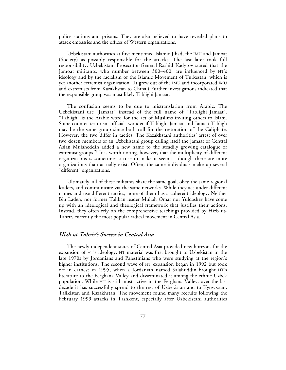police stations and prisons. They are also believed to have revealed plans to attack embassies and the offices of Western organizations.

Uzbekistani authorities at first mentioned Islamic Jihad, the IMU and Jamoat (Society) as possibly responsible for the attacks. The last later took full responsibility. Uzbekistani Prosecutor-General Rashid Kadyrov stated that the Jamoat militants, who number between 300–400, are influenced by HT's ideology and by the racialism of the Islamic Movement of Turkestan, which is yet another extremist organization. (It grew out of the IMU and incorporated IMU and extremists from Kazakhstan to China.) Further investigations indicated that the responsible group was most likely Tablighi Jamaat.

The confusion seems to be due to mistranslation from Arabic. The Uzbekistani use "Jamaat" instead of the full name of "Tablighi Jamaat". "Tabligh" is the Arabic word for the act of Muslims inviting others to Islam. Some counter-terrorism officials wonder if Tablighi Jamaat and Jamaat Tabligh may be the same group since both call for the restoration of the Caliphate. However, the two differ in tactics. The Kazakhstani authorities' arrest of over two dozen members of an Uzbekistani group calling itself the Jamaat of Central Asian Mujaheddin added a new name to the steadily growing catalogue of extremist groups.<sup>29</sup> It is worth noting, however, that the multiplicity of different organizations is sometimes a ruse to make it seem as though there are more organizations than actually exist. Often, the same individuals make up several "different" organizations.

Ultimately, all of these militants share the same goal, obey the same regional leaders, and communicate via the same networks. While they act under different names and use different tactics, none of them has a coherent ideology. Neither Bin Laden, nor former Taliban leader Mullah Omar nor Yuldashev have come up with an ideological and theological framework that justifies their actions. Instead, they often rely on the comprehensive teachings provided by Hizb ut-Tahrir, currently the most popular radical movement in Central Asia.

## *Hizb ut-Tahrir's Success in Central Asia*

The newly independent states of Central Asia provided new horizons for the expansion of HT's ideology. HT material was first brought to Uzbekistan in the late 1970s by Jordanians and Palestinians who were studying at the region's higher institutions. The second wave of HT expansion began in 1992 but took off in earnest in 1995, when a Jordanian named Salahuddin brought HT's literature to the Ferghana Valley and disseminated it among the ethnic Uzbek population. While HT is still most active in the Ferghana Valley, over the last decade it has successfully spread to the rest of Uzbekistan and to Kyrgyzstan, Tajikistan and Kazakhstan. The movement found many recruits following the February 1999 attacks in Tashkent, especially after Uzbekistani authorities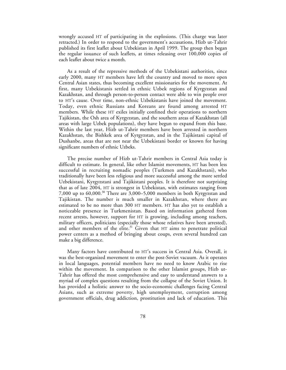wrongly accused HT of participating in the explosions. (This charge was later retracted.) In order to respond to the government's accusations, Hizb ut-Tahrir published its first leaflet about Uzbekistan in April 1999. The group then began the regular issuance of such leaflets, at times releasing over 100,000 copies of each leaflet about twice a month.

As a result of the repressive methods of the Uzbekistani authorities, since early 2000, many HT members have left the country and moved to more open Central Asian states, thus becoming excellent missionaries for the movement. At first, many Uzbekistanis settled in ethnic Uzbek regions of Kyrgyzstan and Kazakhstan, and through person-to-person contact were able to win people over to HT's cause. Over time, non-ethnic Uzbekistanis have joined the movement. Today, even ethnic Russians and Koreans are found among arrested HT members. While these HT exiles initially confined their operations to northern Tajikistan, the Osh area of Kyrgyzstan, and the southern areas of Kazakhstan (all areas with large Uzbek populations), they have begun to expand from this base. Within the last year, Hizb ut-Tahrir members have been arrested in northern Kazakhstan, the Bishkek area of Kyrgyzstan, and in the Tajikistani capital of Dushanbe, areas that are not near the Uzbekistani border or known for having significant numbers of ethnic Uzbeks.

The precise number of Hizb ut-Tahrir members in Central Asia today is difficult to estimate. In general, like other Islamist movements, HT has been less successful in recruiting nomadic peoples (Turkmen and Kazakhstani), who traditionally have been less religious and more successful among the more settled Uzbekistani, Kyrgyzstani and Tajikistani peoples. It is therefore not surprising that as of late 2004, HT is strongest in Uzbekistan, with estimates ranging from 7,000 up to  $60,000$ <sup>30</sup> There are 3,000–5,000 members in both Kyrgyzstan and Tajikistan. The number is much smaller in Kazakhstan, where there are estimated to be no more than 300 HT members. HT has also yet to establish a noticeable presence in Turkmenistan. Based on information gathered from recent arrests, however, support for HT is growing, including among teachers, military officers, politicians (especially those whose relatives have been arrested), and other members of the elite.<sup>31</sup> Given that HT aims to penetrate political power centers as a method of bringing about coups, even several hundred can make a big difference.

Many factors have contributed to HT's success in Central Asia. Overall, it was the best-organized movement to enter the post-Soviet vacuum. As it operates in local languages, potential members have no need to know Arabic to rise within the movement. In comparison to the other Islamist groups, Hizb ut-Tahrir has offered the most comprehensive and easy to understand answers to a myriad of complex questions resulting from the collapse of the Soviet Union. It has provided a holistic answer to the socio-economic challenges facing Central Asians, such as extreme poverty, high unemployment, corruption among government officials, drug addiction, prostitution and lack of education. This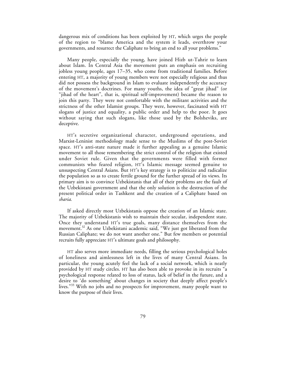dangerous mix of conditions has been exploited by HT, which urges the people of the region to "blame America and the system it leads, overthrow your governments, and resurrect the Caliphate to bring an end to all your problems."

Many people, especially the young, have joined Hizb ut-Tahrir to learn about Islam. In Central Asia the movement puts an emphasis on recruiting jobless young people, ages 17–35, who come from traditional families. Before entering HT, a majority of young members were not especially religious and thus did not possess the background in Islam to evaluate independently the accuracy of the movement's doctrines. For many youths, the idea of "great jihad" (or "jihad of the heart", that is, spiritual self-improvement) became the reason to join this party. They were not comfortable with the militant activities and the strictness of the other Islamist groups. They were, however, fascinated with HT slogans of justice and equality, a public order and help to the poor. It goes without saying that such slogans, like those used by the Bolsheviks, are deceptive.

HT's secretive organizational character, underground operations, and Marxist-Leninist methodology made sense to the Muslims of the post-Soviet space. HT's anti-state nature made it further appealing as a genuine Islamic movement to all those remembering the strict control of the religion that existed under Soviet rule. Given that the governments were filled with former communists who feared religion, HT's Islamic message seemed genuine to unsuspecting Central Asians. But HT's key strategy is to politicize and radicalize the population so as to create fertile ground for the further spread of its views. Its primary aim is to convince Uzbekistanis that all of their problems are the fault of the Uzbekistani government and that the only solution is the destruction of the present political order in Tashkent and the creation of a Caliphate based on *sharia*.

If asked directly most Uzbekistanis oppose the creation of an Islamic state. The majority of Uzbekistanis wish to maintain their secular, independent state. Once they understand HT's true goals, many distance themselves from the movement.<sup>32</sup> As one Uzbekistani academic said, "We just got liberated from the Russian Caliphate; we do not want another one." But few members or potential recruits fully appreciate HT's ultimate goals and philosophy.

HT also serves more immediate needs, filling the serious psychological holes of loneliness and aimlessness left in the lives of many Central Asians. In particular, the young acutely feel the lack of a social network, which is neatly provided by HT study circles. HT has also been able to provoke in its recruits "a psychological response related to loss of status, lack of belief in the future, and a desire to 'do something' about changes in society that deeply affect people's lives."<sup>33</sup> With no jobs and no prospects for improvement, many people want to know the purpose of their lives.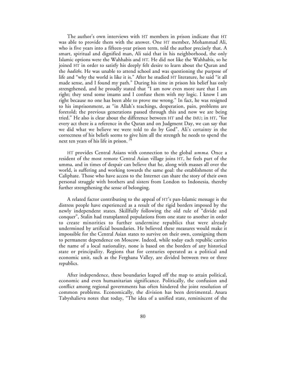The author's own interviews with HT members in prison indicate that HT was able to provide them with the answer. One HT member, Mohammad Ali, who is five years into a fifteen-year prison term, told the author precisely that. A smart, spiritual and dignified man, Ali said that in his neighborhood, the only Islamic options were the Wahhabis and HT. He did not like the Wahhabis, so he joined HT in order to satisfy his deeply felt desire to learn about the Quran and the *hadiths*. He was unable to attend school and was questioning the purpose of life and "why the world is like it is." After he studied HT literature, he said "it all made sense, and I found my path." During his time in prison his belief has only strengthened, and he proudly stated that "I am now even more sure that I am right; they send some imams and I confuse them with my logic. I know I am right because no one has been able to prove me wrong." In fact, he was resigned to his imprisonment, as "in Allah's teachings, desperation, pain, problems are foretold; the previous generations passed through this and now we are being tried." He also is clear about the difference between HT and the IMU; in HT, "for every act there is a reference in the Quran and on Judgment Day, we can say that we did what we believe we were told to do by God". Ali's certainty in the correctness of his beliefs seems to give him all the strength he needs to spend the next ten years of his life in prison.

HT provides Central Asians with connection to the global *umma*. Once a resident of the most remote Central Asian village joins HT, he feels part of the umma, and in times of despair can believe that he, along with masses all over the world, is suffering and working towards the same goal: the establishment of the Caliphate. Those who have access to the Internet can share the story of their own personal struggle with brothers and sisters from London to Indonesia, thereby further strengthening the sense of belonging.

A related factor contributing to the appeal of HT's pan-Islamic message is the distress people have experienced as a result of the rigid borders imposed by the newly independent states. Skillfully following the old rule of "divide and conquer", Stalin had transplanted populations from one state to another in order to create minorities to further undermine republics that were already undermined by artificial boundaries. He believed these measures would make it impossible for the Central Asian states to survive on their own, consigning them to permanent dependence on Moscow. Indeed, while today each republic carries the name of a local nationality, none is based on the borders of any historical state or principality. Regions that for centuries operated as a political and economic unit, such as the Ferghana Valley, are divided between two or three republics.

After independence, these boundaries leaped off the map to attain political, economic and even humanitarian significance. Politically, the confusion and conflict among regional governments has often hindered the joint resolution of common problems. Economically, the division has been detrimental. Anara Tabyshalieva notes that today, "The idea of a unified state, reminiscent of the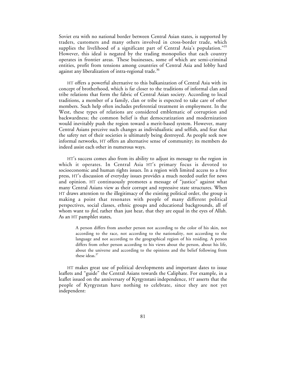Soviet era with no national border between Central Asian states, is supported by traders, customers and many others involved in cross-border trade, which supplies the livelihood of a significant part of Central Asia's population."<sup>35</sup> However, this ideal is negated by the trading monopolies that each country operates in frontier areas. These businesses, some of which are semi-criminal entities, profit from tensions among countries of Central Asia and lobby hard against any liberalization of intra-regional trade.<sup>36</sup>

HT offers a powerful alternative to this balkanization of Central Asia with its concept of brotherhood, which is far closer to the traditions of informal clan and tribe relations that form the fabric of Central Asian society. According to local traditions, a member of a family, clan or tribe is expected to take care of other members. Such help often includes preferential treatment in employment. In the West, these types of relations are considered emblematic of corruption and backwardness; the common belief is that democratization and modernization would inevitably push the region toward a merit-based system. However, many Central Asians perceive such changes as individualistic and selfish, and fear that the safety net of their societies is ultimately being destroyed. As people seek new informal networks, HT offers an alternative sense of community; its members do indeed assist each other in numerous ways.

HT's success comes also from its ability to adjust its message to the region in which it operates. In Central Asia HT's primary focus is devoted to socioeconomic and human rights issues. In a region with limited access to a free press, HT's discussion of everyday issues provides a much needed outlet for news and opinion. HT continuously promotes a message of "justice" against what many Central Asians view as their corrupt and repressive state structures. When HT draws attention to the illegitimacy of the existing political order, the group is making a point that resonates with people of many different political perspectives, social classes, ethnic groups and educational backgrounds, all of whom want to *feel*, rather than just hear, that they are equal in the eyes of Allah. As an HT pamphlet states,

A person differs from another person not according to the color of his skin, not according to the race, not according to the nationality, not according to the language and not according to the geographical region of his residing. A person differs from other person according to his views about the person, about his life, about the universe and according to the opinions and the belief following from these ideas.<sup>37</sup>

HT makes great use of political developments and important dates to issue leaflets and "guide" the Central Asians towards the Caliphate. For example, in a leaflet issued on the anniversary of Kyrgyzstani independence, HT asserts that the people of Kyrgyzstan have nothing to celebrate, since they are not yet independent: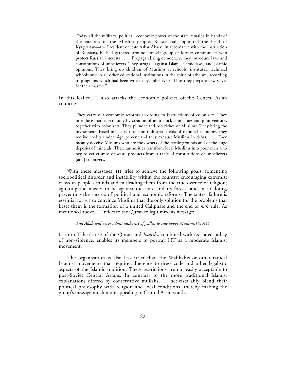Today all the military, political, economic power of the state remains in hands of the enemies of the Muslim people. Russia had appointed the head of Kyrgyzstan—the President of state Askar Akaev. In accordance with the instruction of Russians, he had gathered around himself group of former communists who protect Russian interests . . . . Propagandizing democracy, they introduce laws and constitutions of unbelievers. They struggle against Islam, Islamic laws, and Islamic opinions. They bring up children of Muslims at schools, institutes, technical schools and in all other educational institutions in the spirit of atheism, according to programs which had been written by unbelievers. Thus they prepare new slaves for their masters<sup>38</sup>

In this leaflet HT also attacks the economic policies of the Central Asian countries.

They carry out economic reforms according to instructions of colonizers. They introduce market economy by creation of joint-stock companies and joint ventures together with colonizers. They plunder and rob riches of Muslims. They bring the investments based on usury into non-industrial fields of national economy, they receive credits under high percent and they exhaust Muslims in debts. . . . They meanly deceive Muslims who are the owners of the fertile grounds and of the huge deposits of minerals. These authorities transform local Muslims into poor men who beg to eat crumbs of waste products from a table of constitutions of unbelievers [and] colonizers.

With these messages, HT tries to achieve the following goals: fomenting sociopolitical disorder and instability within the country; encouraging extremist views in people's minds and misleading them from the true essence of religion; agitating the masses to be against the state and its forces, and in so doing, preventing the success of political and economic reforms. The states' failure is essential for HT to convince Muslims that the only solution for the problems that beset them is the formation of a united Caliphate and the end of *kufr* rule. As mentioned above, HT refers to the Quran to legitimize its message:

### *And Allah will never admit authority of godless to rule above Muslims.* (4:141)

Hizb ut-Tahrir's use of the Quran and *hadiths,* combined with its stated policy of non-violence, enables its members to portray HT as a moderate Islamist movement.

The organization is also less strict than the Wahhabis or other radical Islamist movements that require adherence to dress code and other legalistic aspects of the Islamic tradition. These restrictions are not easily acceptable to post-Soviet Central Asians. In contrast to the more traditional Islamist explanations offered by conservative mullahs, HT activists ably blend their political philosophy with religion and local conditions, thereby making the group's message much more appealing to Central Asian youth.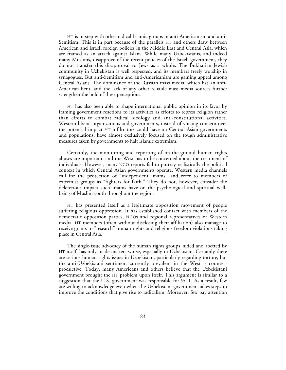HT is in step with other radical Islamic groups in anti-Americanism and anti-Semitism. This is in part because of the parallels HT and others draw between American and Israeli foreign policies in the Middle East and Central Asia, which are framed as an attack against Islam. While many Uzbekistanis, and indeed many Muslims, disapprove of the recent policies of the Israeli government, they do not transfer this disapproval to Jews as a whole. The Bukharian Jewish community in Uzbekistan is well respected, and its members freely worship in synagogues. But anti-Semitism and anti-Americanism are gaining appeal among Central Asians. The dominance of the Russian mass media, which has an anti-American bent, and the lack of any other reliable mass media sources further strengthen the hold of these perceptions.

HT has also been able to shape international public opinion in its favor by framing government reactions to its activities as efforts to repress religion rather than efforts to combat radical ideology and anti-constitutional activities. Western liberal organizations and governments, instead of voicing concern over the potential impact HT infiltrators could have on Central Asian governments and populations, have almost exclusively focused on the tough administrative measures taken by governments to halt Islamic extremism.

Certainly, the monitoring and reporting of on-the-ground human rights abuses are important, and the West has to be concerned about the treatment of individuals. However, many NGO reports fail to portray realistically the political context in which Central Asian governments operate. Western media channels call for the protection of "independent imams" and refer to members of extremist groups as "fighters for faith." They do not, however, consider the deleterious impact such imams have on the psychological and spiritual wellbeing of Muslim youth throughout the region.

HT has presented itself as a legitimate opposition movement of people suffering religious oppression. It has established contact with members of the democratic opposition parties, NGOs and regional representatives of Western media. HT members (often without disclosing their affiliation) also manage to receive grants to "research" human rights and religious freedom violations taking place in Central Asia.

The single-issue advocacy of the human rights groups, aided and abetted by HT itself, has only made matters worse, especially in Uzbekistan. Certainly there are serious human-rights issues in Uzbekistan, particularly regarding torture, but the anti-Uzbekistani sentiment currently prevalent in the West is counterproductive. Today, many Americans and others believe that the Uzbekistani government brought the HT problem upon itself. This argument is similar to a suggestion that the U.S. government was responsible for 9/11. As a result, few are willing to acknowledge even when the Uzbekistani government takes steps to improve the conditions that give rise to radicalism. Moreover, few pay attention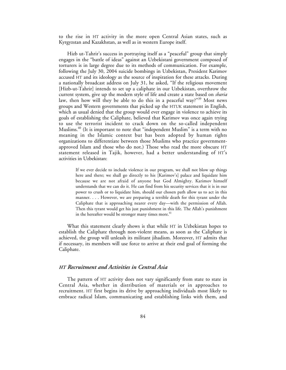to the rise in HT activity in the more open Central Asian states, such as Kyrgyzstan and Kazakhstan, as well as in western Europe itself.

Hizb ut-Tahrir's success in portraying itself as a "peaceful" group that simply engages in the "battle of ideas" against an Uzbekistani government composed of torturers is in large degree due to its methods of communication. For example, following the July 30, 2004 suicide bombings in Uzbekistan, President Karimov accused HT and its ideology as the source of inspiration for these attacks. During a nationally broadcast address on July 31, he asked, "If the religious movement [Hizb-ut-Tahrir] intends to set up a caliphate in our Uzbekistan, overthrow the current system, give up the modern style of life and create a state based on *sharia* law, then how will they be able to do this in a peaceful way?"<sup>39</sup> Most news groups and Western governments that picked up the HTUK statement in English, which as usual denied that the group would ever engage in violence to achieve its goals of establishing the Caliphate, believed that Karimov was once again trying to use the terrorist incident to crack down on the so-called independent Muslims.<sup>40</sup> (It is important to note that "independent Muslim" is a term with no meaning in the Islamic context but has been adopted by human rights organizations to differentiate between those Muslims who practice governmentapproved Islam and those who do not.) Those who read the more obscure HT statement released in Tajik, however, had a better understanding of HT's activities in Uzbekistan:

If we ever decide to include violence in our program, we shall not blow up things here and there; we shall go directly to his [Karimov's] palace and liquidate him because we are not afraid of anyone but God Almighty. Karimov himself understands that we can do it. He can find from his security services that it is in our power to crush or to liquidate him, should our chosen path allow us to act in this manner. . . . However, we are preparing a terrible death for this tyrant under the Caliphate that is approaching nearer every day—with the permission of Allah. Then this tyrant would get his just punishment in this life. The Allah's punishment in the hereafter would be stronger many times more.<sup>41</sup>

What this statement clearly shows is that while HT in Uzbekistan hopes to establish the Caliphate through non-violent means, as soon as the Caliphate is achieved, the group will unleash its militant jihadism. Moreover, HT admits that if necessary, its members will use force to arrive at their end goal of forming the Caliphate.

# *HT Recruitment and Activities in Central Asia*

The pattern of HT activity does not vary significantly from state to state in Central Asia, whether in distribution of materials or in approaches to recruitment. HT first begins its drive by approaching individuals most likely to embrace radical Islam, communicating and establishing links with them, and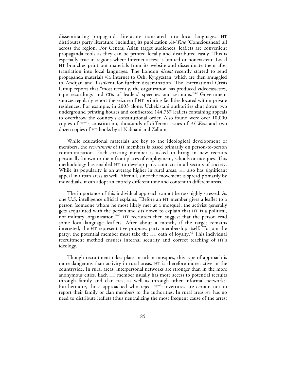disseminating propaganda literature translated into local languages. HT distributes party literature, including its publication *Al-Waie* (Consciousness) all across the region. For Central Asian target audiences, leaflets are convenient propaganda tools as they can be printed locally and distributed easily. This is especially true in regions where Internet access is limited or nonexistent. Local HT branches print out materials from its website and disseminate them after translation into local languages. The London *kiedat* recently started to send propaganda materials via Internet to Osh, Kyrgyzstan, which are then smuggled to Andijan and Tashkent for further dissemination. The International Crisis Group reports that "most recently, the organization has produced videocassettes, tape recordings and CDs of leaders' speeches and sermons."42 Government sources regularly report the seizure of HT printing facilities located within private residences. For example, in 2003 alone, Uzbekistani authorities shut down two underground printing houses and confiscated 144,757 leaflets containing appeals to overthrow the country's constitutional order. Also found were over 10,000 copies of HT's constitution, thousands of different issues of *Al-Waie* and two dozen copies of HT books by al-Nabhani and Zallum.

While educational materials are key to the ideological development of members, the *recruitment* of HT members is based primarily on person-to-person communication. Each existing member is asked to bring in new recruits personally known to them from places of employment, schools or mosques. This methodology has enabled HT to develop party contacts in all sectors of society. While its popularity is on average higher in rural areas, HT also has significant appeal in urban areas as well. After all, since the movement is spread primarily by individuals, it can adopt an entirely different tone and content in different areas.

The importance of this individual approach cannot be too highly stressed. As one U.S. intelligence official explains, "Before an HT member gives a leaflet to a person (someone whom he most likely met at a mosque), the activist generally gets acquainted with the person and sits down to explain that HT is a political, not military, organization."43 HT recruiters then suggest that the person read some local-language leaflets. After about a month, if the target remains interested, the HT representative proposes party membership itself. To join the party, the potential member must take the HT oath of loyalty.<sup>44</sup> This individual recruitment method ensures internal security and correct teaching of HT's ideology.

Though recruitment takes place in urban mosques, this type of approach is more dangerous than activity in rural areas. HT is therefore more active in the countryside. In rural areas, interpersonal networks are stronger than in the more anonymous cities. Each HT member usually has more access to potential recruits through family and clan ties, as well as through other informal networks. Furthermore, those approached who reject HT's overtures are certain not to report their family or clan members to the authorities. In rural areas HT has no need to distribute leaflets (thus neutralizing the most frequent cause of the arrest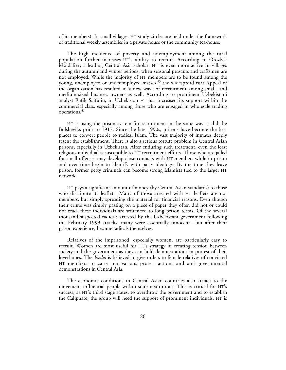of its members). In small villages, HT study circles are held under the framework of traditional weekly assemblies in a private house or the community tea-house.

The high incidence of poverty and unemployment among the rural population further increases HT's ability to recruit. According to Orozbek Moldaliev, a leading Central Asia scholar, HT is even more active in villages during the autumn and winter periods, when seasonal peasants and craftsmen are not employed. While the majority of HT members are to be found among the young, unemployed or underemployed masses,<sup>45</sup> the widespread rural appeal of the organization has resulted in a new wave of recruitment among small- and medium-sized business owners as well. According to prominent Uzbekistani analyst Rafik Saifulin, in Uzbekistan HT has increased its support within the commercial class, especially among those who are engaged in wholesale trading operations.<sup>46</sup>

HT is using the prison system for recruitment in the same way as did the Bolsheviks prior to 1917. Since the late 1990s, prisons have become the best places to convert people to radical Islam. The vast majority of inmates deeply resent the establishment. There is also a serious torture problem in Central Asian prisons, especially in Uzbekistan. After enduring such treatment, even the least religious individual is susceptible to HT recruitment efforts. Those who are jailed for small offenses may develop close contacts with HT members while in prison and over time begin to identify with party ideology. By the time they leave prison, former petty criminals can become strong Islamists tied to the larger HT network.

HT pays a significant amount of money (by Central Asian standards) to those who distribute its leaflets. Many of those arrested with HT leaflets are not members, but simply spreading the material for financial reasons. Even though their crime was simply passing on a piece of paper they often did not or could not read, these individuals are sentenced to long prison terms. Of the several thousand suspected radicals arrested by the Uzbekistani government following the February 1999 attacks, many were essentially innocent—but after their prison experience, became radicals themselves.

Relatives of the imprisoned, especially women, are particularly easy to recruit. Women are most useful for HT's strategy in creating tension between society and the government as they can hold demonstrations in protest of their loved ones. The *kiedat* is believed to give orders to female relatives of convicted HT members to carry out various protest actions and anti-governmental demonstrations in Central Asia.

The economic conditions in Central Asian countries also attract to the movement influential people within state institutions. This is critical for HT's success; as HT's third stage states, to overthrow the government and to establish the Caliphate, the group will need the support of prominent individuals. HT is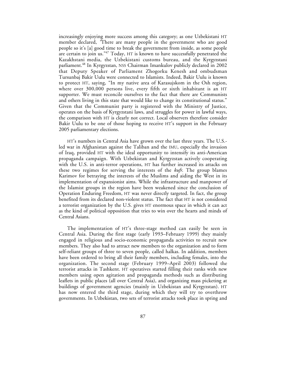increasingly enjoying more success among this category; as one Uzbekistani HT member declared, *"*There are many people in the government who are good people so it's [a] good time to break the government from inside, as some people are certain to join us."47 Today, HT is known to have successfully penetrated the Kazakhstani media, the Uzbekistani customs bureau, and the Kyrgyzstani parliament.<sup>48</sup> In Kyrgyzstan, NSS Chairman Imankulov publicly declared in 2002 that Deputy Speaker of Parliament Zhogorku Kenesh and ombudsman Tursunbaj Bakir Uulu were connected to Islamists. Indeed, Bakir Uulu is known to protect HT, saying, "In my native area of Karasujskom in the Osh region, where over 300,000 persons live, every fifth or sixth inhabitant is an HT supporter. We must reconcile ourselves to the fact that there are Communists and others living in this state that would like to change its constitutional status." Given that the Communist party is registered with the Ministry of Justice, operates on the basis of Kyrgyzstani laws, and struggles for power in lawful ways, the comparison with HT is clearly not correct. Local observers therefore consider Bakir Uulu to be one of those hoping to receive HT's support in the February 2005 parliamentary elections.

HT's numbers in Central Asia have grown over the last three years. The U.S. led war in Afghanistan against the Taliban and the IMU, especially the invasion of Iraq, provided HT with the ideal opportunity to intensify its anti-American propaganda campaign. With Uzbekistan and Kyrgyzstan actively cooperating with the U.S. in anti-terror operations, HT has further increased its attacks on these two regimes for serving the interests of the *kufr*. The group blames Karimov for betraying the interests of the Muslims and aiding the West in its implementation of expansionist aims. While the infrastructure and manpower of the Islamist groups in the region have been weakened since the conclusion of Operation Enduring Freedom, HT was never directly targeted. In fact, the group benefited from its declared non-violent status. The fact that HT is not considered a terrorist organization by the U.S. gives HT enormous space in which it can act as the kind of political opposition that tries to win over the hearts and minds of Central Asians.

The implementation of HT's three-stage method can easily be seen in Central Asia. During the first stage (early 1993–February 1999) they mainly engaged in religious and socio-economic propaganda activities to recruit new members. They also had to attract new members to the organization and to form self-reliant groups of three to seven people, called halkas. In addition, members have been ordered to bring all their family members, including females, into the organization. The second stage (February 1999–April 2003) followed the terrorist attacks in Tashkent. HT operatives started filling their ranks with new members using open agitation and propaganda methods such as distributing leaflets in public places (all over Central Asia), and organizing mass picketing at buildings of government agencies (mainly in Uzbekistan and Kyrgyzstan). HT has now entered the third stage, during which they will try to overthrow governments. In Uzbekistan, two sets of terrorist attacks took place in spring and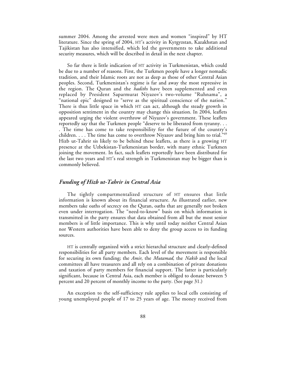summer 2004. Among the arrested were men and women "inspired" by HT literature. Since the spring of 2004, HT's activity in Kyrgyzstan, Kazakhstan and Tajikistan has also intensified, which led the governments to take additional security measures, which will be described in detail in the next chapter.

So far there is little indication of HT activity in Turkmenistan, which could be due to a number of reasons. First, the Turkmen people have a longer nomadic tradition, and their Islamic roots are not as deep as those of other Central Asian peoples. Second, Turkmenistan's regime is far and away the most repressive in the region. The Quran and the *hadiths* have been supplemented and even replaced by President Saparmurat Niyazov's two-volume "Ruhnama", a "national epic" designed to "serve as the spiritual conscience of the nation." There is thus little space in which HT can act, although the steady growth in opposition sentiment in the country may change this situation. In 2004, leaflets appeared urging the violent overthrow of Niyazov's government. These leaflets reportedly say that the Turkmen people "deserve to be liberated from tyranny. . . . The time has come to take responsibility for the future of the country's children.  $\dots$  The time has come to overthrow Niyazov and bring him to trial." $49$ Hizb ut-Tahrir sis likely to be behind these leaflets, as there is a growing HT presence at the Uzbekistan-Turkmenistan border, with many ethnic Turkmen joining the movement. In fact, such leaflets reportedly have been distributed for the last two years and HT's real strength in Turkmenistan may be bigger than is commonly believed.

## *Funding of Hizb ut-Tahrir in Central Asia*

The tightly compartmentalized structure of HT ensures that little information is known about its financial structure. As illustrated earlier, new members take oaths of secrecy on the Quran, oaths that are generally not broken even under interrogation. The "need-to-know" basis on which information is transmitted in the party ensures that data obtained from all but the most senior members is of little importance. This is why until today neither Central Asian nor Western authorities have been able to deny the group access to its funding sources.

HT is centrally organized with a strict hierarchal structure and clearly-defined responsibilities for all party members. Each level of the movement is responsible for securing its own funding; the *Amir*, the *Mutamad,* the *Nakib* and the local committees all have treasurers and all rely on a combination of private donations and taxation of party members for financial support. The latter is particularly significant, because in Central Asia, each member is obliged to donate between 5 percent and 20 percent of monthly income to the party. (See page 31.)

An exception to the self-sufficiency rule applies to local cells consisting of young unemployed people of 17 to 25 years of age. The money received from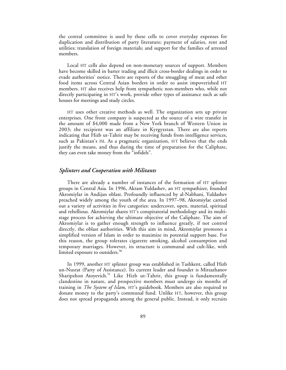the central committee is used by these cells to cover everyday expenses for duplication and distribution of party literature; payment of salaries, rent and utilities; translation of foreign materials; and support for the families of arrested members.

Local HT cells also depend on non-monetary sources of support. Members have become skilled in barter trading and illicit cross-border dealings in order to evade authorities' notice. There are reports of the smuggling of meat and other food items across Central Asian borders in order to assist impoverished HT members. HT also receives help from sympathetic non-members who, while not directly participating in HT's work, provide other types of assistance such as safe houses for meetings and study circles.

HT uses other creative methods as well. The organization sets up private enterprises. One front company is suspected as the source of a wire transfer in the amount of \$4,000 made from a New York branch of Western Union in 2003; the recipient was an affiliate in Kyrgyzstan. There are also reports indicating that Hizb ut-Tahrir may be receiving funds from intelligence services, such as Pakistan's ISI. As a pragmatic organization, HT believes that the ends justify the means, and thus during the time of preparation for the Caliphate, they can even take money from the "infidels".

### *Splinters and Cooperation with Militants*

There are already a number of instances of the formation of HT splinter groups in Central Asia. In 1996, Akram Yuldashev, an HT sympathizer, founded Akromiylar in Andijan oblast. Profoundly influenced by al-Nabhani, Yuldashev preached widely among the youth of the area. In 1997–98, Akromiylar carried out a variety of activities in five categories: undercover, open, material, spiritual and rebellious. Akromiylar shares HT's conspiratorial methodology and its multistage process for achieving the ultimate objective of the Caliphate. The aim of Akromiylar is to gather enough strength to influence greatly, if not control directly, the oblast authorities. With this aim in mind, Akromiylar promotes a simplified version of Islam in order to maximize its potential support base. For this reason, the group tolerates cigarette smoking, alcohol consumption and temporary marriages. However, its structure is communal and cult-like, with limited exposure to outsiders.<sup>50</sup>

In 1999, another HT splinter group was established in Tashkent, called Hizb un-Nusrat (Party of Assistance). Its current leader and founder is Mirzazhanov Sharipzhon Atoyevich.<sup>51</sup> Like Hizb ut-Tahrir, this group is fundamentally clandestine in nature, and prospective members must undergo six months of training in *The System of Islam*, HT's guidebook. Members are also required to donate money to the party's communal fund. Unlike HT, however, this group does not spread propaganda among the general public. Instead, it only recruits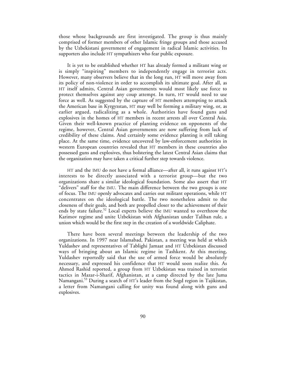those whose backgrounds are first investigated. The group is thus mainly comprised of former members of other Islamic fringe groups and those accused by the Uzbekistani government of engagement in radical Islamic activities. Its supporters also include HT sympathizers who fear public exposure.

It is yet to be established whether HT has already formed a militant wing or is simply "inspiring" members to independently engage in terrorist acts. However, many observers believe that in the long run, HT will move away from its policy of non-violence in order to accomplish its ultimate goal. After all, as HT itself admits, Central Asian governments would most likely use force to protect themselves against any coup attempt. In turn, HT would need to use force as well. As suggested by the capture of HT members attempting to attack the American base in Kyrgyzstan, HT may well be forming a military wing, or, as earlier argued, radicalizing as a whole. Authorities have found guns and explosives in the homes of HT members in recent arrests all over Central Asia. Given their well-known practice of planting evidence on opponents of the regime, however, Central Asian governments are now suffering from lack of credibility of these claims. And certainly some evidence planting is still taking place. At the same time, evidence uncovered by law-enforcement authorities in western European countries revealed that HT members in these countries also possessed guns and explosives, thus bolstering the latest Central Asian claims that the organization may have taken a critical further step towards violence.

HT and the IMU do not have a formal alliance—after all, it runs against HT's interests to be directly associated with a terrorist group—but the two organizations share a similar ideological foundation. Some also assert that HT "delivers" staff for the IMU. The main difference between the two groups is one of focus. The IMU openly advocates and carries out militant operations, while HT concentrates on the ideological battle. The two nonetheless admit to the closeness of their goals, and both are propelled closer to the achievement of their ends by state failure.<sup>52</sup> Local experts believe the IMU wanted to overthrow the Karimov regime and unite Uzbekistan with Afghanistan under Taliban rule, a union which would be the first step in the creation of a worldwide Caliphate.

There have been several meetings between the leadership of the two organizations. In 1997 near Islamabad, Pakistan, a meeting was held at which Yuldashev and representatives of Tablighi Jamaat and HT Uzbekistan discussed ways of bringing about an Islamic regime in Tashkent. At this meeting, Yuldashev reportedly said that the use of armed force would be absolutely necessary, and expressed his confidence that HT would soon realize this. As Ahmed Rashid reported, a group from HT Uzbekistan was trained in terrorist tactics in Mazar-i-Sharif, Afghanistan, at a camp directed by the late Juma Namangani.<sup>53</sup> During a search of HT's leader from the Sogd region in Tajikistan, a letter from Namangani calling for unity was found along with guns and explosives.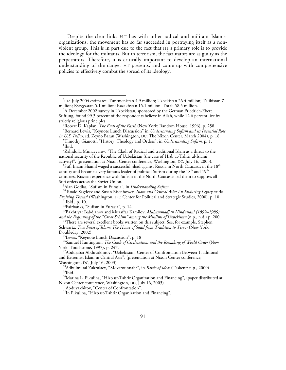Despite the clear links HT has with other radical and militant Islamist organizations, the movement has so far succeeded in portraying itself as a nonviolent group. This is in part due to the fact that HT's primary role is to provide the ideology for the militants. But in terrorism, the facilitators are as guilty as the perpetrators. Therefore, it is critically important to develop an international understanding of the danger HT presents, and come up with comprehensive policies to effectively combat the spread of its ideology.

 $^{7}$ Zahidulla Munavvarov, "The Clash of Radical and traditional Islam as a threat to the national security of the Republic of Uzbekistan (the case of Hizb at-Tahrir al-Islami activity)", (presentation at Nixon Center conference, Washington, DC, July 16, 2003).

*and the Beginning of the "Great Schism" among the Muslims of Uzbekistan* (n.p., n.d.) p. 200.<br><sup>14</sup>There are several excellent books written on this subject. See, for example, Stephen

Doubleday, 2002).<br><sup>15</sup>Lewis, "Keynote Lunch Discussion", p. 18

<sup>16</sup>Samuel Huntington, *The Clash of Civilizations and the Remaking of World Order* (New York: Touchstone, 1997), p. 247.<br><sup>17</sup>Abdujabar Abduvakhitov, "Uzbekistan: Center of Confrontation Between Traditional

Washington, DC, July 16, 2003).<br><sup>18</sup>Adbulmutal Zakrulaev, "Movarounnahr", in *Battle of Ideas* (Taskent: n.p., 2000).<br><sup>19</sup>Ibid. <sup>20</sup>Marina L. Pikulina, "Hizb ut-Tahrir Organization and Financing", (paper distributed at<br>Nix

<sup>21</sup>Abduvakhitov, "Center of Confrontation".

<sup>22</sup>In Pikulina, "Hizb ut-Tahrir Organization and Financing".

 $\frac{1}{1}$ <sup>1</sup>CIA July 2004 estimates: Turkmenistan 4.9 million; Uzbekistan 26.4 million; Tajikistan 7 million; Kyrgyzstan 5.1 million; Kazakhstan 15.1 million. Total: 58.5 million. <sup>2</sup>

<sup>&</sup>lt;sup>2</sup>A December 2002 survey in Uzbekistan, sponsored by the German Friedrich-Ebert Stiftung, found 99.3 percent of the respondents believe in Allah, while 12.6 percent live by strictly religious principles.

Robert D. Kaplan, *The Ends of the Earth* (New York: Random House, 1996), p. 258. <sup>4</sup> Bernard Lewis, "Keynote Lunch Discussion" in *Understanding Sufism and its Potential Role*

*in U.S. Policy,* ed. Zeyno Baran (Washington, DC: The Nixon Center, March 2004), p. 18. Timothy Gianotti, "History, Theology and Orders", in *Understanding Sufism*, p. 1. <sup>6</sup> <sup>6</sup>Ibid.

 ${}^{8}$ Sufi Imam Shamil waged a successful jihad against Russia in North Caucasus in the 18<sup>th</sup> century and became a very famous leader of political Sufism during the  $18<sup>th</sup>$  and  $19<sup>th</sup>$ centuries. Russian experience with Sufism in the North Caucasus led them to suppress all Sufi orders across the Soviet Union.<br><sup>9</sup>Alan Godlas, "Sufism in Eurasia", in *Understanding Sufism*.

<sup>&</sup>lt;sup>10</sup> Roald Sagdeev and Susan Eisenhower, Islam and Central Asia: An Enduring Legacy or An *Evolving Threat?* (Washington, DC: Center for Political and Strategic Studies, 2000). p. 10.<br><sup>11</sup>Ibid., p. 10.<br><sup>12</sup>Fairbanks, "Sufism in Eurasia", p. 14.<br><sup>13</sup>Bakhtiyar Babdjanov and Muzaffar Kamilov, *Muhammadjan Hindusta* 

Schwartz, *Two Faces of Islam: The House of Saud from Tradition to Terror* (New York:

and Extremist Islam in Central Asia", (presentation at Nixon Center conference,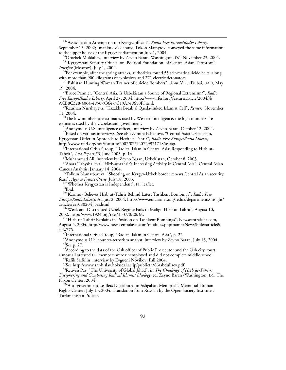23"Assassination Attempt on top Kyrgyz official", *Radio Free Europe/Radio Liberty*,

September 13, 2002; Imankulov's deputy, Tokon Mamytov, conveyed the same information

to the upper house of the Kyrgyz parliament on July 1, 2004.<br><sup>24</sup>Orozbek Moldaliev, interview by Zeyno Baran, Washington, DC, November 23, 2004.<br><sup>25</sup>"Kyrgyzstani Security Official on 'Political Foundation' of Central Asian

*Interfax* (Moscow), July 1, 2004.<br><sup>26</sup>For example, after the spring attacks, authorities found 55 self-made suicide belts, along with more than 900 kilograms of explosives and 271 electric detonators. 27"Pakistan Hunting Woman Trainer of Suicide Bombers", *Arab News* (Dubai, UAE), May

19, 2004. 28Bruce Pannier, "Central Asia: Is Uzbekistan a Source of Regional Extremism?", *Radio Free Europe/Radio Liberty*, April 27, 2004, http://www.rferl.org/featuresarticle/2004/4/

<sup>29</sup>Raushan Nurshayeva, "Kazakhs Break al Qaeda-linked Islamist Cell", *Reuters*, November 11, 2004.  $30T$ he low numbers are estimates used by Western intelligence, the high numbers are

estimates used by the Uzbekistani government.<br><sup>31</sup>Anonymous U.S. intelligence officer, interview by Zeyno Baran, October 12, 2004. <sup>32</sup>Based on various interviews. See also Zamira Eshanova, "Central Asia: Uzbekistan,

Kyrgyzstan Differ in Approach to Hezb ut-Tahrir", *Radio Free Europe/Radio Liberty*,

http://www.rferl.org/nca/features/2002/07/12072992171856.asp.<br><sup>33</sup>International Crisis Group, "Radical Islam in Central Asia: Responding to Hizb ut-Tahrir", *Asia Report 58*, June 2003, p. 14.

<sup>34</sup>Muhammad Ali, interview by Zeyno Baran, Uzbekistan, October 8, 2003.

35Anara Tabyshalieva, "Hizb-ut-tahrir's Increasing Activity in Central Asia", Central Asian Caucus Analysis, January 14, 2004.<br><sup>36</sup>Tolkun Namatbayeva, "Shooting on Kyrgyz-Uzbek border renews Central Asian security

fears", *Agence France-Presse*, July 18, 2003. 37"Whether Kyrgyzstan is Independent", HT leaflet. 38Ibid*.* 39"Karimov Believes Hizb ut-Tahrir Behind Latest Tashkent Bombings", *Radio Free Europe/Radio Liberty*, August 2, 2004, http://www.eurasianet.org/redux/departments/insight/

articles/eav080204\_pr.shtml.<br><sup>40</sup>"Weak and Discredited Uzbek Regime Fails to Malign Hizb ut-Tahrir", August 10,<br>2002, http://www.1924.org/text/1337/0/28/M.

<sup>41</sup>"Hizb-ut-Tahrir Explains its Position on Tashkent Bombings", Newscentralasia.com, August 5, 2004, http://www.newscentralasia.com/modules.php?name=News&file=article&

 $^{42}$ International Crisis Group, "Radical Islam in Central Asia", p. 22.

43Anonymous U.S. counter-terrorism analyst, interview by Zeyno Baran, July 13, 2004. 44See p. 27.

<sup>45</sup> According to the data of the Osh offices of Public Prosecutor and the Osh city court, almost all arrested HT members were unemployed and did not complete middle school. 46Rafik Saifulin, interview by Evgueni Novikov, Fall 2004.

47See http://www.src-h.slav.hokudai.ac.jp/publictn/86/abdullaev.pdf.

48Reuven Paz, "The University of Global Jihad", in *The Challenge of Hizb ut-Tahrir:*

*Deciphering and Combating Radical Islamist Ideology,* ed. Zeyno Baran (Washington, DC: The

<sup>49</sup>"Anti-government Leaflets Distributed in Ashgabat, Memorial", Memorial Human Rights Center, July 13, 2004. Translation from Russian by the Open Society Institute's Turkmenistan Project.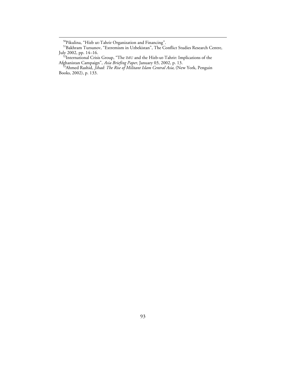50Pikulina, "Hizb ut-Tahrir Organization and Financing".

<sup>51</sup>Bakhram Tursunov, "Extremism in Uzbekistan", The Conflict Studies Research Centre,

July 2002, pp. 14–16.<br><sup>52</sup>International Crisis Group, "The IMU and the Hizb-ut-Tahrir: Implications of the

Afghanistan Campaign", *Asia Briefing Paper,* January 03, 2002, p. 13. 53Ahmed Rashid, *Jihad: The Rise of Militant Islam Central Asia,* (New York, Penguin Books, 2002), p. 133.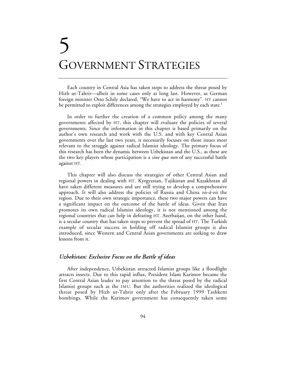# 5 GOVERNMENT STRATEGIES

Each country in Central Asia has taken steps to address the threat posed by Hizb ut-Tahrir—albeit in some cases only at long last. However, as German foreign minister Otto Schily declared, "We have to act in harmony". HT cannot be permitted to exploit differences among the strategies employed by each state.<sup>1</sup>

In order to further the creation of a common policy among the many governments affected by HT, this chapter will evaluate the policies of several governments. Since the information in this chapter is based primarily on the author's own research and work with the U.S. and with key Central Asian governments over the last two years, it necessarily focuses on those issues most relevant to the struggle against radical Islamist ideology. The primary focus of this research has been the dynamic between Uzbekistan and the U.S., as these are the two key players whose participation is a *sine qua non* of any successful battle against HT.

This chapter will also discuss the strategies of other Central Asian and regional powers in dealing with HT. Kyrgyzstan, Tajikistan and Kazakhstan all have taken different measures and are still trying to develop a comprehensive approach. It will also address the policies of Russia and China *vis-à-vis* the region. Due to their own strategic importance, these two major powers can have a significant impact on the outcome of the battle of ideas. Given that Iran promotes its own radical Islamist ideology, it is not mentioned among the regional countries that can help in defeating HT. Azerbaijan, on the other hand, is a secular country that has taken steps to prevent the spread of HT. The Turkish example of secular success in holding off radical Islamist groups is also introduced, since Western and Central Asian governments are seeking to draw lessons from it.

## *Uzbekistan: Exclusive Focus on the Battle of ideas*

After independence, Uzbekistan attracted Islamist groups like a floodlight attracts insects. Due to this rapid influx, President Islam Karimov became the first Central Asian leader to pay attention to the threat posed by the radical Islamist groups such as the IMU. But the authorities realized the ideological threat posed by Hizb ut-Tahrir only after the February 1999 Tashkent bombings. While the Karimov government has consequently taken some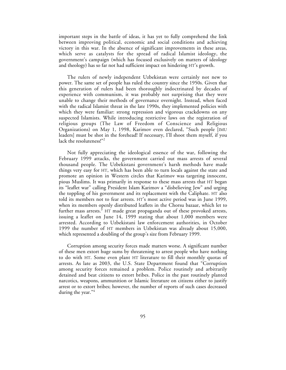important steps in the battle of ideas, it has yet to fully comprehend the link between improving political, economic and social conditions and achieving victory in this war. In the absence of significant improvements in these areas, which serve as catalysts for the spread of radical Islamist ideology, the government's campaign (which has focused exclusively on matters of ideology and theology) has so far not had sufficient impact on hindering HT's growth.

The rulers of newly independent Uzbekistan were certainly not new to power. The same set of people has ruled the country since the 1950s. Given that this generation of rulers had been thoroughly indoctrinated by decades of experience with communism, it was probably not surprising that they were unable to change their methods of governance overnight. Instead, when faced with the radical Islamist threat in the late 1990s, they implemented policies with which they were familiar: strong repression and vigorous crackdowns on any suspected Islamists. While introducing restrictive laws on the registration of religious groups (The Law of Freedom of Conscience and Religious Organizations) on May 1, 1998, Karimov even declared, "Such people [IMU leaders] must be shot in the forehead! If necessary, I'll shoot them myself, if you lack the resoluteness!"<sup>2</sup>

Not fully appreciating the ideological essence of the war, following the February 1999 attacks, the government carried out mass arrests of several thousand people. The Uzbekistani government's harsh methods have made things very easy for HT, which has been able to turn locals against the state and promote an opinion in Western circles that Karimov was targeting innocent, pious Muslims. It was primarily in response to these mass arrests that HT began its "leaflet war" calling President Islam Karimov a "disbelieving Jew" and urging the toppling of his government and its replacement with the Caliphate. HT also told its members not to fear arrests. HT's most active period was in June 1999, when its members openly distributed leaflets in the Chorsu bazaar, which let to further mass arrests.<sup>3</sup> HT made great propaganda out of these provoked arrests, issuing a leaflet on June 14, 1999 stating that about 1,000 members were arrested. According to Uzbekistani law enforcement authorities, in October 1999 the number of HT members in Uzbekistan was already about 15,000, which represented a doubling of the group's size from February 1999.

Corruption among security forces made matters worse. A significant number of these men extort huge sums by threatening to arrest people who have nothing to do with HT. Some even plant HT literature to fill their monthly quotas of arrests. As late as 2003, the U.S. State Department found that "Corruption among security forces remained a problem. Police routinely and arbitrarily detained and beat citizens to extort bribes. Police in the past routinely planted narcotics, weapons, ammunition or Islamic literature on citizens either to justify arrest or to extort bribes; however, the number of reports of such cases decreased during the year."<sup>4</sup>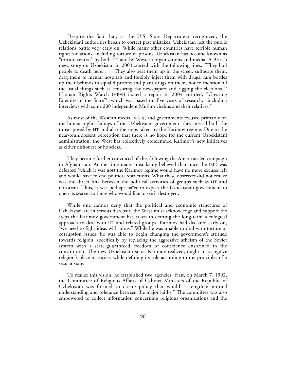Despite the fact that, as the U.S. State Department recognized, the Uzbekistani authorities began to correct past mistakes, Uzbekistan lost the public relations battle very early on. While many other countries have terrible human rights violations, including torture in prisons, Uzbekistan has become known as "torture central" by both HT and by Western organizations and media. A British news story on Uzbekistan in 2003 started with the following lines, "They boil people to death here. . . . They also beat them up in the street, suffocate them, drag them to mental hospitals and forcibly inject them with drugs, ram bottles up their behinds in squalid prisons and plant drugs on them, not to mention all the usual things such as censoring the newspapers and rigging the elections."5 Human Rights Watch (HRW) issued a report in 2004 entitled, "Creating Enemies of the State<sup>76</sup>, which was based on five years of research, "including interviews with some 200 independent Muslim victims and their relatives."

As most of the Western media, NGOs, and governments focused primarily on the human rights failings of the Uzbekistani government, they missed both the threat posed by HT and also the steps taken by the Karimov regime. Due to the near-omnipresent perception that there is no hope for the current Uzbekistani administration, the West has collectively condemned Karimov's new initiatives as either dishonest or hopeless.

They became further convinced of this following the American-led campaign in Afghanistan. At the time many mistakenly believed that once the IMU was defeated (which it was not) the Karimov regime would have no more excuses left and would have to end political restrictions. What these observers did not realize was the direct link between the political activities of groups such as HT and terrorism. Thus, it was perhaps naïve to expect the Uzbekistani government to open its system to those who would like to see it destroyed.

While one cannot deny that the political and economic structures of Uzbekistan are in serious disrepair, the West must acknowledge and support the steps the Karimov government has taken in crafting the long-term ideological approach to deal with HT and related groups. Karimov had declared early on, "we need to fight ideas with ideas." While he was unable to deal with torture or corruption issues, he was able to begin changing the government's attitude towards religion, specifically by replacing the aggressive atheism of the Soviet system with a state-guaranteed freedom of conscience enshrined in the constitution. The new Uzbekistani state, Karimov realized, ought to recognize religion's place in society while defining its role according to the principles of a secular state.

To realize this vision, he established two agencies. First, on March 7, 1992, the Committee of Religious Affairs of Cabinet Ministers of the Republic of Uzbekistan was formed to create policy that would "strengthen mutual understanding and tolerance between the major faiths." The committee was also empowered to collect information concerning religious organizations and the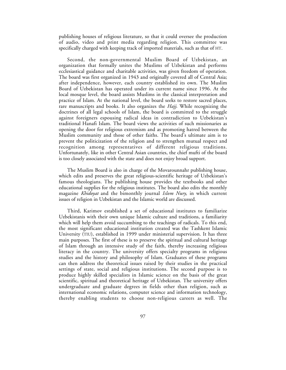publishing houses of religious literature, so that it could oversee the production of audio, video and print media regarding religion. This committee was specifically charged with keeping track of imported materials, such as that of HT.

Second, the non-governmental Muslim Board of Uzbekistan, an organization that formally unites the Muslims of Uzbekistan and performs ecclesiastical guidance and charitable activities, was given freedom of operation. The board was first organized in 1943 and originally covered all of Central Asia; after independence, however, each country established its own. The Muslim Board of Uzbekistan has operated under its current name since 1996. At the local mosque level, the board assists Muslims in the classical interpretation and practice of Islam. At the national level, the board seeks to restore sacred places, rare manuscripts and books. It also organizes the *Hajj*. While recognizing the doctrines of all legal schools of Islam, the board is committed to the struggle against foreigners espousing radical ideas in contradiction to Uzbekistan's traditional Hanafi Islam. The board views the activities of such missionaries as opening the door for religious extremism and as promoting hatred between the Muslim community and those of other faiths. The board's ultimate aim is to prevent the politicization of the religion and to strengthen mutual respect and recognition among representatives of different religious traditions. Unfortunately, like in other Central Asian countries, the chief mufti of the board is too closely associated with the state and does not enjoy broad support.

The Muslim Board is also in charge of the Movarounnahr publishing house, which edits and preserves the great religious-scientific heritage of Uzbekistan's famous theologians. The publishing house provides the textbooks and other educational supplies for the religious institutes. The board also edits the monthly magazine *Khidoyat* and the bimonthly journal *Islom Nury*, in which current issues of religion in Uzbekistan and the Islamic world are discussed.

Third, Karimov established a set of educational institutes to familiarize Uzbekistanis with their own unique Islamic culture and traditions, a familiarity which will help them avoid succumbing to the teachings of radicals. To this end, the most significant educational institution created was the Tashkent Islamic University (TIU), established in 1999 under ministerial supervision. It has three main purposes. The first of these is to preserve the spiritual and cultural heritage of Islam through an intensive study of the faith, thereby increasing religious literacy in the country. The university offers specialty programs in religious studies and the history and philosophy of Islam. Graduates of these programs can then address the theoretical issues raised by their studies in the practical settings of state, social and religious institutions. The second purpose is to produce highly skilled specialists in Islamic science on the basis of the great scientific, spiritual and theoretical heritage of Uzbekistan. The university offers undergraduate and graduate degrees in fields other than religion, such as international economic relations, computer science and information technology, thereby enabling students to choose non-religious careers as well. The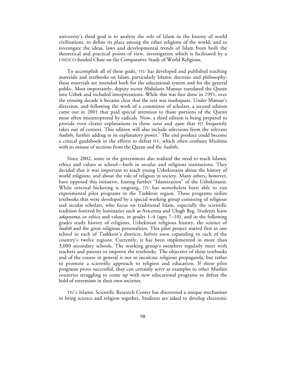university's third goal is to analyze the role of Islam in the history of world civilizations, to define its place among the other religions of the world, and to investigate the ideas, laws and developmental trends of Islam from both the theoretical and practical points of view, investigation which is facilitated by a UNESCO-funded Chair on the Comparative Study of World Religions.

To accomplish all of these goals, TIU has developed and published teaching materials and textbooks on Islam, particularly Islamic doctrine and philosophy; these materials are intended both for the educational system and for the general public. Most importantly, deputy rector Abdulaziz Mansur translated the Quran into Uzbek and included interpretations. While this was first done in 1991, over the ensuing decade it became clear that the text was inadequate. Under Mansur's direction, and following the work of a committee of scholars, a second edition came out in 2001 that paid special attention to those portions of the Quran most often misinterpreted by radicals. Now, a third edition is being prepared to provide even clearer explanations to those *suras* and *ayats* that HT frequently takes out of context. This edition will also include selections from the relevant *hadiths*, further adding to its explanatory power.<sup>7</sup> The end product could become a critical guidebook in the efforts to defeat HT, which often confuses Muslims with its misuse of sections from the Quran and the *hadiths*.

Since 2002, some in the government also realized the need to teach Islamic ethics and values at school—both in secular and religions institutions. They decided that it was important to teach young Uzbekistanis about the history of world religions, and about the role of religion in society. Many others, however, have opposed this initiative, fearing further "Islamization" of the Uzbekistanis. While internal bickering is ongoing, TIU has nonetheless been able to run experimental pilot programs in the Tashkent region. These programs utilize textbooks that were developed by a special working group consisting of religious and secular scholars, who focus on traditional Islam, especially the scientific tradition fostered by luminaries such as Avicenna and Ulugh Beg. Students learn *adapnama,* or ethics and values, in grades 1–4 (ages 7–10), and in the following grades study history of religions, Uzbekistan religious history, the science of *hadith* and the great religious personalities. This pilot project started first in one school in each of Tashkent's districts, before soon expanding to each of the country's twelve regions. Currently, it has been implemented in more than 3,000 secondary schools. The working group's members regularly meet with teachers and parents to improve the textbooks. The objective of these textbooks and of the course in general is not to inculcate religious propaganda, but rather to promote a scientific approach to religion and education. If these pilot programs prove successful, they can certainly serve as examples to other Muslim countries struggling to come up with new educational programs to defeat the hold of extremism in their own societies.

TIU's Islamic Scientific Research Center has discovered a unique mechanism to bring science and religion together. Students are asked to develop electronic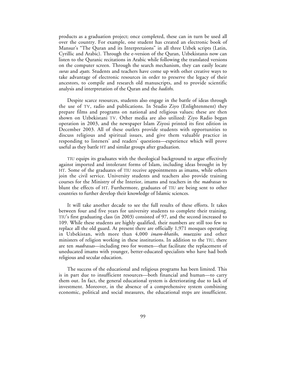products as a graduation project; once completed, these can in turn be used all over the country. For example, one student has created an electronic book of Mansur's "The Quran and its Interpretaions" in all three Uzbek scripts (Latin, Cyrillic and Arabic). Through the e-version of the Quran, Uzbekistanis now can listen to the Quranic recitations in Arabic while following the translated versions on the computer screen. Through the search mechanism, they can easily locate *suras* and *ayats*. Students and teachers have come up with other creative ways to take advantage of electronic resources in order to preserve the legacy of their ancestors, to compile and research old manuscripts, and to provide scientific analysis and interpretation of the Quran and the *hadiths*.

Despite scarce resources, students also engage in the battle of ideas through the use of TV, radio and publications. In Studio Ziyo (Enlightenment) they prepare films and programs on national and religious values; these are then shown on Uzbekistani TV. Other media are also utilized: Ziyo Radio began operation in 2003, and the newspaper Islam Ziyosi printed its first edition in December 2003. All of these outlets provide students with opportunities to discuss religious and spiritual issues, and give them valuable practice in responding to listeners' and readers' questions—experience which will prove useful as they battle HT and similar groups after graduation.

TIU equips its graduates with the theological background to argue effectively against imported and intolerant forms of Islam, including ideas brought in by HT. Some of the graduates of TIU receive appointments as imams, while others join the civil service. University students and teachers also provide training courses for the Ministry of the Interior, imams and teachers in the *madrassas* to blunt the effects of HT. Furthermore, graduates of TIU are being sent to other countries to further develop their knowledge of Islamic sciences.

It will take another decade to see the full results of these efforts. It takes between four and five years for university students to complete their training. TIU's first graduating class (in 2003) consisted of 97, and the second increased to 109. While these students are highly qualified, their numbers are still too few to replace all the old guard. At present there are officially 1,971 mosques operating in Uzbekistan, with more than 4,000 *imam-khatibs*, *muezzins* and other ministers of religion working in these institutions. In addition to the TIU, there are ten *madrassas*—including two for women—that facilitate the replacement of uneducated imams with younger, better-educated specialists who have had both religious and secular education.

The success of the educational and religious programs has been limited. This is in part due to insufficient resources—both financial and human—to carry them out. In fact, the general educational system is deteriorating due to lack of investment. Moreover, in the absence of a comprehensive system combining economic, political and social measures, the educational steps are insufficient.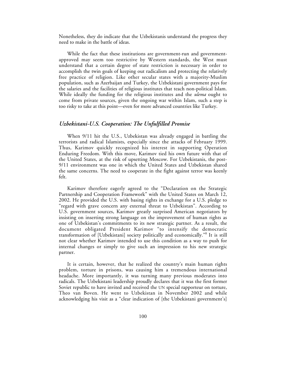Nonetheless, they do indicate that the Uzbekistanis understand the progress they need to make in the battle of ideas.

While the fact that these institutions are government-run and governmentapproved may seem too restrictive by Western standards, the West must understand that a certain degree of state restriction is necessary in order to accomplish the twin goals of keeping out radicalism and protecting the relatively free practice of religion. Like other secular states with a majority-Muslim population, such as Azerbaijan and Turkey, the Uzbekistani government pays for the salaries and the facilities of religious institutes that teach non-political Islam. While ideally the funding for the religious institutes and the *ulema* ought to come from private sources, given the ongoing war within Islam, such a step is too risky to take at this point—even for more advanced countries like Turkey.

## *Uzbekistani-U.S. Cooperation: The Unfulfilled Promise*

When 9/11 hit the U.S., Uzbekistan was already engaged in battling the terrorists and radical Islamists, especially since the attacks of February 1999. Thus, Karimov quickly recognized his interest in supporting Operation Enduring Freedom. With this move, Karimov tied his own future with that of the United States, at the risk of upsetting Moscow. For Uzbekistanis, the post-9/11 environment was one in which the United States and Uzbekistan shared the same concerns. The need to cooperate in the fight against terror was keenly felt.

Karimov therefore eagerly agreed to the "Declaration on the Strategic Partnership and Cooperation Framework" with the United States on March 12, 2002. He provided the U.S. with basing rights in exchange for a U.S. pledge to "regard with grave concern any external threat to Uzbekistan". According to U.S. government sources, Karimov greatly surprised American negotiators by insisting on inserting strong language on the improvement of human rights as one of Uzbekistan's commitments to its new strategic partner. As a result, the document obligated President Karimov "to intensify the democratic transformation of [Uzbekistani] society politically and economically."8 It is still not clear whether Karimov intended to use this condition as a way to push for internal changes or simply to give such an impression to his new strategic partner.

It is certain, however, that he realized the country's main human rights problem, torture in prisons, was causing him a tremendous international headache. More importantly, it was turning many previous moderates into radicals. The Uzbekistani leadership proudly declares that it was the first former Soviet republic to have invited and received the UN special rapporteur on torture, Theo van Boven. He went to Uzbekistan in November 2002 and while acknowledging his visit as a "clear indication of [the Uzbekistani government's]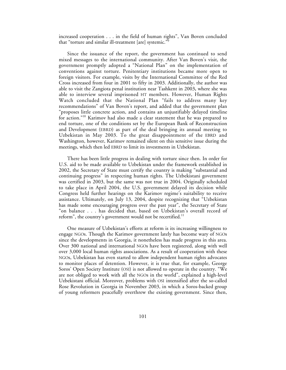increased cooperation . . . in the field of human rights", Van Boven concluded that "torture and similar ill-treatment [are] systemic."9

Since the issuance of the report, the government has continued to send mixed messages to the international community. After Van Boven's visit, the government promptly adopted a "National Plan" on the implementation of conventions against torture. Penitentiary institutions became more open to foreign visitors. For example, visits by the International Committee of the Red Cross increased from four in 2001 to fifty in 2003. Additionally, the author was able to visit the Zangiota penal institution near Tashkent in 2003**,** where she was able to interview several imprisoned HT members. However, Human Rights Watch concluded that the National Plan "fails to address many key recommendations" of Van Boven's report, and added that the government plan "proposes little concrete action, and contains an unjustifiably delayed timeline for action."<sup>10</sup> Karimov had also made a clear statement that he was prepared to end torture, one of the conditions set by the European Bank of Reconstruction and Development (EBRD) as part of the deal bringing its annual meeting to Uzbekistan in May 2003. To the great disappointment of the EBRD and Washington, however, Karimov remained silent on this sensitive issue during the meetings, which then led EBRD to limit its investments in Uzbekistan.

There has been little progress in dealing with torture since then. In order for U.S. aid to be made available to Uzbekistan under the framework established in 2002, the Secretary of State must certify the country is making "substantial and continuing progress" in respecting human rights. The Uzbekistani government was certified in 2003, but the same was not true in 2004. Originally scheduled to take place in April 2004, the U.S. government delayed its decision while Congress held further hearings on the Karimov regime's suitability to receive assistance. Ultimately, on July 13, 2004, despite recognizing that "Uzbekistan has made some encouraging progress over the past year", the Secretary of State "on balance . . . has decided that, based on Uzbekistan's overall record of reform", the country's government would not be recertified.<sup>11</sup>

One measure of Uzbekistan's efforts at reform is its increasing willingness to engage NGOs. Though the Karimov government lately has become wary of NGOs since the developments in Georgia, it nonetheless has made progress in this area. Over 300 national and international NGOs have been registered, along with well over 3,000 local human rights associations. As a result of cooperation with these NGOs, Uzbekistan has even started to allow independent human rights advocates to monitor places of detention. However, it is true that, for example, George Soros' Open Society Institute (OSI) is not allowed to operate in the country. "We are not obliged to work with all the NGOs in the world", explained a high-level Uzbekistani official. Moreover, problems with OSI intensified after the so-called Rose Revolution in Georgia in November 2003, in which a Soros-backed group of young reformers peacefully overthrew the existing government. Since then,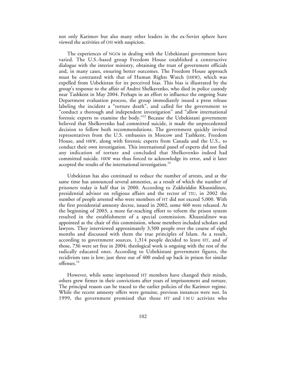not only Karimov but also many other leaders in the ex-Soviet sphere have viewed the activities of OSI with suspicion.

The experiences of NGOs in dealing with the Uzbekistani government have varied. The U.S.-based group Freedom House established a constructive dialogue with the interior ministry, obtaining the trust of government officials and, in many cases, ensuring better outcomes. The Freedom House approach must be contrasted with that of Human Rights Watch (HRW), which was expelled from Uzbekistan for its perceived bias. This bias is illustrated by the group's response to the affair of Andrei Shelkavenko, who died in police custody near Tashkent in May 2004. Perhaps in an effort to influence the ongoing State Department evaluation process, the group immediately issued a press release labeling the incident a "torture death", and called for the government to "conduct a thorough and independent investigation" and "allow international forensic experts to examine the body."12 Because the Uzbekistani government believed that Shelkovenko had committed suicide, it made the unprecedented decision to follow both recommendations. The government quickly invited representatives from the U.S. embassies in Moscow and Tashkent, Freedom House, and HRW, along with forensic experts from Canada and the U.S., to conduct their own investigation. This international panel of experts did not find any indication of torture and concluded that Shelkovenko indeed had committed suicide. HRW was thus forced to acknowledge its error, and it later accepted the results of the international investigation.<sup>13</sup>

Uzbekistan has also continued to reduce the number of arrests, and at the same time has announced several amnesties, as a result of which the number of prisoners today is half that in 2000. According to Zukhriddin Khusnidinov, presidential advisor on religious affairs and the rector of TIU, in 2002 the number of people arrested who were members of HT did not exceed 5,000. With the first presidential amnesty decree, issued in 2002, some 460 were released. At the beginning of 2003, a more far-reaching effort to reform the prison system resulted in the establishment of a special commission. Khusnidinov was appointed as the chair of this commission, whose members included scholars and lawyers. They interviewed approximately 3,500 people over the course of eight months and discussed with them the true principles of Islam. As a result, according to government sources, 1,314 people decided to leave HT, and of those, 736 were set free in 2004; theological work is ongoing with the rest of the radically educated ones. According to Uzbekistani government figures, the recidivism rate is low; just three out of 400 ended up back in prison for similar offenses.14

However, while some imprisoned HT members have changed their minds, others grew firmer in their convictions after years of imprisonment and torture. The principal reason can be traced to the earlier policies of the Karimov regime. While the recent amnesty offers were genuine, previous instances were not. In 1999, the government promised that those HT and IMU activists who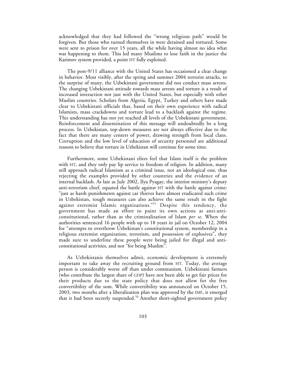acknowledged that they had followed the "wrong religious path" would be forgiven. But those who turned themselves in were detained and tortured. Some were sent to prison for over 15 years, all the while having almost no idea what was happening to them. This led many Muslims to lose faith in the justice the Karimov system provided, a point HT fully exploited.

The post-9/11 alliance with the United States has occasioned a clear change in behavior. Most visibly, after the spring and summer 2004 terrorist attacks, to the surprise of many, the Uzbekistani government did not conduct mass arrests. The changing Uzbekistani attitude towards mass arrests and torture is a result of increased interaction not just with the United States, but especially with other Muslim countries. Scholars from Algeria, Egypt, Turkey and others have made clear to Uzbekistani officials that, based on their own experience with radical Islamists, mass crackdowns and torture lead to a backlash against the regime. This understanding has not yet reached all levels of the Uzbekistani government. Reinforcement and dissemination of this message will undoubtedly be a long process. In Uzbekistan, top-down measures are not always effective due to the fact that there are many centers of power, drawing strength from local clans. Corruption and the low level of education of security personnel are additional reasons to believe that torture in Uzbekistan will continue for some time.

Furthermore, some Uzbekistani elites feel that Islam itself is the problem with HT, and they only pay lip service to freedom of religion. In addition, many still approach radical Islamism as a criminal issue, not an ideological one, thus rejecting the examples provided by other countries and the evidence of an internal backlash. As late as July 2002, Ilya Pyagay, the interior ministry's deputy anti-terrorism chief, equated the battle against HT with the battle against crime: "just as harsh punishments against car thieves have almost eradicated such crime in Uzbekistan, tough measures can also achieve the same result in the fight against extremist Islamic organizations."<sup>15</sup> Despite this tendency, the government has made an effort to paint its own actions as anti-anticonstitutional, rather than as the criminalization of Islam *per se*. When the authorities sentenced 16 people with up to 18 years in jail on October 12, 2004 for "attempts to overthrow Uzbekistan's constitutional system, membership in a religious extremist organization, terrorism, and possession of explosives", they made sure to underline these people were being jailed for illegal and anticonstitutional activities, and not "for being Muslim".

As Uzbekistanis themselves admit, economic development is extremely important to take away the recruiting ground from HT. Today, the average person is considerably worse off than under communism. Uzbekistani farmers (who contribute the largest share of GDP) have not been able to get fair prices for their products due to the state policy that does not allow for the free convertibility of the som. While convertibility was announced on October 15, 2003, two months after a liberalization plan was approved by the IMF, it emerged that it had been secretly suspended.<sup>16</sup> Another short-sighted government policy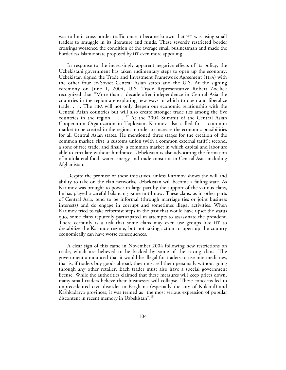was to limit cross-border traffic once it became known that HT was using small traders to smuggle in its literature and funds. These severely restricted border crossings worsened the condition of the average small businessman and made the borderless Islamic state proposed by HT even more appealing.

In response to the increasingly apparent negative effects of its policy, the Uzbekistani government has taken rudimentary steps to open up the economy. Uzbekistan signed the Trade and Investment Framework Agreement (TIFA) with the other four ex-Soviet Central Asian states and the U.S. At the signing ceremony on June 1, 2004, U.S. Trade Representative Robert Zoellick recognized that "More than a decade after independence in Central Asia the countries in the region are exploring new ways in which to open and liberalize trade. . . . The TIFA will not only deepen our economic relationship with the Central Asian countries but will also create stronger trade ties among the five countries in the region. . . . "<sup>17</sup> At the 2004 Summit of the Central Asian Cooperation Organization in Tajikistan, Karimov also called for a common market to be created in the region, in order to increase the economic possibilities for all Central Asian states. He mentioned three stages for the creation of the common market: first, a customs union (with a common external tariff); second, a zone of free trade; and finally, a common market in which capital and labor are able to circulate without hindrance. Uzbekistan is also advocating the formation of multilateral food, water, energy and trade consortia in Central Asia, including Afghanistan.

Despite the promise of these initiatives, unless Karimov shows the will and ability to take on the clan networks, Uzbekistan will become a failing state. As Karimov was brought to power in large part by the support of the various clans, he has played a careful balancing game until now. These clans, as in other parts of Central Asia, tend to be informal (through marriage ties or joint business interests) and do engage in corrupt and sometimes illegal activities. When Karimov tried to take reformist steps in the past that would have upset the status quo, some clans reputedly participated in attempts to assassinate the president. There certainly is a risk that some clans may even use groups like HT to destabilize the Karimov regime, but not taking action to open up the country economically can have worse consequences.

A clear sign of this came in November 2004 following new restrictions on trade, which are believed to be backed by some of the strong clans. The government announced that it would be illegal for traders to use intermediaries, that is, if traders buy goods abroad, they must sell them personally without going through any other retailer. Each trader must also have a special government license. While the authorities claimed that these measures will keep prices down, many small traders believe their businesses will collapse. These concerns led to unprecedented civil disorder in Ferghana (especially the city of Kokand) and Kashkadarya provinces; it was termed as "the most serious expression of popular discontent in recent memory in Uzbekistan".18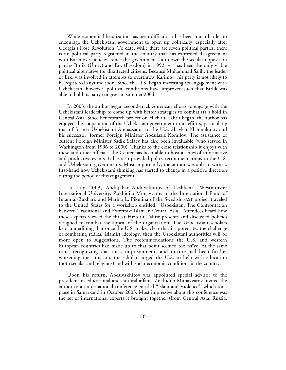While economic liberalization has been difficult, it has been much harder to encourage the Uzbekistani government to open up politically, especially after Georgia's Rose Revolution. To date, while there are seven political parties, there is no political party registered in the country that has expressed disagreement with Karimov's policies. Since the government shut down the secular opposition parties Birlik (Unity) and Erk (Freedom) in 1992, HT has been the only viable political alternative for disaffected citizens. Because Muhammad Salih, the leader of Erk, was involved in attempts to overthrow Karimov, his party is not likely to be registered anytime soon. Since the U.S. began increasing its engagement with Uzbekistan, however, political conditions have improved such that Birlik was able to hold its party congress in summer 2004.

In 2003, the author began second-track American efforts to engage with the Uzbekistani leadership to come up with better strategies to combat HT's hold in Central Asia. Since her research project on Hizb ut-Tahrir began, the author has enjoyed the cooperation of the Uzbekistani government in its efforts, particularly that of former Uzbekistani Ambassador to the U.S. Shavkat Khamrakulov and his successor, former Foreign Minister Abdulaziz Komilov. The assistance of current Foreign Minister Sadik Safaev has also been invaluable (who served in Washington from 1996 to 2000**)**. Thanks to the close relationship it enjoys with these and other officials, the Center has been able to host a series of informative and productive events. It has also provided policy recommendations to the U.S. and Uzbekistani governments. Most importantly, the author was able to witness first-hand how Uzbekistani thinking has started to change in a positive direction during the period of this engagement.

In July 2003, Abdujabar Abduvakhitov of Tashkent's Westminster International University, Zokhidilo Munavvarov of the International Fund of Imam al-Bukhari, and Marina L. Pikulina of the Swedish FAST project traveled to the United States for a workshop entitled, "Uzbekistan: The Confrontation between Traditional and Extremist Islam in Central Asia." Attendees heard how these experts viewed the threat Hizb ut-Tahrir presents and discussed policies designed to combat the appeal of the organization. The Uzbekistani scholars kept underlining that once the U.S. makes clear that it appreciates the challenge of combating radical Islamist ideology, then the Uzbekistani authorities will be more open to suggestions. The recommendations the U.S. and western European countries had made up to that point seemed too naïve. At the same time, recognizing that mass imprisonments and torture had been further worsening the situation, the scholars urged the U.S. to help with education (both secular and religious) and with socio-economic conditions in the country.

Upon his return, Abduvakhitov was appointed special advisor to the president on educational and cultural affairs. Zokhidilo Munavvarov invited the author to an international conference entitled "Islam and Violence", which took place in Samarkand in October 2003. Most impressive about this conference was the set of international experts it brought together (from Central Asia, Russia,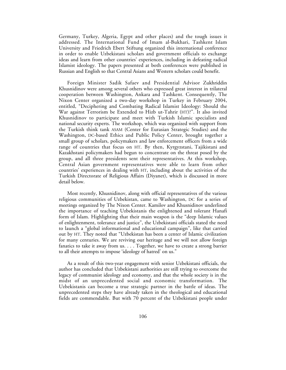Germany, Turkey, Algeria, Egypt and other places) and the tough issues it addressed. The International Fund of Imam al-Bukhari, Tashkent Islam University and Friedrich Ebert Stiftung organized this international conference in order to enable Uzbekistani scholars and government officials to exchange ideas and learn from other countries' experiences, including in defeating radical Islamist ideology. The papers presented at both conferences were published in Russian and English so that Central Asians and Western scholars could benefit.

Foreign Minister Sadik Safaev and Presidential Advisor Zukhriddin Khusnidinov were among several others who expressed great interest in trilateral cooperation between Washington, Ankara and Tashkent. Consequently, The Nixon Center organized a two-day workshop in Turkey in February 2004, entitled, "Deciphering and Combating Radical Islamist Ideology: Should the War against Terrorism be Extended to Hizb ut-Tahrir (HT)?". It also invited Khusnidinov to participate and meet with Turkish Islamic specialists and national security experts. The workshop, which was organized with support from the Turkish think tank ASAM (Center for Eurasian Strategic Studies) and the Washington, DC-based Ethics and Public Policy Center, brought together a small group of scholars, policymakers and law enforcement officers from a wide range of countries that focus on HT. By then, Kyrgyzstani, Tajikistani and Kazakhstani policymakers had begun to concentrate on the threat posed by the group, and all three presidents sent their representatives. At this workshop, Central Asian government representatives were able to learn from other countries' experiences in dealing with HT, including about the activities of the Turkish Directorate of Religious Affairs (Diyanet), which is discussed in more detail below.

Most recently, Khusnidinov, along with official representatives of the various religious communities of Uzbekistan, came to Washington, DC for a series of meetings organized by The Nixon Center. Kamilov and Khusnidinov underlined the importance of teaching Uzbekistanis the enlightened and tolerant Hanafi form of Islam. Highlighting that their main weapon is the "deep Islamic values of enlightenment, tolerance and justice", the Uzbekistani officials stated the need to launch a "global informational and educational campaign", like that carried out by HT. They noted that "Uzbekistan has been a center of Islamic civilization for many centuries. We are reviving our heritage and we will not allow foreign fanatics to take it away from us. . . . Together, we have to create a strong barrier to all their attempts to impose 'ideology of hatred' on us."

As a result of this two-year engagement with senior Uzbekistani officials, the author has concluded that Uzbekistani authorities are still trying to overcome the legacy of communist ideology and economy, and that the whole society is in the midst of an unprecedented social and economic transformation. The Uzbekistanis can become a true strategic partner in the battle of ideas. The unprecedented steps they have already taken in the theological and educational fields are commendable. But with 70 percent of the Uzbekistani people under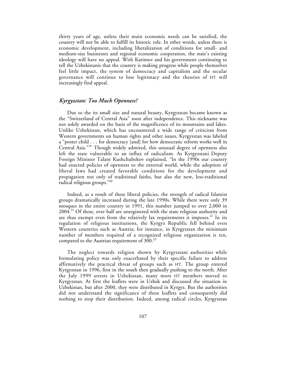thirty years of age, unless their main economic needs can be satisfied, the country will not be able to fulfill its historic role. In other words, unless there is economic development, including liberalization of conditions for small- and medium-size businesses and regional economic cooperation, the state's existing ideology will have no appeal. With Karimov and his government continuing to tell the Uzbekistanis that the country is making progress while people themselves feel little impact, the system of democracy and capitalism and the secular governance will continue to lose legitimacy and the theories of HT will increasingly find appeal.

## *Kyrgyzstan: Too Much Openness?*

Due to the its small size and natural beauty, Kyrgyzstan became known as the "Switzerland of Central Asia" soon after independence. This nickname was not solely awarded on the basis of the magnificence of its mountains and lakes. Unlike Uzbekistan, which has encountered a wide range of criticism from Western governments on human rights and other issues, Kyrgyzstan was labeled a "poster child . . . for democracy [and] for how democratic reform works well in Central Asia."<sup>19</sup> Though widely admired, this unusual degree of openness also left the state vulnerable to an influx of radicalism. As Kyrgyzstani Deputy Foreign Minister Talant Kushchubekov explained, "In the 1990s our country had enacted policies of openness to the external world, while the adoption of liberal laws had created favorable conditions for the development and propagation not only of traditional faiths, but also the new, less-traditional radical religious groups."<sup>20</sup>

Indeed, as a result of these liberal policies, the strength of radical Islamist groups dramatically increased during the late 1990s. While there were only 39 mosques in the entire country in 1991, this number jumped to over 2,000 in  $2004<sup>21</sup>$  Of these, over half are unregistered with the state religious authority and are thus exempt even from the relatively lax requirements it imposes.<sup>22</sup> In its regulation of religious institutions, the Kyrgyz Republic fell behind even Western countries such as Austria; for instance, in Kyrgyzstan the minimum number of members required of a recognized religious organization is ten, compared to the Austrian requirement of  $300.^{23}$ 

The neglect towards religion shown by Kyrgyzstani authorities while formulating policy was only exacerbated by their specific failure to address affirmatively the practical threat of groups such as HT. The group entered Kyrgyzstan in 1996, first in the south then gradually pushing to the north. After the July 1999 arrests in Uzbekistan, many more HT members moved to Kyrgyzstan. At first the leaflets were in Uzbek and discussed the situation in Uzbekistan, but after 2000, they were distributed in Kyrgyz. But the authorities did not understand the significance of these leaflets and consequently did nothing to stop their distribution. Indeed, among radical circles, Kyrgyzstan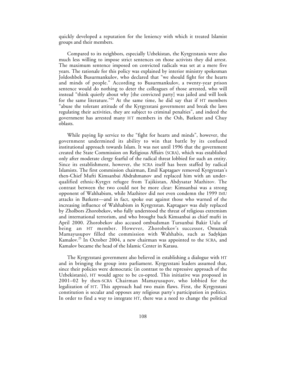quickly developed a reputation for the leniency with which it treated Islamist groups and their members.

Compared to its neighbors, especially Uzbekistan, the Kyrgyzstanis were also much less willing to impose strict sentences on those activists they did arrest. The maximum sentence imposed on convicted radicals was set at a mere five years. The rationale for this policy was explained by interior ministry spokesman Joldoshbek Busurmankulov, who declared that "we should fight for the hearts and minds of people." According to Busurmankulov, a twenty-year prison sentence would do nothing to deter the colleagues of those arrested, who will instead "think quietly about why [the convicted party] was jailed and will look for the same literature."<sup>24</sup> At the same time, he did say that if HT members "abuse the tolerant attitude of the Kyrgyzstani government and break the laws regulating their activities, they are subject to criminal penalties", and indeed the government has arrested many HT members in the Osh, Batkent and Chuy oblasts.

While paying lip service to the "fight for hearts and minds", however, the government undermined its ability to win that battle by its confused institutional approach towards Islam. It was not until 1996 that the government created the State Commission on Religious Affairs (SCRA), which was established only after moderate clergy fearful of the radical threat lobbied for such an entity. Since its establishment, however, the SCRA itself has been staffed by radical Islamists. The first commission chairman, Emil Kaptagaev removed Kyrgyzstan's then-Chief Mufti Kimsanbai Abdrahmanov and replaced him with an underqualified ethnic-Kyrgyz refugee from Tajikistan, Abdysatar Mazhitov. The contrast between the two could not be more clear: Kimsanbai was a strong opponent of Wahhabism, while Mazhitov did not even condemn the 1999 IMU attacks in Batkent—and in fact, spoke out against those who warned of the increasing influence of Wahhabism in Kyrgyzstan. Kaptagaev was duly replaced by Zholbors Zhorobekov**,** who fully understood the threat of religious extremism and international terrorism, and who brought back Kimsanbai as chief mufti in April 2000. Zhorobekov also accused ombudsman Tursunbai Bakir Uulu of being an HT member. However, Zhorobekov's successor, Omurzak Mamayusupov filled the commission with Wahhabis, such as Sadykjan Kamalov.<sup>25</sup> In October 2004, a new chairman was appointed to the SCRA, and Kamalov became the head of the Islamic Center in Karasu.

The Kyrgyzstani government also believed in establishing a dialogue with HT and in bringing the group into parliament. Kyrgyzstani leaders assumed that, since their policies were democratic (in contrast to the repressive approach of the Uzbekistanis), HT would agree to be co-opted. This initiative was proposed in 2001–02 by then-SCRA Chairman Mamayusupov, who lobbied for the legalization of HT. This approach had two main flaws. First, the Kyrgyzstani constitution is secular and opposes any religious party's participation in politics. In order to find a way to integrate HT, there was a need to change the political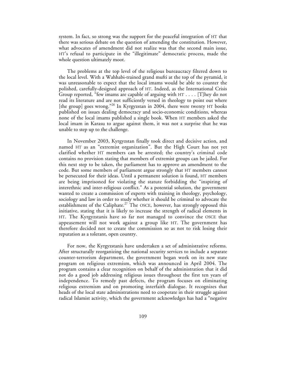system. In fact, so strong was the support for the peaceful integration of HT that there was serious debate on the question of amending the constitution. However, what advocates of amendment did not realize was that the second main issue, HT's refusal to participate in the "illegitimate" democratic process, made the whole question ultimately moot.

The problems at the top level of the religious bureaucracy filtered down to the local level. With a Wahhabi-trained grand mufti at the top of the pyramid, it was unreasonable to expect that the local imams would be able to counter the polished, carefully-designed approach of HT. Indeed, as the International Crisis Group reported, "few imams are capable of arguing with HT . . . . [T]hey do not read its literature and are not sufficiently versed in theology to point out where [the group] goes wrong."<sup>26</sup> In Kyrgyzstan in 2004, there were twenty HT books published on issues dealing democracy and socio-economic conditions, whereas none of the local imams published a single book. When HT members asked the local imam in Karasu to argue against them, it was not a surprise that he was unable to step up to the challenge.

In November 2003, Kyrgyzstan finally took direct and decisive action, and named HT as an "extremist organization". But the High Court has not yet clarified whether HT members can be arrested; the country's criminal code contains no provision stating that members of extremist groups can be jailed. For this next step to be taken, the parliament has to approve an amendment to the code. But some members of parliament argue strongly that HT members cannot be persecuted for their ideas. Until a permanent solution is found, HT members are being imprisoned for violating the statute forbidding the "inspiring of interethnic and inter-religious conflict." As a potential solution, the government wanted to create a commission of experts with training in theology, psychology, sociology and law in order to study whether it should be criminal to advocate the establishment of the Caliphate.<sup>27</sup> The OSCE, however, has strongly opposed this initiative, stating that it is likely to increase the strength of radical elements in HT. The Kyrgyzstanis have so far not managed to convince the OSCE that appeasement will not work against a group like HT. The government has therefore decided not to create the commission so as not to risk losing their reputation as a tolerant, open country.

For now, the Kyrgyzstanis have undertaken a set of administrative reforms. After structurally reorganizing the national security services to include a separate counter-terrorism department, the government began work on its new state program on religious extremism, which was announced in April 2004. The program contains a clear recognition on behalf of the administration that it did not do a good job addressing religious issues throughout the first ten years of independence. To remedy past defects, the program focuses on eliminating religious extremism and on promoting interfaith dialogue. It recognizes that heads of the local state administrations need to cooperate in their struggle against radical Islamist activity, which the government acknowledges has had a "negative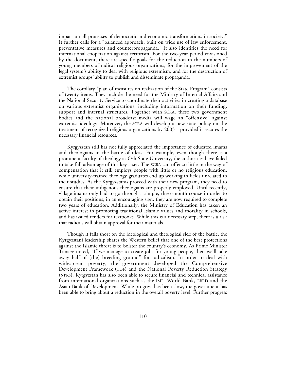impact on all processes of democratic and economic transformations in society." It further calls for a "balanced approach, built on wide use of law enforcement, preventative measures and counterpropaganda." It also identifies the need for international cooperation against terrorism. For the two-year period envisioned by the document, there are specific goals for the reduction in the numbers of young members of radical religious organizations, for the improvement of the legal system's ability to deal with religious extremism, and for the destruction of extremist groups' ability to publish and disseminate propaganda.

The corollary "plan of measures on realization of the State Program" consists of twenty items. They include the need for the Ministry of Internal Affairs and the National Security Service to coordinate their activities in creating a database on various extremist organizations, including information on their funding, support and internal structures. Together with SCRA, these two government bodies and the national broadcast media will wage an "offensive" against extremist ideology. Moreover, the SCRA will develop a new state policy on the treatment of recognized religious organizations by 2005—provided it secures the necessary financial resources.

Kyrgyzstan still has not fully appreciated the importance of educated imams and theologians in the battle of ideas. For example, even though there is a prominent faculty of theology at Osh State University, the authorities have failed to take full advantage of this key asset. The SCRA can offer so little in the way of compensation that it still employs people with little or no religious education, while university-trained theology graduates end up working in fields unrelated to their studies. As the Kyrgyzstanis proceed with their new program, they need to ensure that their indigenous theologians are properly employed. Until recently, village imams only had to go through a simple, three-month course in order to obtain their positions; in an encouraging sign, they are now required to complete two years of education. Additionally, the Ministry of Education has taken an active interest in promoting traditional Islamic values and morality in schools, and has issued tenders for textbooks. While this is a necessary step, there is a risk that radicals will obtain approval for their materials.

Though it falls short on the ideological and theological side of the battle, the Kyrgyzstani leadership shares the Western belief that one of the best protections against the Islamic threat is to bolster the country's economy. As Prime Minister Tanaev noted, "If we manage to create jobs for young people, then we'll take away half of [the] breeding ground" for radicalism. In order to deal with widespread poverty, the government developed the Comprehensive Development Framework (CDF) and the National Poverty Reduction Strategy (NPRS). Kyrgyzstan has also been able to secure financial and technical assistance from international organizations such as the IMF, World Bank, EBRD and the Asian Bank of Development. While progress has been slow, the government has been able to bring about a reduction in the overall poverty level. Further progress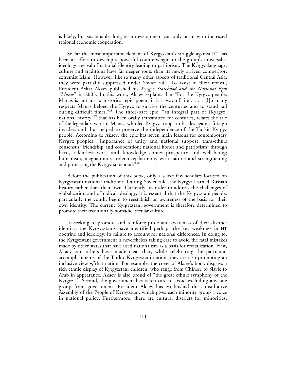is likely, but sustainable, long-term development can only occur with increased regional economic cooperation.

So far the most important element of Kyrgyzstan's struggle against HT has been its effort to develop a powerful counterweight to the group's universalist ideology: revival of national identity leading to patriotism. The Kyrgyz language, culture and traditions have far deeper roots than its newly arrived competitor, extremist Islam. However, like so many other aspects of traditional Central Asia, they were partially suppressed under Soviet rule. To assist in their revival, President Askar Akaev published his *Kyrgyz Statehood and the National Epos "Manas*" in 2003. In this work, Akaev explains that "For the Kyrgyz people, Manas is not just a historical epic poem; it is a way of life . . . . [I]n many respects Manas helped the Kyrgyz to survive the centuries and to stand tall during difficult times."28 The three-part epic, "an integral part of [Kyrgyz] national history<sup>"29</sup> that has been orally transmitted for centuries, relates the tale of the legendary warrior Manas, who led Kyrgyz troops in battles against foreign invaders and thus helped to preserve the independence of the Turkic Kyrgyz people. According to Akaev, the epic has seven main lessons for contemporary Kyrgyz peoples: "importance of unity and national support; trans-ethnic consensus, friendship and cooperation; national honor and patriotism; through hard, relentless work and knowledge comes prosperity and well-being; humanism, magnanimity, tolerance; harmony with nature; and strengthening and protecting the Kyrgyz statehood."<sup>30</sup>

Before the publication of this book, only a select few scholars focused on Kyrgyzstani national traditions. During Soviet rule, the Kyrgyz learned Russian history rather than their own. Currently, in order to address the challenges of globalization and of radical ideology, it is essential that the Kyrgyzstani people, particularly the youth, begin to reestablish an awareness of the basis for their own identity. The current Kyrgyzstani government is therefore determined to promote their traditionally nomadic, secular culture.

In seeking to promote and reinforce pride and awareness of their distinct identity, the Kyrgyzstanis have identified perhaps the key weakness in HT doctrine and ideology: its failure to account for national differences. In doing so, the Kyrgyzstani government is nevertheless taking care to avoid the fatal mistakes made by other states that have used nationalism as a basis for revitalization. First, Akaev and others have made clear that, while celebrating the particular accomplishments of the Turkic Kyrgyzstani nation, they are also promoting an inclusive view *of* that nation. For example, the cover of Akaev's book displays a rich ethnic display of Kyrgyzstani children, who range from Chinese to Slavic to Arab in appearance. Akaev is also proud of "the great ethnic symphony of the Kyrgyz."<sup>31</sup> Second, the government has taken care to avoid excluding any one group from government. President Akaev has established the consultative Assembly of the People of Kyrgyzstan, which gives each minority group a voice in national policy. Furthermore, there are cultural districts for minorities,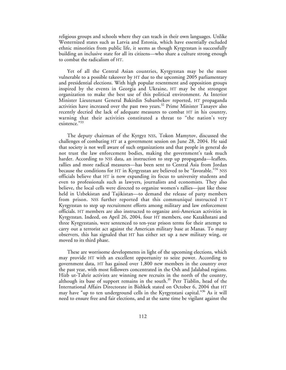religious groups and schools where they can teach in their own languages. Unlike Westernized states such as Latvia and Estonia, which have essentially excluded ethnic minorities from public life, it seems as though Kyrgyzstan is successfully building an inclusive state for all its citizens—who share a culture strong enough to combat the radicalism of HT.

Yet of all the Central Asian countries, Kyrgyzstan may be the most vulnerable to a possible takeover by HT due to the upcoming 2005 parliamentary and presidential elections. With high popular resentment and opposition groups inspired by the events in Georgia and Ukraine, HT may be the strongest organization to make the best use of this political environment. As Interior Minister Lieutenant General Bakirdin Subanbekov reported, HT propaganda activities have increased over the past two years.<sup>32</sup> Prime Minister Tanayev also recently decried the lack of adequate measures to combat HT in his country, warning that their activities constituted a threat to "the nation's very existence."33

The deputy chairman of the Kyrgyz NSS, Tokon Mamytov, discussed the challenges of combating HT at a government session on June 28, 2004. He said that society is not well aware of such organizations and that people in general do not trust the law enforcement bodies, making the government's task much harder. According to NSS data, an instruction to step up propaganda—leaflets, rallies and more radical measures—has been sent to Central Asia from Jordan because the conditions for HT in Kyrgyzstan are believed to be "favorable."<sup>34</sup> NSS officials believe that HT is now expanding its focus to university students and even to professionals such as lawyers, journalists and economists. They also believe, the local cells were directed to organize women's rallies—just like those held in Uzbekistan and Tajikistan—to demand the release of party members from prison. NSS further reported that this communiqué instructed H T Kyrgyzstan to step up recruitment efforts among military and law enforcement officials. HT members are also instructed to organize anti-American activities in Kyrgyzstan. Indeed, on April 26, 2004, four HT members, one Kazakhstani and three Kyrgyzstanis, were sentenced to ten-year prison terms for their attempt to carry out a terrorist act against the American military base at Manas. To many observers, this has signaled that HT has either set up a new military wing, or moved to its third phase.

These are worrisome developments in light of the upcoming elections, which may provide HT with an excellent opportunity to seize power. According to government data, HT has gained over 1,800 new members in the country over the past year, with most followers concentrated in the Osh and Jalalabad regions. Hizb ut-Tahrir activists are winning new recruits in the north of the country, although its base of support remains in the south.<sup>35</sup> Petr Tiablin, head of the International Affairs Directorate in Bishkek stated on October 6, 2004 that HT may have "up to ten underground cells in the Kyrgyzstani capital."36 As it will need to ensure free and fair elections, and at the same time be vigilant against the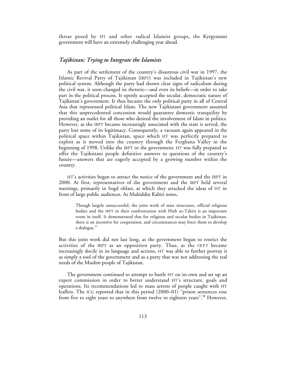threat posed by HT and other radical Islamist groups, the Kyrgyzstani government will have an extremely challenging year ahead.

#### *Tajikistan: Trying to Integrate the Islamists*

As part of the settlement of the country's disastrous civil war in 1997, the Islamic Revival Party of Tajikistan (IRPT) was included in Tajikistan's new political system. Although the party had shown clear signs of radicalism during the civil war, it soon changed its rhetoric—and even its beliefs—in order to take part in the political process. It openly accepted the secular, democratic nature of Tajikistan's government. It thus became the only political party in all of Central Asia that represented political Islam. The new Tajikistani government assumed that this unprecedented concession would guarantee domestic tranquility by providing an outlet for all those who desired the involvement of Islam in politics. However, as the IRPT became increasingly associated with the state it served, the party lost some of its legitimacy. Consequently, a vacuum again appeared in the political space within Tajikistan, space which HT was perfectly prepared to exploit as it moved into the country through the Ferghana Valley in the beginning of 1998. Unlike the IRPT or the government, HT was fully prepared to offer the Tajikistani people definitive answers to questions of the country's future—answers that are eagerly accepted by a growing number within the country.

HT's activities began to attract the notice of the government and the IRPT in 2000. At first, representatives of the government and the IRPT held several meetings, primarily in Sogd oblast, at which they attacked the ideas of HT in front of large public audiences. As Muhiddin Kabiri notes,

Though largely unsuccessful, the joint work of state structures, official religious bodies and the IRPT in their confrontation with Hizb ut-Tahrir is an important event in itself. It demonstrated that for religious and secular bodies in Tajikistan, there is an incentive for cooperation, and circumstances may force them to develop a dialogue. $37$ 

But this joint work did not last long, as the government began to restrict the activities of the IRPT as an opposition party. Thus, as the IRPT became increasingly docile in its language and actions, HT was able to further portray it as simply a tool of the government and as a party that was not addressing the real needs of the Muslim people of Tajikistan.

The government continued to attempt to battle HT on its own and set up an expert commission in order to better understand HT's structure, goals and operations. Its recommendations led to mass arrests of people caught with HT leaflets. The ICG reported that in this period (2000–01) "prison sentences rose from five to eight years to anywhere from twelve to eighteen years".<sup>38</sup> However,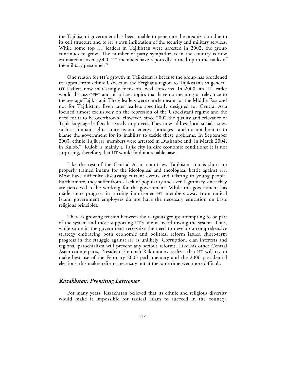the Tajikistani government has been unable to penetrate the organization due to its cell structure and to HT's own infiltration of the security and military services. While some top HT leaders in Tajikistan were arrested in 2002, the group continues to grow. The number of party sympathizers in the country is now estimated at over 3,000. HT members have reportedly turned up in the ranks of the military personnel. $39$ 

One reason for HT's growth in Tajikistan is because the group has broadened its appeal from ethnic Uzbeks in the Ferghana region to Tajikistanis in general. HT leaflets now increasingly focus on local concerns. In 2000, an HT leaflet would discuss OPEC and oil prices, topics that have no meaning or relevance to the average Tajikistani. These leaflets were clearly meant for the Middle East and not for Tajikistan. Even later leaflets specifically designed for Central Asia focused almost exclusively on the repression of the Uzbekistani regime and the need for it to be overthrown. However, since 2002 the quality and relevance of Tajik-language leaflets has vastly improved. They now address local social issues, such as human rights concerns and energy shortages—and do not hesitate to blame the government for its inability to tackle these problems. In September 2003, ethnic Tajik HT members were arrested in Dushanbe and, in March 2004, in Kulob.<sup>40</sup> Kulob is mainly a Tajik city in dire economic conditions; it is not surprising, therefore, that HT would find it a reliable base.

Like the rest of the Central Asian countries, Tajikistan too is short on properly trained imams for the ideological and theological battle against HT. Most have difficulty discussing current events and relating to young people. Furthermore, they suffer from a lack of popularity and even legitimacy since they are perceived to be working for the government. While the government has made some progress in turning imprisoned HT members away from radical Islam, government employees do not have the necessary education on basic religious principles.

There is growing tension between the religious groups attempting to be part of the system and those supporting HT's line in overthrowing the system. Thus, while some in the government recognize the need to develop a comprehensive strategy embracing both economic and political reform issues, short-term progress in the struggle against HT is unlikely. Corruption, clan interests and regional parochialism will prevent any serious reforms. Like his other Central Asian counterparts, President Emomali Rakhmonov realizes that HT will try to make best use of the February 2005 parliamentary and the 2006 presidential elections; this makes reforms necessary but at the same time even more difficult.

#### *Kazakhstan: Promising Latecomer*

For many years, Kazakhstan believed that its ethnic and religious diversity would make it impossible for radical Islam to succeed in the country.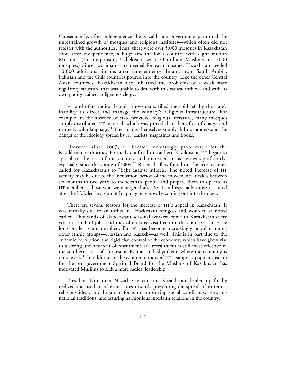Consequently, after independence the Kazakhstani government permitted the unrestrained growth of mosques and religious institutes—which often did not register with the authorities. Thus, there were over 5,000 mosques in Kazakhstan soon after independence, a huge amount for a country with eight million Muslims. (In comparison, Uzbekistan with 20 million Muslims has 2000 mosques.) Since two imams are needed for each mosque, Kazakhstan needed 10,000 additional imams after independence. Imams from Saudi Arabia, Pakistan and the Gulf countries poured into the country. Like the other Central Asian countries, Kazakhstan also inherited the problems of a weak state regulatory structure that was unable to deal with this radical influx—and with its own poorly trained indigenous clergy.

HT and other radical Islamist movements filled the void left by the state's inability to direct and manage the country's religious infrastructure. For example, in the absence of state-provided religious literature, many mosques simply distributed HT material, which was provided to them free of charge and in the Kazakh language.<sup>41</sup> The imams themselves simply did not understand the danger of the ideology spread by HT leaflets, magazines and books.

However, since 2003, HT became increasingly problematic for the Kazakhstani authorities. Formerly confined to southern Kazakhstan, HT began to spread to the rest of the country and increased its activities significantly, especially since the spring of 2004.<sup>42</sup> Recent leaflets found on the arrested men called for Kazakhstanis to "fight against infidels. The noted increase of HT activity may be due to the incubation period of the movement: It takes between six months to two years to indoctrinate people and prepare them to operate as HT members. Those who were targeted after 9/11 and especially those recruited after the U.S.-led invasion of Iraq may only now be coming out into the open.

There are several reasons for the increase of HT's appeal in Kazakhstan. It was initially due to an influx in Uzbekistani refugees and workers, as noted earlier. Thousands of Uzbekistani seasonal workers come to Kazakhstan every year in search of jobs, and they often cross visa-free into the country—since the long border is uncontrolled. But HT has become increasingly popular among other ethnic groups—Russian and Kazakh—as well. This is in part due to the endemic corruption and rigid clan control of the economy, which have given rise to a strong undercurrent of resentment. HT recruitment is still most effective in the southern areas of Turkestan, Kentau and Shymkent, where the economy is quite weak.<sup>43</sup> In addition to the economic roots of HT's support, popular disdain for the pro-government Spiritual Board for the Muslims of Kazakhstan has motivated Muslims to seek a more radical leadership.

President Nursultan Nazarbayev and the Kazakhstani leadership finally realized the need to take measures towards preventing the spread of extremist religious ideas, and began to focus on improving social conditions, restoring national traditions, and assuring harmonious interfaith relations in the country.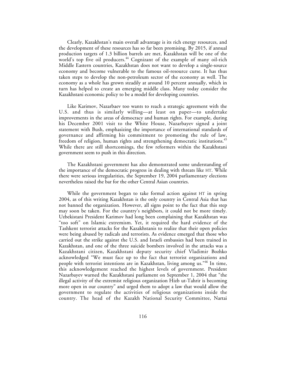Clearly, Kazakhstan's main overall advantage is its rich energy resources, and the development of these resources has so far been promising. By 2015, if annual production targets of 1.3 billion barrels are met, Kazakhstan will be one of the world's top five oil producers.<sup>44</sup> Cognizant of the example of many oil-rich Middle Eastern countries, Kazakhstan does not want to develop a single-source economy and become vulnerable to the famous oil-resource curse. It has thus taken steps to develop the non-petroleum sector of the economy as well. The economy as a whole has grown steadily at around 10 percent annually, which in turn has helped to create an emerging middle class. Many today consider the Kazakhstani economic policy to be a model for developing countries.

Like Karimov, Nazarbaev too wants to reach a strategic agreement with the U.S. and thus is similarly willing—at least on paper—to undertake improvements in the areas of democracy and human rights. For example, during his December 2001 visit to the White House, Nazarbayev signed a joint statement with Bush, emphasizing the importance of international standards of governance and affirming his commitment to promoting the rule of law, freedom of religion, human rights and strengthening democratic institutions.<sup>45</sup> While there are still shortcomings, the few reformers within the Kazakhstani government seem to push in this direction.

The Kazakhstani government has also demonstrated some understanding of the importance of the democratic progress in dealing with threats like HT. While there were serious irregularities, the September 19, 2004 parliamentary elections nevertheless raised the bar for the other Central Asian countries.

While the government began to take formal action against HT in spring 2004, as of this writing Kazakhstan is the only country in Central Asia that has not banned the organization. However, all signs point to the fact that this step may soon be taken. For the country's neighbors, it could not be more timely. Uzbekistani President Karimov had long been complaining that Kazakhstan was "too soft" on Islamic extremism. Yet, it required the hard evidence of the Tashkent terrorist attacks for the Kazakhstanis to realize that their open policies were being abused by radicals and terrorists. As evidence emerged that those who carried out the strike against the U.S. and Israeli embassies had been trained in Kazakhstan, and one of the three suicide bombers involved in the attacks was a Kazakhstani citizen, Kazakhstani deputy security chief Vladimir Bozhko acknowledged "We must face up to the fact that terrorist organizations and people with terrorist intentions are in Kazakhstan, living among us."46 In time, this acknowledgement reached the highest levels of government. President Nazarbayev warned the Kazakhstani parliament on September 1, 2004 that "the illegal activity of the extremist religious organization Hizb ut-Tahrir is becoming more open in our country" and urged them to adopt a law that would allow the government to regulate the activities of religious organizations inside the country. The head of the Kazakh National Security Committee, Nartai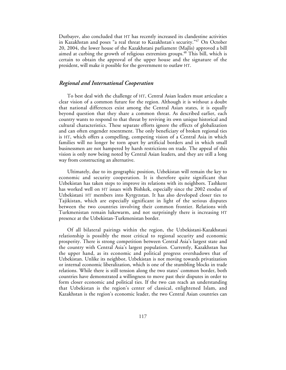Dutbayev, also concluded that HT has recently increased its clandestine activities in Kazakhstan and poses "a real threat to Kazakhstan's security."<sup>47</sup> On October 20, 2004, the lower house of the Kazakhstani parliament (Majlis) approved a bill aimed at curbing the growth of religious extremists groups.<sup>48</sup> This bill, which is certain to obtain the approval of the upper house and the signature of the president, will make it possible for the government to outlaw HT.

#### *Regional and International Cooperation*

To best deal with the challenge of HT, Central Asian leaders must articulate a clear vision of a common future for the region. Although it is without a doubt that national differences exist among the Central Asian states, it is equally beyond question that they share a common threat. As described earlier, each country wants to respond to that threat by reviving its own unique historical and cultural characteristics. These separate efforts ignore the effects of globalization and can often engender resentment. The only beneficiary of broken regional ties is HT, which offers a compelling, competing vision of a Central Asia in which families will no longer be torn apart by artificial borders and in which small businessmen are not hampered by harsh restrictions on trade. The appeal of this vision is only now being noted by Central Asian leaders, and they are still a long way from constructing an alternative.

Ultimately, due to its geographic position, Uzbekistan will remain the key to economic and security cooperation. It is therefore quite significant that Uzbekistan has taken steps to improve its relations with its neighbors. Tashkent has worked well on HT issues with Bishkek, especially since the 2002 exodus of Uzbekistani HT members into Kyrgyzstan. It has also developed closer ties to Tajikistan, which are especially significant in light of the serious disputes between the two countries involving their common frontier. Relations with Turkmenistan remain lukewarm, and not surprisingly there is increasing HT presence at the Uzbekistan-Turkmenistan border.

Of all bilateral pairings within the region, the Uzbekistani-Kazakhstani relationship is possibly the most critical to regional security and economic prosperity. There is strong competition between Central Asia's largest state and the country with Central Asia's largest population. Currently, Kazakhstan has the upper hand, as its economic and political progress overshadows that of Uzbekistan. Unlike its neighbor, Uzbekistan is not moving towards privatization or internal economic liberalization, which is one of the stumbling blocks in trade relations. While there is still tension along the two states' common border, both countries have demonstrated a willingness to move past their disputes in order to form closer economic and political ties. If the two can reach an understanding that Uzbekistan is the region's center of classical, enlightened Islam, and Kazakhstan is the region's economic leader, the two Central Asian countries can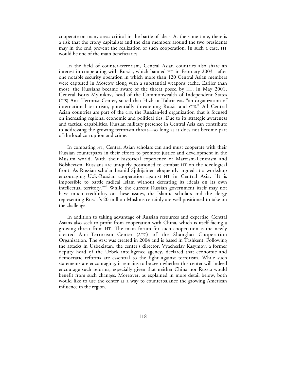cooperate on many areas critical in the battle of ideas. At the same time, there is a risk that the crony capitalists and the clan members around the two presidents may in the end prevent the realization of such cooperation. In such a case, HT would be one of the main beneficiaries.

In the field of counter-terrorism, Central Asian countries also share an interest in cooperating with Russia, which banned HT in February 2003—after one notable security operation in which more than 120 Central Asian members were captured in Moscow along with a substantial weapons cache. Earlier than most, the Russians became aware of the threat posed by HT; in May 2001, General Boris Mylnikov, head of the Commonwealth of Independent States (CIS) Anti-Terrorist Center, stated that Hizb ut-Tahrir was "an organization of international terrorism, potentially threatening Russia and CIS." All Central Asian countries are part of the CIS, the Russian-led organization that is focused on increasing regional economic and political ties. Due to its strategic awareness and tactical capabilities, Russian military presence in Central Asia can contribute to addressing the growing terrorism threat—so long as it does not become part of the local corruption and crime.

In combating HT, Central Asian scholars can and must cooperate with their Russian counterparts in their efforts to promote justice and development in the Muslim world. With their historical experience of Marxism-Leninism and Bolshevism, Russians are uniquely positioned to combat HT on the ideological front. As Russian scholar Leonid Sjukijainen eloquently argued at a workshop encouraging U.S.-Russian cooperation against HT in Central Asia, "It is impossible to battle radical Islam without defeating its ideals on its own intellectual territory."<sup>49</sup> While the current Russian government itself may not have much credibility on these issues, the Islamic scholars and the clergy representing Russia's 20 million Muslims certainly are well positioned to take on the challenge.

In addition to taking advantage of Russian resources and expertise, Central Asians also seek to profit from cooperation with China, which is itself facing a growing threat from HT. The main forum for such cooperation is the newly created Anti-Terrorism Center (ATC) of the Shanghai Cooperation Organization. The ATC was created in 2004 and is based in Tashkent. Following the attacks in Uzbekistan, the center's director, Vyacheslav Kasymov, a former deputy head of the Uzbek intelligence agency, declared that economic and democratic reforms are essential to the fight against terrorism. While such statements are encouraging, it remains to be seen whether this center will indeed encourage such reforms, especially given that neither China nor Russia would benefit from such changes. Moreover, as explained in more detail below, both would like to use the center as a way to counterbalance the growing American influence in the region.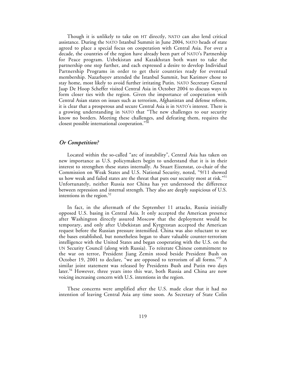Though it is unlikely to take on HT directly, NATO can also lend critical assistance. During the NATO Istanbul Summit in June 2004, NATO heads of state agreed to place a special focus on cooperation with Central Asia. For over a decade, the countries of the region have already been part of NATO's Partnership for Peace program. Uzbekistan and Kazakhstan both want to take the partnership one step further, and each expressed a desire to develop Individual Partnership Programs in order to get their countries ready for eventual membership. Nazarbayev attended the Istanbul Summit, but Karimov chose to stay home, most likely to avoid further irritating Putin. NATO Secretary General Jaap De Hoop Scheffer visited Central Asia in October 2004 to discuss ways to form closer ties with the region. Given the importance of cooperation with Central Asian states on issues such as terrorism, Afghanistan and defense reform, it is clear that a prosperous and secure Central Asia is in NATO's interest. There is a growing understanding in NATO that "The new challenges to our security know no borders. Meeting these challenges, and defeating them, requires the closest possible international cooperation."50

#### *Or Competition?*

Located within the so-called "arc of instability", Central Asia has taken on new importance as U.S. policymakers begin to understand that it is in their interest to strengthen these states internally. As Stuart Eizenstat, co-chair of the Commission on Weak States and U.S. National Security, noted, "9/11 showed us how weak and failed states are the threat that puts our security most at risk."<sup>51</sup> Unfortunately, neither Russia nor China has yet understood the difference between repression and internal strength. They also are deeply suspicious of U.S. intentions in the region. $52$ 

In fact, in the aftermath of the September 11 attacks, Russia initially opposed U.S. basing in Central Asia. It only accepted the American presence after Washington directly assured Moscow that the deployment would be temporary, and only after Uzbekistan and Kyrgyzstan accepted the American request before the Russian pressure intensified. China was also reluctant to see the bases established, but nonetheless began to share valuable counter-terrorism intelligence with the United States and began cooperating with the U.S. on the UN Security Council (along with Russia). To reiterate Chinese commitment to the war on terror, President Jiang Zemin stood beside President Bush on October 19, 2001 to declare, "we are opposed to terrorism of all forms."53 A similar joint statement was released by Presidents Bush and Putin two days later.<sup>54</sup> However, three years into this war, both Russia and China are now voicing increasing concern with U.S. intentions in the region.

These concerns were amplified after the U.S. made clear that it had no intention of leaving Central Asia any time soon. As Secretary of State Colin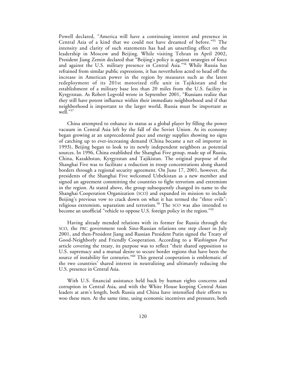Powell declared, "America will have a continuing interest and presence in Central Asia of a kind that we could not have dreamed of before."55 The intensity and clarity of such statements has had an unsettling effect on the leadership in Moscow and Beijing. While visiting Tehran in April 2002, President Jiang Zemin declared that "Beijing's policy is against strategies of force and against the U.S. military presence in Central Asia."<sup>56</sup> While Russia has refrained from similar public expressions, it has nevertheless acted to head off the increase in American power in the region by measures such as the latest redeployment of its 201st motorized rifle unit in Tajikistan and the establishment of a military base less than 20 miles from the U.S. facility in Kyrgyzstan. As Robert Legvold wrote in September 2001, "Russians realize that they still have potent influence within their immediate neighborhood and if that neighborhood is important to the larger world, Russia must be important as well."<sup>57</sup>

China attempted to enhance its status as a global player by filling the power vacuum in Central Asia left by the fall of the Soviet Union. As its economy began growing at an unprecedented pace and energy supplies showing no signs of catching up to ever-increasing demand (China became a net oil importer in 1993), Beijing began to look to its newly independent neighbors as potential sources. In 1996, China established the Shanghai Five group, made up of Russia, China, Kazakhstan, Kyrgyzstan and Tajikistan. The original purpose of the Shanghai Five was to facilitate a reduction in troop concentrations along shared borders through a regional security agreement. On June 17, 2001, however, the presidents of the Shanghai Five welcomed Uzbekistan as a new member and signed an agreement committing the countries to fight terrorism and extremism in the region. As stated above, the group subsequently changed its name to the Shanghai Cooperation Organization (SCO) and expanded its mission to include Beijing's previous vow to crack down on what it has termed the "three evils": religious extremism, separatism and terrorism.<sup>58</sup> The SCO was also intended to become an unofficial "vehicle to oppose U.S. foreign policy in the region."<sup>59</sup>

Having already mended relations with its former foe Russia through the SCO, the PRC government took Sino-Russian relations one step closer in July 2001, and then-President Jiang and Russian President Putin signed the Treaty of Good-Neighborly and Friendly Cooperation. According to a *Washington Post* article covering the treaty, its purpose was to reflect "their shared opposition to U.S. supremacy and a mutual desire to secure border regions that have been the source of instability for centuries."<sup>60</sup> This general cooperation is emblematic of the two countries' shared interest in neutralizing and ultimately reducing the U.S. presence in Central Asia.

With U.S. financial assistance held back by human rights concerns and corruption in Central Asia, and with the White House keeping Central Asian leaders at arm's length, both Russia and China have intensified their efforts to woo these men. At the same time, using economic incentives and pressures, both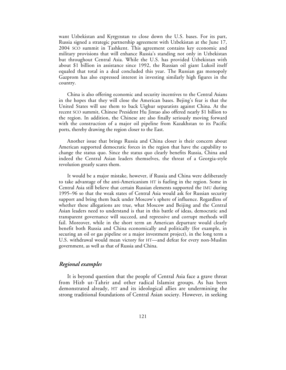want Uzbekistan and Kyrgyzstan to close down the U.S. bases. For its part, Russia signed a strategic partnership agreement with Uzbekistan at the June 17, 2004 SCO summit in Tashkent. This agreement contains key economic and military provisions that will enhance Russia's standing not only in Uzbekistan but throughout Central Asia. While the U.S. has provided Uzbekistan with about \$1 billion in assistance since 1992, the Russian oil giant Lukoil itself equaled that total in a deal concluded this year. The Russian gas monopoly Gazprom has also expressed interest in investing similarly high figures in the country.

China is also offering economic and security incentives to the Central Asians in the hopes that they will close the American bases. Bejing's fear is that the United States will use them to back Uighur separatists against China. At the recent SCO summit, Chinese President Hu Jintao also offered nearly \$1 billion to the region. In addition, the Chinese are also finally seriously moving forward with the construction of a major oil pipeline from Kazakhstan to its Pacific ports, thereby drawing the region closer to the East.

Another issue that brings Russia and China closer is their concern about American supported democratic forces in the region that have the capability to change the status quo. Since the status quo clearly benefits Russia, China and indeed the Central Asian leaders themselves, the threat of a Georgia-style revolution greatly scares them.

It would be a major mistake, however, if Russia and China were deliberately to take advantage of the anti-Americanism HT is fueling in the region. Some in Central Asia still believe that certain Russian elements supported the IMU during 1995–96 so that the weak states of Central Asia would ask for Russian security support and bring them back under Moscow's sphere of influence. Regardless of whether these allegations are true, what Moscow and Beijing and the Central Asian leaders need to understand is that in this battle of ideas, democratic and transparent governance will succeed, and repressive and corrupt methods will fail. Moreover, while in the short term an American departure would clearly benefit both Russia and China economically and politically (for example, in securing an oil or gas pipeline or a major investment project), in the long term a U.S. withdrawal would mean victory for HT—and defeat for every non-Muslim government, as well as that of Russia and China.

## *Regional examples*

It is beyond question that the people of Central Asia face a grave threat from Hizb ut-Tahrir and other radical Islamist groups. As has been demonstrated already, HT and its ideological allies are undermining the strong traditional foundations of Central Asian society. However, in seeking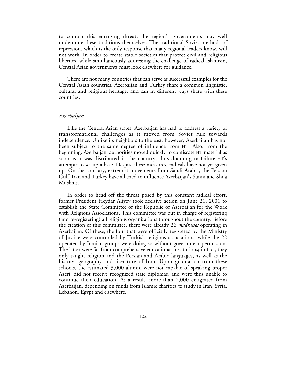to combat this emerging threat, the region's governments may well undermine these traditions themselves. The traditional Soviet methods of repression, which is the only response that many regional leaders know, will not work. In order to create stable societies that protect civil and religious liberties, while simultaneously addressing the challenge of radical Islamism, Central Asian governments must look elsewhere for guidance.

There are not many countries that can serve as successful examples for the Central Asian countries. Azerbaijan and Turkey share a common linguistic, cultural and religious heritage, and can in different ways share with these countries.

### *Azerbaijan*

Like the Central Asian states, Azerbaijan has had to address a variety of transformational challenges as it moved from Soviet rule towards independence. Unlike its neighbors to the east, however, Azerbaijan has not been subject to the same degree of influence from HT. Also, from the beginning, Azerbaijani authorities moved quickly to confiscate HT material as soon as it was distributed in the country, thus dooming to failure HT's attempts to set up a base. Despite these measures, radicals have not yet given up. On the contrary, extremist movements from Saudi Arabia, the Persian Gulf, Iran and Turkey have all tried to influence Azerbaijan's Sunni and Shi'a Muslims.

In order to head off the threat posed by this constant radical effort, former President Heydar Aliyev took decisive action on June 21, 2001 to establish the State Committee of the Republic of Azerbaijan for the Work with Religious Associations. This committee was put in charge of registering (and re-registering) all religious organizations throughout the country. Before the creation of this committee, there were already 26 *madrassas* operating in Azerbaijan. Of these, the four that were officially registered by the Ministry of Justice were controlled by Turkish religious associations, while the 22 operated by Iranian groups were doing so without government permission. The latter were far from comprehensive educational institutions; in fact, they only taught religion and the Persian and Arabic languages, as well as the history, geography and literature of Iran. Upon graduation from these schools, the estimated 3,000 alumni were not capable of speaking proper Azeri, did not receive recognized state diplomas, and were thus unable to continue their education. As a result, more than 2,000 emigrated from Azerbaijan, depending on funds from Islamic charities to study in Iran, Syria, Lebanon, Egypt and elsewhere.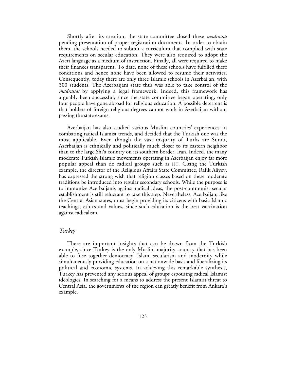Shortly after its creation, the state committee closed these *madrassas* pending presentation of proper registration documents. In order to obtain them, the schools needed to submit a curriculum that complied with state requirements on secular education. They were also required to adopt the Azeri language as a medium of instruction. Finally, all were required to make their finances transparent. To date, none of these schools have fulfilled these conditions and hence none have been allowed to resume their activities. Consequently, today there are only three Islamic schools in Azerbaijan, with 300 students. The Azerbaijani state thus was able to take control of the *madrassas* by applying a legal framework. Indeed, this framework has arguably been successful; since the state committee began operating, only four people have gone abroad for religious education. A possible deterrent is that holders of foreign religious degrees cannot work in Azerbaijan without passing the state exams.

Azerbaijan has also studied various Muslim countries' experiences in combating radical Islamist trends, and decided that the Turkish one was the most applicable. Even though the vast majority of Turks are Sunni, Azerbaijan is ethnically and politically much closer to its eastern neighbor than to the large Shi'a country on its southern border, Iran. Indeed, the many moderate Turkish Islamic movements operating in Azerbaijan enjoy far more popular appeal than do radical groups such as HT. Citing the Turkish example, the director of the Religious Affairs State Committee, Rafik Aliyev, has expressed the strong wish that religion classes based on these moderate traditions be introduced into regular secondary schools. While the purpose is to immunize Azerbaijanis against radical ideas, the post-communist secular establishment is still reluctant to take this step. Nevertheless, Azerbaijan, like the Central Asian states, must begin providing its citizens with basic Islamic teachings, ethics and values, since such education is the best vaccination against radicalism.

## *Turkey*

There are important insights that can be drawn from the Turkish example, since Turkey is the only Muslim-majority country that has been able to fuse together democracy, Islam, secularism and modernity while simultaneously providing education on a nationwide basis and liberalizing its political and economic systems. In achieving this remarkable synthesis, Turkey has prevented any serious appeal of groups espousing radical Islamist ideologies. In searching for a means to address the present Islamist threat to Central Asia, the governments of the region can greatly benefit from Ankara's example.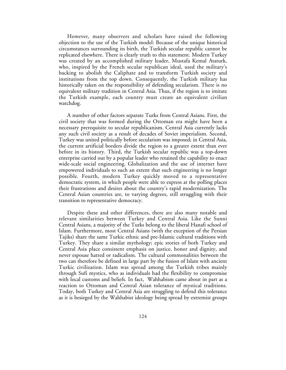However, many observers and scholars have raised the following objection to the use of the Turkish model: Because of the unique historical circumstances surrounding its birth, the Turkish secular republic cannot be replicated elsewhere. There is clearly truth to this statement. Modern Turkey was created by an accomplished military leader, Mustafa Kemal Ataturk, who, inspired by the French secular republican ideal, used the military's backing to abolish the Caliphate and to transform Turkish society and institutions from the top down. Consequently, the Turkish military has historically taken on the responsibility of defending secularism. There is no equivalent military tradition in Central Asia. Thus, if the region is to imitate the Turkish example, each country must create an equivalent civilian watchdog.

A number of other factors separate Turks from Central Asians. First, the civil society that was formed during the Ottoman era might have been a necessary prerequisite to secular republicanism. Central Asia currently lacks any such civil society as a result of decades of Soviet imperialism. Second, Turkey was united politically before secularism was imposed; in Central Asia, the current artificial borders divide the region to a greater extent than ever before in its history. Third, the Turkish secular republic was a top-down enterprise carried out by a popular leader who retained the capability to enact wide-scale social engineering. Globalization and the use of internet have empowered individuals to such an extent that such engineering is no longer possible. Fourth, modern Turkey quickly moved to a representative democratic system, in which people were able to express at the polling places their frustrations and desires about the country's rapid modernization. The Central Asian countries are, to varying degrees, still struggling with their transition to representative democracy.

Despite these and other differences, there are also many notable and relevant similarities between Turkey and Central Asia. Like the Sunni Central Asians, a majority of the Turks belong to the liberal Hanafi school of Islam. Furthermore, most Central Asians (with the exception of the Persian Tajiks) share the same Turkic ethnic and pre-Islamic cultural traditions with Turkey. They share a similar mythology; epic stories of both Turkey and Central Asia place consistent emphasis on justice, honor and dignity, and never espouse hatred or radicalism. The cultural commonalities between the two can therefore be defined in large part by the fusion of Islam with ancient Turkic civilization. Islam was spread among the Turkish tribes mainly through Sufi mystics, who as individuals had the flexibility to compromise with local customs and beliefs. In fact, Wahhabism came about in part as a reaction to Ottoman and Central Asian tolerance of mystical traditions. Today, both Turkey and Central Asia are struggling to defend this tolerance as it is besieged by the Wahhabist ideology being spread by extremist groups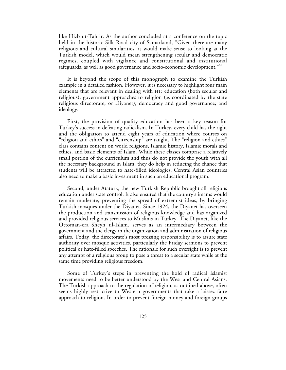like Hizb ut-Tahrir. As the author concluded at a conference on the topic held in the historic Silk Road city of Samarkand, "Given there are many religious and cultural similarities, it would make sense to looking at the Turkish model, which would mean strengthening secular and democratic regimes, coupled with vigilance and constitutional and institutional safeguards, as well as good governance and socio-economic development."61

It is beyond the scope of this monograph to examine the Turkish example in a detailed fashion. However, it is necessary to highlight four main elements that are relevant in dealing with HT: education (both secular and religious); government approaches to religion (as coordinated by the state religious directorate, or Diyanet); democracy and good governance; and ideology.

First, the provision of quality education has been a key reason for Turkey's success in defeating radicalism. In Turkey, every child has the right and the obligation to attend eight years of education where courses on "religion and ethics" and "citizenship" are taught. The "religion and ethics" class contains content on world religions, Islamic history, Islamic morals and ethics, and basic elements of Islam. While these classes comprise a relatively small portion of the curriculum and thus do not provide the youth with all the necessary background in Islam, they do help in reducing the chance that students will be attracted to hate-filled ideologies. Central Asian countries also need to make a basic investment in such an educational program.

Second, under Ataturk, the new Turkish Republic brought all religious education under state control. It also ensured that the country's imams would remain moderate, preventing the spread of extremist ideas, by bringing Turkish mosques under the Diyanet. Since 1924, the Diyanet has overseen the production and transmission of religious knowledge and has organized and provided religious services to Muslims in Turkey. The Diyanet, like the Ottoman-era Sheyh ul-Islam, serves as an intermediary between the government and the clergy in the organization and administration of religious affairs. Today, the directorate's most pressing responsibility is to assure state authority over mosque activities, particularly the Friday sermons to prevent political or hate-filled speeches. The rationale for such oversight is to prevent any attempt of a religious group to pose a threat to a secular state while at the same time providing religious freedom.

Some of Turkey's steps in preventing the hold of radical Islamist movements need to be better understood by the West and Central Asians. The Turkish approach to the regulation of religion, as outlined above, often seems highly restrictive to Western governments that take a laissez faire approach to religion. In order to prevent foreign money and foreign groups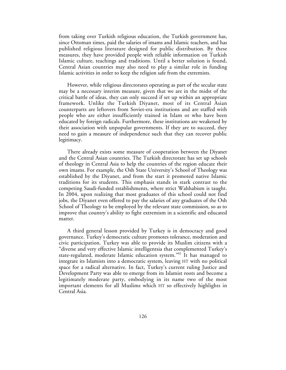from taking over Turkish religious education, the Turkish government has, since Ottoman times, paid the salaries of imams and Islamic teachers, and has published religious literature designed for public distribution. By these measures, they have provided people with reliable information on Turkish Islamic culture, teachings and traditions. Until a better solution is found, Central Asian countries may also need to play a similar role in funding Islamic activities in order to keep the religion safe from the extremists.

However, while religious directorates operating as part of the secular state may be a necessary interim measure, given that we are in the midst of the critical battle of ideas, they can only succeed if set up within an appropriate framework. Unlike the Turkish Diyanet, most of its Central Asian counterparts are leftovers from Soviet-era institutions and are staffed with people who are either insufficiently trained in Islam or who have been educated by foreign radicals. Furthermore, these institutions are weakened by their association with unpopular governments. If they are to succeed, they need to gain a measure of independence such that they can recover public legitimacy.

There already exists some measure of cooperation between the Diyanet and the Central Asian countries. The Turkish directorate has set up schools of theology in Central Asia to help the countries of the region educate their own imams. For example, the Osh State University's School of Theology was established by the Diyanet, and from the start it promoted native Islamic traditions for its students. This emphasis stands in stark contrast to the competing Saudi-funded establishments, where strict Wahhabism is taught. In 2004, upon realizing that most graduates of this school could not find jobs, the Diyanet even offered to pay the salaries of any graduates of the Osh School of Theology to be employed by the relevant state commission, so as to improve that country's ability to fight extremism in a scientific and educated matter.

A third general lesson provided by Turkey is in democracy and good governance. Turkey's democratic culture promotes tolerance, moderation and civic participation. Turkey was able to provide its Muslim citizens with a "diverse and very effective Islamic intelligentsia that complemented Turkey's state-regulated, moderate Islamic education system."62 It has managed to integrate its Islamists into a democratic system, leaving HT with no political space for a radical alternative. In fact, Turkey's current ruling Justice and Development Party was able to emerge from its Islamist roots and become a legitimately moderate party, embodying in its name two of the most important elements for all Muslims which HT so effectively highlights in Central Asia.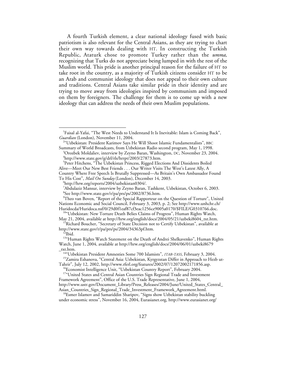A fourth Turkish element, a clear national ideology fused with basic patriotism is also relevant for the Central Asians, as they are trying to chart their own way towards dealing with HT. In constructing the Turkish Republic, Ataturk chose to promote Turkey rather than the *umma*, recognizing that Turks do not appreciate being lumped in with the rest of the Muslim world. This pride is another principal reason for the failure of HT to take root in the country, as a majority of Turkish citizens consider HT to be an Arab and communist ideology that does not appeal to their own culture and traditions. Central Asians take similar pride in their identity and are trying to move away from ideologies inspired by communism and imposed on them by foreigners. The challenge for them is to come up with a new ideology that can address the needs of their own Muslim populations.

1 Faisal al-Yafai, "The West Needs to Understand It Is Inevitable: Islam is Coming Back", *Guardian* (London), November 11, 2004.

<sup>&</sup>lt;sup>2</sup>"Uzbekistan: President Karimov Says He Will Shoot Islamic Fundamentalists", BBC Summary of World Broadcasts, from Uzbekistan Radio second program, May 1, 1998. <sup>3</sup>

 $\rm ^3O$ rozbek Moldaliev, interview by Zeyno Baran, Washington, DC, November 23, 2004. http://www.state.gov/g/drl/rls/hrrpt/2003/27873.htm.

<sup>&</sup>lt;sup>5</sup>Peter Hitchens, "The Uzbekistan Princess, Rigged Elections And Dissidents Boiled Alive—Meet Our New Best Friends . . . Our Writer Visits The West's Latest Ally, A Country Where Free Speech Is Brutally Suppressed—As Britain's Own Ambassador Found To His Cost", *Mail On Sunday* (London), December 14, 2003. <sup>6</sup>

http://hrw.org/reports/2004/uzbekistan0304/.

 $^7$ Abdulaziz Mansur, interview by Zeyno Baran, Tashkent, Uzbekistan, October 6, 2003. 8 See http://www.state.gov/r/pa/prs/ps/2002/8736.htm.

<sup>9</sup> Theo van Boven, "Report of the Special Rapporteur on the Question of Torture", United Nations Economic and Social Council, February 3, 2003, p. 2; See http://www.unhchr.ch/

 $^{104}$ Uzbekistan: New Torture Death Belies Claims of Progress", Human Rights Watch, May 21, 2004, available at http://hrw.org/english/docs/2004/05/21/uzbeki8604\_txt.htm.

<sup>&</sup>lt;sup>11</sup>Richard Boucher, "Secretary of State Decision not to Certify Uzbekistan", available at http://www.state.gov/r/pa/prs/ps/2004/34363pf.htm.

tate.<br><sup>12</sup>Ibid.<br><sup>13</sup>"Human Rights Watch Statement on the Death of Andrei Shelkavenko", Human Rights Watch, June 1, 2004, available at http://hrw.org/english/docs/2004/06/01/uzbeki8679

<sup>&</sup>lt;sup>14"</sup>Uzbekistan President Amnesties Some 700 Islamists", *ITAR-TASS*, February 3, 2004.<br><sup>15</sup>Zamira Eshanova, "Central Asia: Uzbekistan, Kyrgyzstan Differ in Approach to Hezb ut-<br>Tahrir", July 12, 2002, http://www.rferl.org

 $^{16}$ Economist Intelligence Unit, "Uzbekistan Country Report", February 2004.

<sup>&</sup>lt;sup>17"</sup>United States and Central Asian Countries Sign Regional Trade and Investment

Framework Agreement", Office of the U.S. Trade Representative, June 1, 2004, http://www.ustr.gov/Document\_Library/Press\_Releases/2004/June/United\_States\_Central\_

<sup>&</sup>lt;sup>18</sup>Esmer Islamov and Samariddin Sharipov, "Signs show Uzbekistan stability buckling under economic stress", November 16, 2004, Eurasianet.org, http://www.eurasianet.org/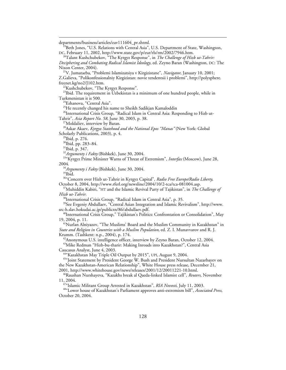departments/business/articles/eav111604\_pr.shtml.<br><sup>19</sup>Beth Jones, "U.S. Relations with Central Asia", U.S. Department of State, Washington, DC, February 11, 2002, http://www.state.gov/p/eur/rls/rm/2002/7946.htm. <sup>20</sup>Talant Kushchubekov, "The Kyrgyz Response", in *The Challenge of Hizb ut-Tahrir: Deciphering and Combating Radical Islamist Ideology*, ed. Zeyno Baran (Washington, DC: The <sup>21</sup>V. Jumataeba, "Problemi Islamizatsiya v Kirgizistane", *Navigator*, January 10, 2001; Z.Galieva, "Polikonfessionalniy Kirgizistan: novie tendentsii i problemi", http://polysphere. <sup>22</sup>Kushchubekov, "The Kyrgyz Response". <sup>23</sup>Ibid. The requirement in Uzbekistan is a minimum of one hundred people, while in Turkmenistan it is 500. 24Eshanova, "Central Asia". <sup>25</sup>He recently changed his name to Sheikh Sadikjan Kamaloddin <sup>26</sup>International Crisis Group, "Radical Islam in Central Asia: Responding to Hizb ut-Tahrir", *Asia Report No. 58,* June 30, 2003, p. 38. 27Moldaliev, interview by Baran. 28Askar Akaev, *Kyrgyz Statehood and the National Epos "Manas"* (New York: Global Scholarly Publications, 2003), p. 4.<br><sup>29</sup>Ibid, p. 276.<br><sup>30</sup>Ibid, pp. 283–84.<br><sup>31</sup>Ibid, p. 347.<br><sup>32</sup>*Argumenty i Fakty* (Bishkek), June 30, 2004.<br><sup>33</sup><sup>&</sup>Kyrgyz Prime Minister Warns of Threat of Extremism", *Interfax* (Mosco 2004. <sup>34</sup>Argumenty i Fakty (Bishkek), June 30, 2004.<br><sup>35</sup>Ibid. <sup>36</sup>"Concern over Hizb ut-Tahrir in Kyrgyz Capital", *Radio Free Europe/Radio Liberty*, October 8, 2004, http://www.rferl.org/newsline/2004/10/2-tca/tca-081004.asp. <sup>37</sup> Muhiddin Kabiri, "HT and the Islamic Revival Party of Tajikistan", in *The Challenge of Hizb ut-Tahrir.*<br><sup>38</sup>International Crisis Group, "Radical Islam in Central Asia", p. 35. <sup>39</sup>See Evgeniy Abdullaev, "Central Asian Integration and Islamic Revivalism", http://www. src-h.slav.hokudai.ac.jp/publictn/86/abdullaev.pdf.<br><sup>40</sup>International Crisis Group," Tajikistan's Politics: Confrontation or Consolidation", May 19, 2004, p. 11. 41Nurlan Alniyazov, "The Muslims' Board and the Muslim Community in Kazakhstan" in *State and Religion in Countries with a Muslim Population,* ed. Z. I. Munavvarov and R. J.  $A<sup>42</sup>$ Anonymous U.S. intelligence officer, interview by Zeyno Baran, October 12, 2004. <sup>43</sup>Mike Redman "Hizb-bu-tharir: Making Inroads into Kazakhstan?", Central Asia Caucasus Analyst, June 4, 2003.<br><sup>44</sup>"Kazakhstan May Triple Oil Output by 2015", UPI, August 9, 2004.<br><sup>45</sup>"Joint Statement by President George W. Bush and President Nursultan Nazarbayev on the New Kazakhstan-American Relationship", White House press release, December 21, 2001, http://www.whitehouse.gov/news/releases/2001/12/20011221-10.html. <sup>46</sup>Raushan Nurshayeva, "Kazakhs break al Qaeda-linked Islamist cell", *Reuters*, November 11, 2004.<br><sup>47</sup>"Islamic Militant Group Arrested in Kazakhstan", *RIA Novosti*, July 11, 2003. 47"Islamic Militant Group Arrested in Kazakhstan", *RIA Novosti*, July 11, 2003. 48"Lower house of Kazakhstan's Parliament approves anti-extremism bill", *Associated Press,* October 20, 2004.

 $\overline{a}$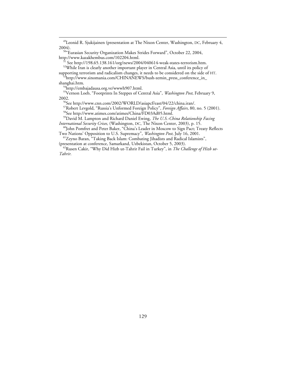<sup>49</sup>Leonid R. Sjukijainen (presentation at The Nixon Center, Washington, DC, February 4, 2004).

<sup>50</sup>"Eurasian Security Organization Makes Strides Forward", October 22, 2004, http://www.kazakhembus.com/102204.html. 51 See http://198.65.138.161/org/news/2004/040614-weak-states-terrorism.htm.

52While Iran is clearly another important player in Central Asia, until its policy of

supporting terrorism and radicalism changes, it needs to be considered on the side of HT.<br><sup>53</sup>http://www.sinomania.com/CHINANEWS/bush-zemin\_press\_conference\_in\_

shanghai.htm. 54http://embajadausa.org.ve/wwwh907.html.

55Vernon Loeb, "Footprints In Steppes of Central Asia", *Washington Post*, February 9, 2002.

56See http://www.cnn.com/2002/WORLD/asiapcf/east/04/22/china.iran/.

<sup>57</sup>Robert Levgold, "Russia's Unformed Foreign Policy", *Foreign Affairs*, 80, no. 5 (2001).<br><sup>58</sup>See http://www.atimes.com/atimes/China/FD03Ad05.html.

<sup>59</sup>David M. Lampton and Richard Daniel Ewing, *The U.S.-China Relationship Facing International Security Crises*, (Washington, DC, The Nixon Center, 2003), p. 15.

<sup>60</sup>John Pomfret and Peter Baker, "China's Leader in Moscow to Sign Pact; Treaty Reflects Two Nations' Opposition to U.S. Supremacy", *Washington Post*, July 16, 2001.

<sup>61</sup>Zeyno Baran, "Taking Back Islam: Combating Jihadists and Radical Islamists",

(presentation at conference, Samarkand, Uzbekistan, October 5, 2003).<br><sup>62</sup>Rusen Cakir, "Why Did Hizb ut-Tahrir Fail in Turkey", in *The Challenge of Hizb ut-Tahrir.*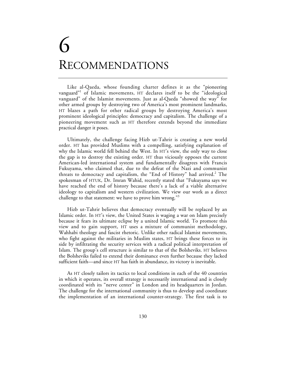# 6 RECOMMENDATIONS

Like al-Qaeda, whose founding charter defines it as the "pioneering vanguard"<sup>1</sup> of Islamic movements, HT declares itself to be the "ideological vanguard" of the Islamist movements. Just as al-Qaeda "showed the way" for other armed groups by destroying two of America's most prominent landmarks, HT blazes a path for other radical groups by destroying America's most prominent ideological principles: democracy and capitalism. The challenge of a pioneering movement such as HT therefore extends beyond the immediate practical danger it poses.

Ultimately, the challenge facing Hizb ut-Tahrir is creating a new world order. HT has provided Muslims with a compelling, satisfying explanation of why the Islamic world fell behind the West. In HT's view, the only way to close the gap is to destroy the existing order. HT thus viciously opposes the current American-led international system and fundamentally disagrees with Francis Fukuyama, who claimed that, due to the defeat of the Nazi and communist threats to democracy and capitalism, the "End of History" had arrived.<sup>2</sup> The spokesman of HTUK, Dr. Imran Wahid, recently stated that "Fukuyama says we have reached the end of history because there's a lack of a viable alternative ideology to capitalism and western civilization. We view our work as a direct challenge to that statement: we have to prove him wrong."<sup>3</sup>

Hizb ut-Tahrir believes that democracy eventually will be replaced by an Islamic order. In HT's view, the United States is waging a war on Islam precisely because it fears its ultimate eclipse by a united Islamic world. To promote this view and to gain support, HT uses a mixture of communist methodology, Wahhabi theology and fascist rhetoric. Unlike other radical Islamist movements, who fight against the militaries in Muslim states, HT brings these forces to its side by infiltrating the security services with a radical political interpretation of Islam. The group's cell structure is similar to that of the Bolsheviks. HT believes the Bolsheviks failed to extend their dominance even further because they lacked sufficient faith—and since HT has faith in abundance, its victory is inevitable.

As HT closely tailors its tactics to local conditions in each of the 40 countries in which it operates, its overall strategy is necessarily international and is closely coordinated with its "nerve center" in London and its headquarters in Jordan. The challenge for the international community is thus to develop and coordinate the implementation of an international counter-strategy. The first task is to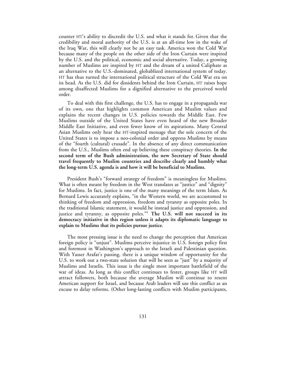counter HT's ability to discredit the U.S. and what it stands for. Given that the credibility and moral authority of the U.S. is at an all-time low in the wake of the Iraq War, this will clearly not be an easy task. America won the Cold War because many of the people on the other side of the Iron Curtain were inspired by the U.S. and the political, economic and social alternative. Today, a growing number of Muslims are inspired by HT and the dream of a united Caliphate as an alternative to the U.S.-dominated, globablized international system of today. HT has thus turned the international political structure of the Cold War era on its head. As the U.S. did for dissidents behind the Iron Curtain, HT raises hope among disaffected Muslims for a dignified alternative to the perceived world order.

To deal with this first challenge, the U.S. has to engage in a propaganda war of its own, one that highlights common American and Muslim values and explains the recent changes in U.S. policies towards the Middle East. Few Muslims outside of the United States have even heard of the new Broader Middle East Initiative, and even fewer know of its aspirations. Many Central Asian Muslims only hear the HT-inspired message that the sole concern of the United States is to impose a neo-colonial order and oppress Muslims by means of the "fourth (cultural) crusade". In the absence of any direct communication from the U.S., Muslims often end up believing these conspiracy theories. **In the second term of the Bush administration, the new Secretary of State should travel frequently to Muslim countries and describe clearly and humbly what the long-term U.S. agenda is and how it will be beneficial to Muslims.**

President Bush's "forward strategy of freedom" is meaningless for Muslims. What is often meant by freedom in the West translates as "justice" and "dignity" for Muslims. In fact, justice is one of the many meanings of the term Islam. As Bernard Lewis accurately explains, "in the Western world, we are accustomed to thinking of freedom and oppression, freedom and tyranny as opposite poles. In the traditional Islamic statement, it would be instead justice and oppression, and justice and tyranny, as opposite poles."4 **The U.S. will not succeed in its democracy initiative in this region unless it adapts its diplomatic language to explain to Muslims that its policies pursue justice.**

The most pressing issue is the need to change the perception that American foreign policy is "unjust". Muslims perceive injustice in U.S. foreign policy first and foremost in Washington's approach to the Israeli and Palestinian question. With Yasser Arafat's passing, there is a unique window of opportunity for the U.S. to work out a two-state solution that will be seen as "just" by a majority of Muslims and Israelis. This issue is the single most important battlefield of the war of ideas. As long as this conflict continues to fester, groups like HT will attract followers, both because the average Muslim will continue to resent American support for Israel, and because Arab leaders will use this conflict as an excuse to delay reforms. (Other long-lasting conflicts with Muslim participants,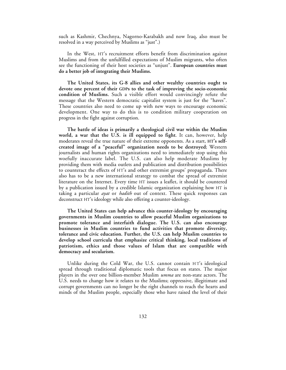such as Kashmir, Chechnya, Nagorno-Karabakh and now Iraq, also must be resolved in a way perceived by Muslims as "just".)

In the West, HT's recruitment efforts benefit from discrimination against Muslims and from the unfulfilled expectations of Muslim migrants, who often see the functioning of their host societies as "unjust". **European countries must do a better job of integrating their Muslims.**

**The United States, its G-8 allies and other wealthy countries ought to devote one percent of their GDPs to the task of improving the socio-economic condition of Muslims.** Such a visible effort would convincingly refute the message that the Western democratic capitalist system is just for the "haves". These countries also need to come up with new ways to encourage economic development. One way to do this is to condition military cooperation on progress in the fight against corruption.

**The battle of ideas is primarily a theological civil war within the Muslim world, a war that the U.S. is ill equipped to fight**. It can, however, help moderates reveal the true nature of their extreme opponents. As a start, **HT's selfcreated image of a "peaceful" organization needs to be destroyed**; Western journalists and human rights organizations need to immediately stop using this woefully inaccurate label. The U.S. can also help moderate Muslims by providing them with media outlets and publication and distribution possibilities to counteract the effects of HT's and other extremist groups' propaganda. There also has to be a new international strategy to combat the spread of extremist literature on the Internet. Every time HT issues a leaflet, it should be countered by a publication issued by a credible Islamic organization explaining how HT is taking a particular *ayat* or *hadith* out of context. These quick responses can deconstruct HT's ideology while also offering a counter-ideology.

**The United States can help advance this counter-ideology by encouraging governments in Muslim countries to allow peaceful Muslim organizations to promote tolerance and interfaith dialogue. The U.S. can also encourage businesses in Muslim countries to fund activities that promote diversity, tolerance and civic education. Further, the U.S. can help Muslim countries to develop school curricula that emphasize critical thinking, local traditions of patriotism, ethics and those values of Islam that are compatible with democracy and secularism.**

Unlike during the Cold War, the U.S. cannot contain HT's ideological spread through traditional diplomatic tools that focus on states. The major players in the over one billion-member Muslim *umma* are non-state actors. The U.S. needs to change how it relates to the Muslims; oppressive, illegitimate and corrupt governments can no longer be the right channels to reach the hearts and minds of the Muslim people, especially those who have raised the level of their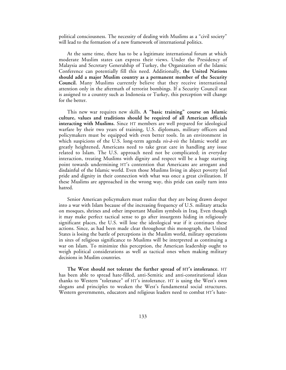political consciousness. The necessity of dealing with Muslims as a "civil society" will lead to the formation of a new framework of international politics.

At the same time, there has to be a legitimate international forum at which moderate Muslim states can express their views. Under the Presidency of Malaysia and Secretary Generalship of Turkey, the Organization of the Islamic Conference can potentially fill this need. Additionally, **the United Nations should add a major Muslim country as a permanent member of the Security Council.** Many Muslims currently believe that they receive international attention only in the aftermath of terrorist bombings. If a Security Council seat is assigned to a country such as Indonesia or Turkey, this perception will change for the better.

This new war requires new skills. **A "basic training" course on Islamic culture, values and traditions should be required of all American officials interacting with Muslims.** Since HT members are well prepared for ideological warfare by their two years of training, U.S. diplomats, military officers and policymakers must be equipped with even better tools. In an environment in which suspicions of the U.S. long-term agenda *vis-à-vis* the Islamic world are greatly heightened, Americans need to take great care in handling any issue related to Islam. The U.S. approach need not be complicated; in everyday interaction, treating Muslims with dignity and respect will be a huge starting point towards undermining HT's contention that Americans are arrogant and disdainful of the Islamic world. Even those Muslims living in abject poverty feel pride and dignity in their connection with what was once a great civilization. If these Muslims are approached in the wrong way, this pride can easily turn into hatred.

Senior American policymakers must realize that they are being drawn deeper into a war with Islam because of the increasing frequency of U.S. military attacks on mosques, shrines and other important Muslim symbols in Iraq. Even though it may make perfect tactical sense to go after insurgents hiding in religiously significant places, the U.S. will lose the ideological war if it continues these actions. Since, as had been made clear throughout this monograph, the United States is losing the battle of perceptions in the Muslim world, military operations in sites of religious significance to Muslims will be interpreted as continuing a war on Islam. To minimize this perception, the American leadership ought to weigh political considerations as well as tactical ones when making military decisions in Muslim countries.

**The West should not tolerate the further spread of HT's intolerance.** HT has been able to spread hate-filled, anti-Semitic and anti-constitutional ideas thanks to Western "tolerance" of HT's intolerance. HT is using the West's own slogans and principles to weaken the West's fundamental social structures. Western governments, educators and religious leaders need to combat HT's hate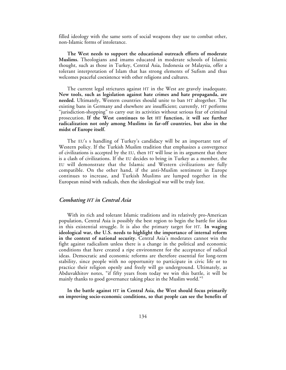filled ideology with the same sorts of social weapons they use to combat other, non-Islamic forms of intolerance.

**The West needs to support the educational outreach efforts of moderate Muslims.** Theologians and imams educated in moderate schools of Islamic thought, such as those in Turkey, Central Asia, Indonesia or Malaysia, offer a tolerant interpretation of Islam that has strong elements of Sufism and thus welcomes peaceful coexistence with other religions and cultures.

The current legal strictures against HT in the West are gravely inadequate. **New tools, such as legislation against hate crimes and hate propaganda, are needed.** Ultimately, Western countries should unite to ban HT altogether. The existing bans in Germany and elsewhere are insufficient; currently, HT performs "jurisdiction-shopping" to carry out its activities without serious fear of criminal prosecution. **If the West continues to let HT function, it will see further radicalization not only among Muslims in far-off countries, but also in the midst of Europe itself.**

The EU's s handling of Turkey's candidacy will be an important test of Western policy. If the Turkish Muslim tradition that emphasizes a convergence of civilizations is accepted by the EU, then HT will lose in its argument that there is a clash of civilizations. If the EU decides to bring in Turkey as a member, the EU will demonstrate that the Islamic and Western civilizations are fully compatible. On the other hand, if the anti-Muslim sentiment in Europe continues to increase, and Turkish Muslims are lumped together in the European mind with radicals, then the ideological war will be truly lost.

## *Combating HT in Central Asia*

With its rich and tolerant Islamic traditions and its relatively pro-American population, Central Asia is possibly the best region to begin the battle for ideas in this existential struggle. It is also the primary target for HT. **In waging ideological war, the U.S. needs to highlight the importance of internal reform in the context of national security.** Central Asia's moderates cannot win the fight against radicalism unless there is a change in the political and economic conditions that have created a ripe environment for the acceptance of radical ideas. Democratic and economic reforms are therefore essential for long-term stability, since people with no opportunity to participate in civic life or to practice their religion openly and freely will go underground. Ultimately, as Abduvakhitov notes, "if fifty years from today we win this battle, it will be mainly thanks to good governance taking place in the Muslim world."5

**In the battle against HT in Central Asia, the West should focus primarily on improving socio-economic conditions, so that people can see the benefits of**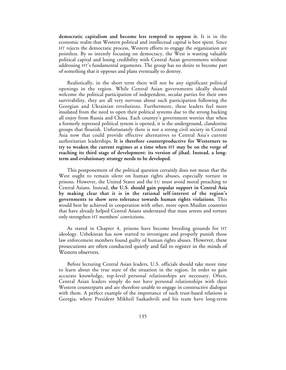**democratic capitalism and become less tempted to oppose it.** It is in the economic realm that Western political and intellectual capital is best spent. Since HT rejects the democratic process, Western efforts to engage the organization are pointless. By so intently focusing on democracy, the West is wasting valuable political capital and losing credibility with Central Asian governments without addressing HT's fundamental arguments. The group has no desire to become part of something that it opposes and plans eventually to destroy.

Realistically, in the short term there will not be any significant political openings in the region. While Central Asian governments ideally should welcome the political participation of independent, secular parties for their own survivability, they are all very nervous about such participation following the Georgian and Ukrainian revolutions. Furthermore, these leaders feel more insulated from the need to open their political systems due to the strong backing all enjoy from Russia and China. Each country's government worries that when a formerly repressed political system is opened, it is the underground, clandestine groups that flourish. Unfortunately there is not a strong civil society in Central Asia now that could provide effective alternatives to Central Asia's current authoritarian leaderships. **It is therefore counterproductive for Westerners to try to weaken the current regimes at a time when HT may be on the verge of reaching its third stage of development: its version of jihad. Instead, a longterm and evolutionary strategy needs to be developed.**

This postponement of the political question certainly does not mean that the West ought to remain silent on human rights abuses, especially torture in prisons. However, the United States and the EU must avoid moral preaching to Central Asians. Instead, **the U.S. should gain popular support in Central Asia by making clear that it is in the rational self-interest of the region's governments to show zero tolerance towards human rights violations.** This would best be achieved in cooperation with other, more open Muslim countries that have already helped Central Asians understand that mass arrests and torture only strengthen HT members' convictions.

As stated in Chapter 4, prisons have become breeding grounds for HT ideology. Uzbekistan has now started to investigate and properly punish those law enforcement members found guilty of human rights abuses. However, these prosecutions are often conducted quietly and fail to register in the minds of Western observers.

Before lecturing Central Asian leaders, U.S. officials should take more time to learn about the true state of the situation in the region. In order to gain accurate knowledge, top-level personal relationships are necessary. Often, Central Asian leaders simply do not have personal relationships with their Western counterparts and are therefore unable to engage in constructive dialogue with them. A perfect example of the importance of such trust-based relations is Georgia, where President Mikheil Saakashvili and his team have long-term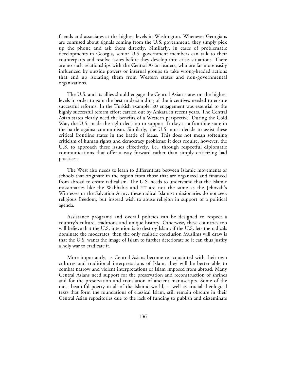friends and associates at the highest levels in Washington. Whenever Georgians are confused about signals coming from the U.S. government, they simply pick up the phone and ask them directly. Similarly, in cases of problematic developments in Georgia, senior U.S. government members can talk to their counterparts and resolve issues before they develop into crisis situations. There are no such relationships with the Central Asian leaders, who are far more easily influenced by outside powers or internal groups to take wrong-headed actions that end up isolating them from Western states and non-governmental organizations.

The U.S. and its allies should engage the Central Asian states on the highest levels in order to gain the best understanding of the incentives needed to ensure successful reforms. In the Turkish example, EU engagement was essential to the highly successful reform effort carried out by Ankara in recent years. The Central Asian states clearly need the benefits of a Western perspective. During the Cold War, the U.S. made the right decision to support Turkey as a frontline state in the battle against communism. Similarly, the U.S. must decide to assist these critical frontline states in the battle of ideas. This does not mean softening criticism of human rights and democracy problems; it does require, however, the U.S. to approach these issues effectively, i.e., through respectful diplomatic communications that offer a way forward rather than simply criticizing bad practices.

The West also needs to learn to differentiate between Islamic movements or schools that originate in the region from those that are organized and financed from abroad to create radicalism. The U.S. needs to understand that the Islamic missionaries like the Wahhabis and HT are not the same as the Jehovah's Witnesses or the Salvation Army; these radical Islamist missionaries do not seek religious freedom, but instead wish to abuse religion in support of a political agenda.

Assistance programs and overall policies can be designed to respect a country's culture, traditions and unique history. Otherwise, these countries too will believe that the U.S. intention is to destroy Islam; if the U.S. lets the radicals dominate the moderates, then the only realistic conclusion Muslims will draw is that the U.S. wants the image of Islam to further deteriorate so it can thus justify a holy war to eradicate it.

More importantly, as Central Asians become re-acquainted with their own cultures and traditional interpretations of Islam, they will be better able to combat narrow and violent interpretations of Islam imposed from abroad. Many Central Asians need support for the preservation and reconstruction of shrines and for the preservation and translation of ancient manuscripts. Some of the most beautiful poetry in all of the Islamic world, as well as crucial theological texts that form the foundations of classical Islam, still remain obscure in their Central Asian repositories due to the lack of funding to publish and disseminate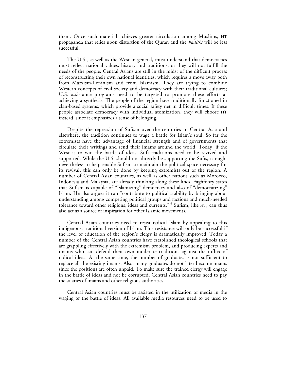them. Once such material achieves greater circulation among Muslims, HT propaganda that relies upon distortion of the Quran and the *hadiths* will be less successful.

The U.S., as well as the West in general, must understand that democracies must reflect national values, history and traditions, or they will not fulfill the needs of the people. Central Asians are still in the midst of the difficult process of reconstructing their own national identities, which requires a move away both from Marxism-Leninism and from Islamism. They are trying to combine Western concepts of civil society and democracy with their traditional cultures; U.S. assistance programs need to be targeted to promote these efforts at achieving a synthesis. The people of the region have traditionally functioned in clan-based systems, which provide a social safety net in difficult times. If these people associate democracy with individual atomization, they will choose HT instead, since it emphasizes a sense of belonging.

Despite the repression of Sufism over the centuries in Central Asia and elsewhere, the tradition continues to wage a battle for Islam's soul. So far the extremists have the advantage of financial strength and of governments that circulate their writings and send their imams around the world. Today, if the West is to win the battle of ideas, Sufi traditions need to be revived and supported. While the U.S. should not directly be supporting the Sufis, it ought nevertheless to help enable Sufism to maintain the political space necessary for its revival; this can only be done by keeping extremists out of the region. A number of Central Asian countries, as well as other nations such as Morocco, Indonesia and Malaysia, are already thinking along these lines. Faghfoory states that Sufism is capable of "Islamizing" democracy and also of "democratizing" Islam. He also argues it can "contribute to political stability by bringing about understanding among competing political groups and factions and much-needed tolerance toward other religions, ideas and currents." 6 Sufism, like HT, can thus also act as a source of inspiration for other Islamic movements.

Central Asian countries need to resist radical Islam by appealing to this indigenous, traditional version of Islam. This resistance will only be successful if the level of education of the region's clergy is dramatically improved. Today a number of the Central Asian countries have established theological schools that are grappling effectively with the extremism problem, and producing experts and imams who can defend their own moderate traditions against the influx of radical ideas. At the same time, the number of graduates is not sufficient to replace all the existing imams. Also, many graduates do not later become imams since the positions are often unpaid. To make sure the trained clergy will engage in the battle of ideas and not be corrupted, Central Asian countries need to pay the salaries of imams and other religious authorities.

Central Asian countries must be assisted in the utilization of media in the waging of the battle of ideas. All available media resources need to be used to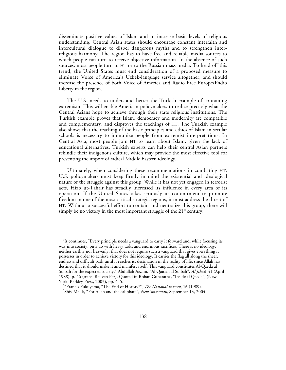disseminate positive values of Islam and to increase basic levels of religious understanding. Central Asian states should encourage constant interfaith and intercultural dialogue to dispel dangerous myths and to strengthen interreligious harmony. The region has to have free and reliable media sources to which people can turn to receive objective information. In the absence of such sources, most people turn to HT or to the Russian mass media. To head off this trend, the United States must end consideration of a proposed measure to eliminate Voice of America's Uzbek-language service altogether, and should increase the presence of both Voice of America and Radio Free Europe/Radio Liberty in the region.

The U.S. needs to understand better the Turkish example of containing extremism. This will enable American policymakers to realize precisely what the Central Asians hope to achieve through their state religious institutions. The Turkish example proves that Islam, democracy and modernity are compatible and complementary, and disproves the teachings of HT. The Turkish example also shows that the teaching of the basic principles and ethics of Islam in secular schools is necessary to immunize people from extremist interpretations. In Central Asia, most people join HT to learn about Islam, given the lack of educational alternatives. Turkish experts can help their central Asian partners rekindle their indigenous culture, which may provide the most effective tool for preventing the import of radical Middle Eastern ideology.

Ultimately, when considering these recommendations in combating HT, U.S. policymakers must keep firmly in mind the existential and ideological nature of the struggle against this group. While it has not yet engaged in terrorist acts, Hizb ut-Tahrir has steadily increased its influence in every area of its operation. If the United States takes seriously its commitment to promote freedom in one of the most critical strategic regions, it must address the threat of HT. Without a successful effort to contain and neutralize this group, there will simply be no victory in the most important struggle of the  $21<sup>st</sup>$  century.

1 It continues, "Every principle needs a vanguard to carry it forward and, while focusing its way into society, puts up with heavy tasks and enormous sacrifices. There is no ideology, neither earthly nor heavenly, that does not require such a vanguard that gives everything it possesses in order to achieve victory for this ideology. It carries the flag all along the sheer, endless and difficult path until it reaches its destination in the reality of life, since Allah has destined that it should make it and manifest itself. This vanguard constitutes Al-Qaeda al Sulbah for the expected society." Abdullah Azzam, "Al Qaidah al Sulbah", *Al Jihad*, 41 (April 1988): p. 46 (trans. Reuven Paz). Quoted in Rohan Gunaratna, "Inside al Qaeda", (New York: Berkley Press, 2003), pp. 4–5. <sup>2</sup>

<sup>&</sup>lt;sup>2</sup>"Francis Fukuyama, "The End of History?", *The National Interest*, 16 (1989).

Shiv Malik, "For Allah and the caliphate", *New Statesman,* September 13, 2004.